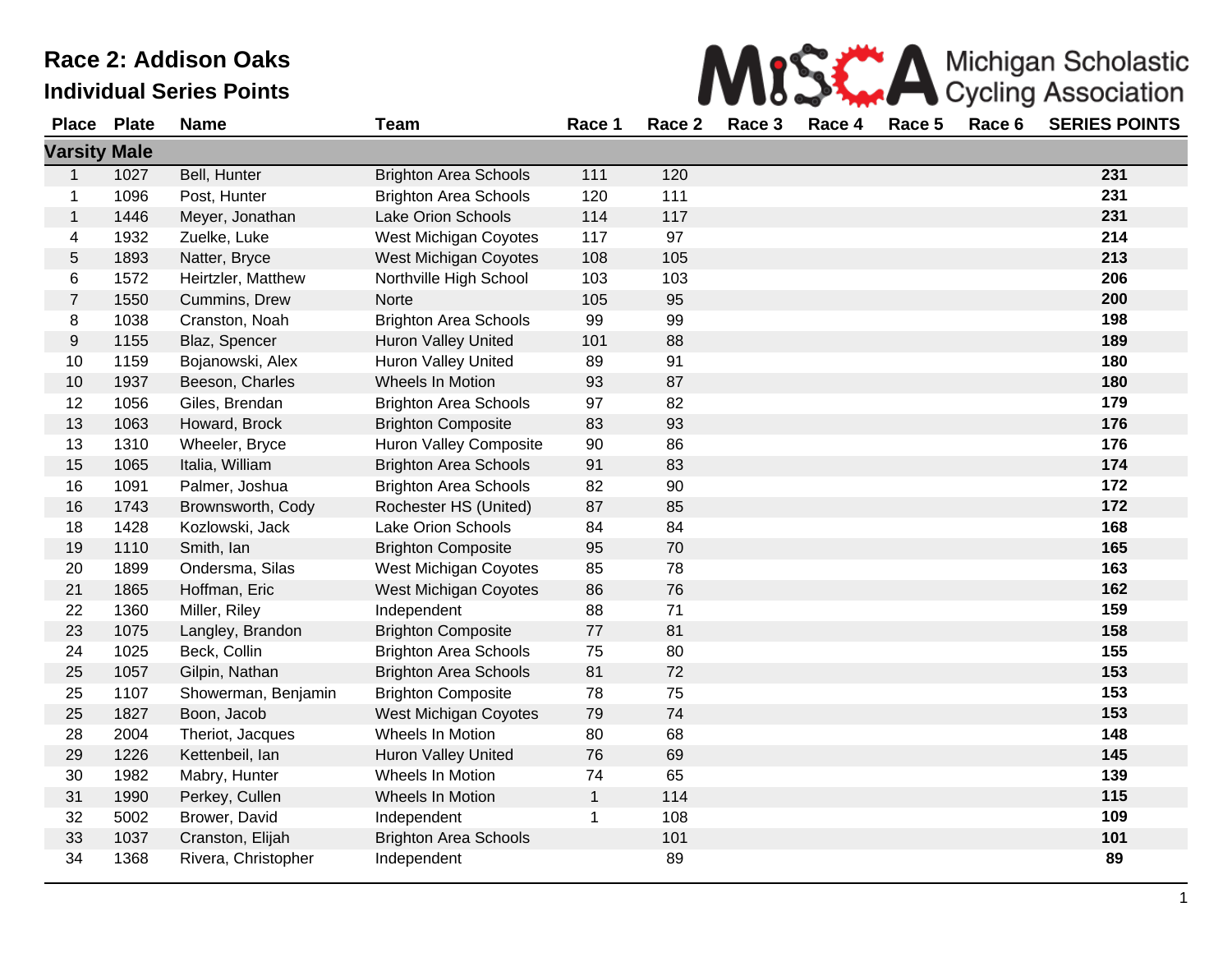|                     | <b>Race 2: Addison Oaks</b><br>Michigan Scholastic |                                 |                              |              |        |        |        |        |        |                            |
|---------------------|----------------------------------------------------|---------------------------------|------------------------------|--------------|--------|--------|--------|--------|--------|----------------------------|
|                     |                                                    | <b>Individual Series Points</b> |                              |              |        |        |        |        |        | <b>Cycling Association</b> |
| <b>Place</b>        | <b>Plate</b>                                       | <b>Name</b>                     | Team                         | Race 1       | Race 2 | Race 3 | Race 4 | Race 5 | Race 6 | <b>SERIES POINTS</b>       |
| <b>Varsity Male</b> |                                                    |                                 |                              |              |        |        |        |        |        |                            |
| 1                   | 1027                                               | Bell, Hunter                    | <b>Brighton Area Schools</b> | 111          | 120    |        |        |        |        | 231                        |
| 1                   | 1096                                               | Post, Hunter                    | <b>Brighton Area Schools</b> | 120          | 111    |        |        |        |        | 231                        |
| 1                   | 1446                                               | Meyer, Jonathan                 | Lake Orion Schools           | 114          | 117    |        |        |        |        | 231                        |
| 4                   | 1932                                               | Zuelke, Luke                    | West Michigan Coyotes        | 117          | 97     |        |        |        |        | 214                        |
| 5                   | 1893                                               | Natter, Bryce                   | West Michigan Coyotes        | 108          | 105    |        |        |        |        | 213                        |
| 6                   | 1572                                               | Heirtzler, Matthew              | Northville High School       | 103          | 103    |        |        |        |        | 206                        |
| $\overline{7}$      | 1550                                               | Cummins, Drew                   | Norte                        | 105          | 95     |        |        |        |        | 200                        |
| 8                   | 1038                                               | Cranston, Noah                  | <b>Brighton Area Schools</b> | 99           | 99     |        |        |        |        | 198                        |
| 9                   | 1155                                               | Blaz, Spencer                   | <b>Huron Valley United</b>   | 101          | 88     |        |        |        |        | 189                        |
| 10                  | 1159                                               | Bojanowski, Alex                | Huron Valley United          | 89           | 91     |        |        |        |        | 180                        |
| 10                  | 1937                                               | Beeson, Charles                 | Wheels In Motion             | 93           | 87     |        |        |        |        | 180                        |
| 12                  | 1056                                               | Giles, Brendan                  | <b>Brighton Area Schools</b> | 97           | 82     |        |        |        |        | 179                        |
| 13                  | 1063                                               | Howard, Brock                   | <b>Brighton Composite</b>    | 83           | 93     |        |        |        |        | 176                        |
| 13                  | 1310                                               | Wheeler, Bryce                  | Huron Valley Composite       | 90           | 86     |        |        |        |        | 176                        |
| 15                  | 1065                                               | Italia, William                 | <b>Brighton Area Schools</b> | 91           | 83     |        |        |        |        | 174                        |
| 16                  | 1091                                               | Palmer, Joshua                  | <b>Brighton Area Schools</b> | 82           | 90     |        |        |        |        | 172                        |
| 16                  | 1743                                               | Brownsworth, Cody               | Rochester HS (United)        | 87           | 85     |        |        |        |        | 172                        |
| 18                  | 1428                                               | Kozlowski, Jack                 | Lake Orion Schools           | 84           | 84     |        |        |        |        | 168                        |
| 19                  | 1110                                               | Smith, Ian                      | <b>Brighton Composite</b>    | 95           | 70     |        |        |        |        | 165                        |
| 20                  | 1899                                               | Ondersma, Silas                 | West Michigan Coyotes        | 85           | 78     |        |        |        |        | 163                        |
| 21                  | 1865                                               | Hoffman, Eric                   | West Michigan Coyotes        | 86           | 76     |        |        |        |        | 162                        |
| 22                  | 1360                                               | Miller, Riley                   | Independent                  | 88           | 71     |        |        |        |        | 159                        |
| 23                  | 1075                                               | Langley, Brandon                | <b>Brighton Composite</b>    | 77           | 81     |        |        |        |        | 158                        |
| 24                  | 1025                                               | Beck, Collin                    | <b>Brighton Area Schools</b> | 75           | 80     |        |        |        |        | 155                        |
| 25                  | 1057                                               | Gilpin, Nathan                  | <b>Brighton Area Schools</b> | 81           | 72     |        |        |        |        | 153                        |
| 25                  | 1107                                               | Showerman, Benjamin             | <b>Brighton Composite</b>    | 78           | 75     |        |        |        |        | 153                        |
| 25                  | 1827                                               | Boon, Jacob                     | <b>West Michigan Coyotes</b> | 79           | 74     |        |        |        |        | 153                        |
| 28                  | 2004                                               | Theriot, Jacques                | Wheels In Motion             | 80           | 68     |        |        |        |        | 148                        |
| 29                  | 1226                                               | Kettenbeil, lan                 | <b>Huron Valley United</b>   | 76           | 69     |        |        |        |        | 145                        |
| 30                  | 1982                                               | Mabry, Hunter                   | Wheels In Motion             | 74           | 65     |        |        |        |        | 139                        |
| 31                  | 1990                                               | Perkey, Cullen                  | Wheels In Motion             | $\mathbf{1}$ | 114    |        |        |        |        | 115                        |
| 32                  | 5002                                               | Brower, David                   | Independent                  | 1            | 108    |        |        |        |        | 109                        |
| 33                  | 1037                                               | Cranston, Elijah                | <b>Brighton Area Schools</b> |              | 101    |        |        |        |        | 101                        |
| 34                  | 1368                                               | Rivera, Christopher             | Independent                  |              | 89     |        |        |        |        | 89                         |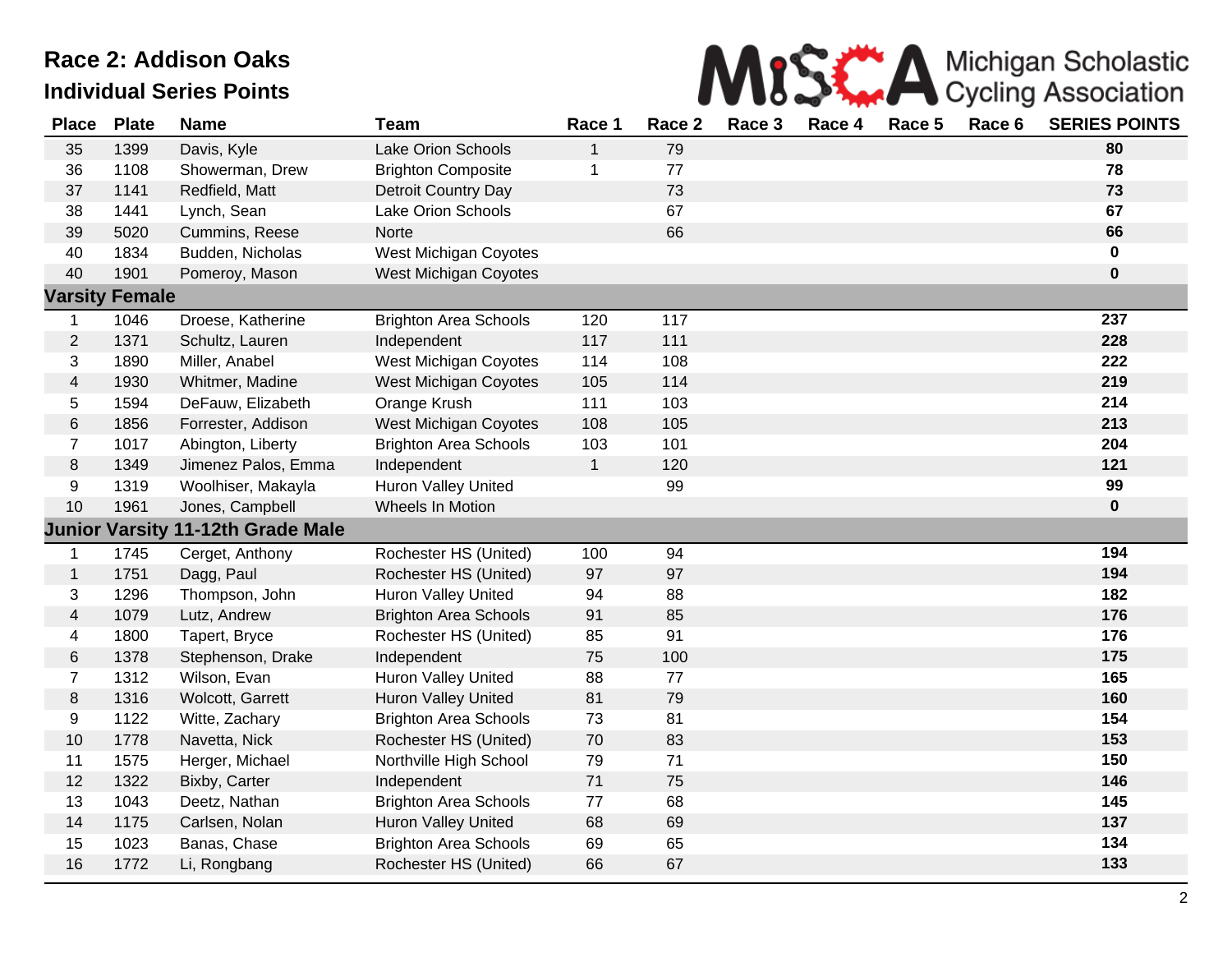

| <b>Place</b>   | <b>Plate</b>          | <b>Name</b>         | <b>Team</b>                  | Race 1       | Race 2 | Race 3 | Race 4 | Race 5 | Race 6 | <b>SERIES POINTS</b> |
|----------------|-----------------------|---------------------|------------------------------|--------------|--------|--------|--------|--------|--------|----------------------|
| 35             | 1399                  | Davis, Kyle         | Lake Orion Schools           | $\mathbf{1}$ | 79     |        |        |        |        | 80                   |
| 36             | 1108                  | Showerman, Drew     | <b>Brighton Composite</b>    | 1            | 77     |        |        |        |        | 78                   |
| 37             | 1141                  | Redfield, Matt      | Detroit Country Day          |              | 73     |        |        |        |        | 73                   |
| 38             | 1441                  | Lynch, Sean         | <b>Lake Orion Schools</b>    |              | 67     |        |        |        |        | 67                   |
| 39             | 5020                  | Cummins, Reese      | <b>Norte</b>                 |              | 66     |        |        |        |        | 66                   |
| 40             | 1834                  | Budden, Nicholas    | West Michigan Coyotes        |              |        |        |        |        |        | $\mathbf 0$          |
| 40             | 1901                  | Pomeroy, Mason      | West Michigan Coyotes        |              |        |        |        |        |        | $\mathbf 0$          |
| <b>Varsity</b> | <b>Female</b>         |                     |                              |              |        |        |        |        |        |                      |
| $\mathbf 1$    | 1046                  | Droese, Katherine   | <b>Brighton Area Schools</b> | 120          | 117    |        |        |        |        | 237                  |
| $\overline{c}$ | 1371                  | Schultz, Lauren     | Independent                  | 117          | 111    |        |        |        |        | 228                  |
| 3              | 1890                  | Miller, Anabel      | West Michigan Coyotes        | 114          | 108    |        |        |        |        | 222                  |
| 4              | 1930                  | Whitmer, Madine     | West Michigan Coyotes        | 105          | 114    |        |        |        |        | 219                  |
| 5              | 1594                  | DeFauw, Elizabeth   | Orange Krush                 | 111          | 103    |        |        |        |        | 214                  |
| 6              | 1856                  | Forrester, Addison  | West Michigan Coyotes        | 108          | 105    |        |        |        |        | 213                  |
| $\overline{7}$ | 1017                  | Abington, Liberty   | <b>Brighton Area Schools</b> | 103          | 101    |        |        |        |        | 204                  |
| $\,8\,$        | 1349                  | Jimenez Palos, Emma | Independent                  | $\mathbf{1}$ | 120    |        |        |        |        | 121                  |
| 9              | 1319                  | Woolhiser, Makayla  | <b>Huron Valley United</b>   |              | 99     |        |        |        |        | 99                   |
| 10             | 1961                  | Jones, Campbell     | Wheels In Motion             |              |        |        |        |        |        | $\mathbf 0$          |
|                | <b>Junior Varsity</b> | 11-12th Grade Male  |                              |              |        |        |        |        |        |                      |
| $\mathbf 1$    | 1745                  | Cerget, Anthony     | Rochester HS (United)        | 100          | 94     |        |        |        |        | 194                  |
| $\mathbf{1}$   | 1751                  | Dagg, Paul          | Rochester HS (United)        | 97           | 97     |        |        |        |        | 194                  |
| 3              | 1296                  | Thompson, John      | Huron Valley United          | 94           | 88     |        |        |        |        | 182                  |
| 4              | 1079                  | Lutz, Andrew        | <b>Brighton Area Schools</b> | 91           | 85     |        |        |        |        | 176                  |
| 4              | 1800                  | Tapert, Bryce       | Rochester HS (United)        | 85           | 91     |        |        |        |        | 176                  |
| 6              | 1378                  | Stephenson, Drake   | Independent                  | 75           | 100    |        |        |        |        | 175                  |
| $\overline{7}$ | 1312                  | Wilson, Evan        | Huron Valley United          | 88           | 77     |        |        |        |        | 165                  |
| 8              | 1316                  | Wolcott, Garrett    | Huron Valley United          | 81           | 79     |        |        |        |        | 160                  |
| 9              | 1122                  | Witte, Zachary      | <b>Brighton Area Schools</b> | 73           | 81     |        |        |        |        | 154                  |
| $10$           | 1778                  | Navetta, Nick       | Rochester HS (United)        | 70           | 83     |        |        |        |        | 153                  |
| 11             | 1575                  | Herger, Michael     | Northville High School       | 79           | 71     |        |        |        |        | 150                  |
| 12             | 1322                  | Bixby, Carter       | Independent                  | $71$         | 75     |        |        |        |        | 146                  |
| 13             | 1043                  | Deetz, Nathan       | <b>Brighton Area Schools</b> | 77           | 68     |        |        |        |        | 145                  |
| 14             | 1175                  | Carlsen, Nolan      | Huron Valley United          | 68           | 69     |        |        |        |        | 137                  |
| 15             | 1023                  | Banas, Chase        | <b>Brighton Area Schools</b> | 69           | 65     |        |        |        |        | 134                  |
| 16             | 1772                  | Li, Rongbang        | Rochester HS (United)        | 66           | 67     |        |        |        |        | 133                  |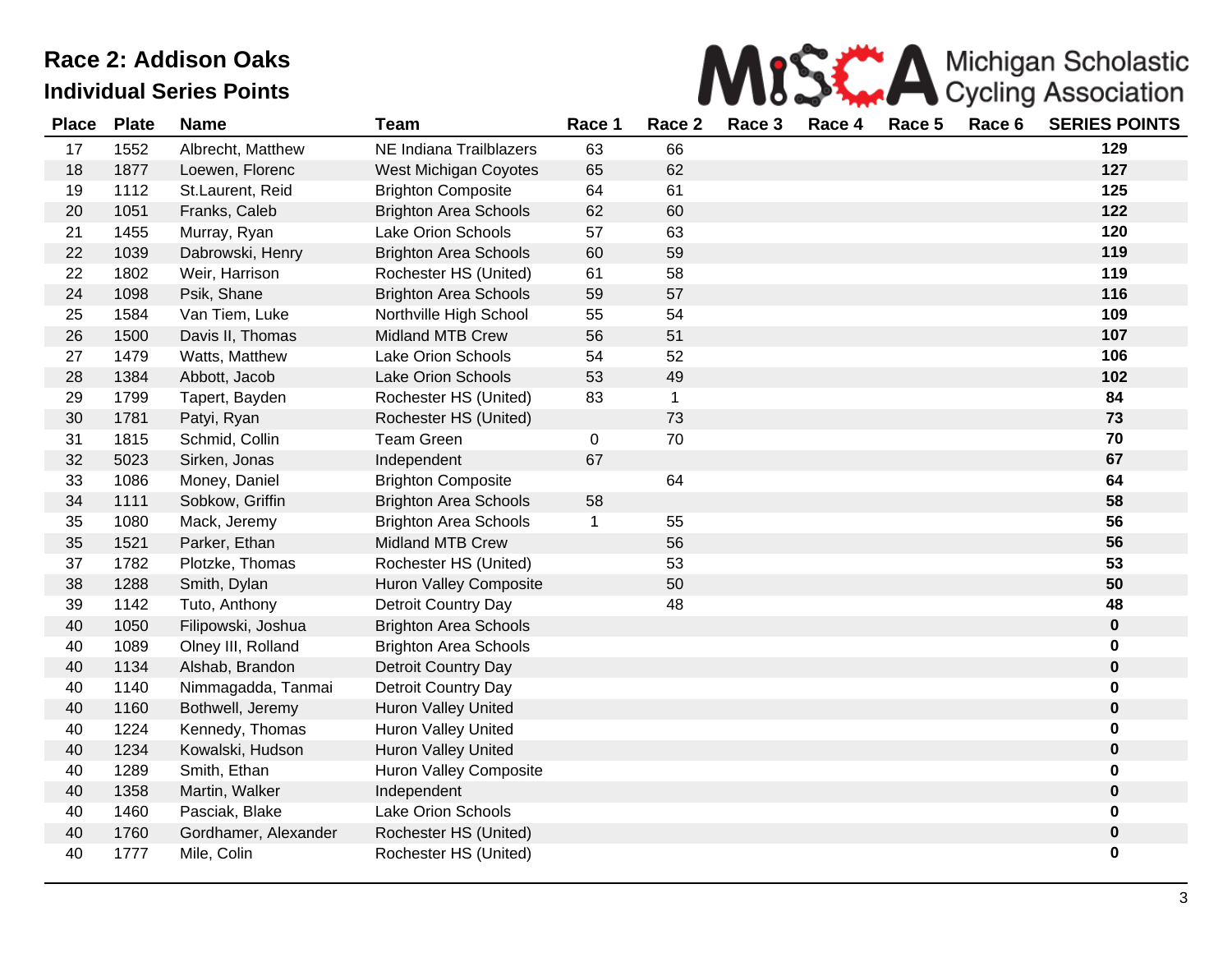

| <b>Place</b> | <b>Plate</b> | <b>Name</b>          | Team                          | Race 1      | Race 2 | Race 3 | Race 4 | Race 5 | Race 6 | <b>SERIES POINTS</b> |
|--------------|--------------|----------------------|-------------------------------|-------------|--------|--------|--------|--------|--------|----------------------|
| 17           | 1552         | Albrecht, Matthew    | NE Indiana Trailblazers       | 63          | 66     |        |        |        |        | 129                  |
| 18           | 1877         | Loewen, Florenc      | West Michigan Coyotes         | 65          | 62     |        |        |        |        | 127                  |
| 19           | 1112         | St.Laurent, Reid     | <b>Brighton Composite</b>     | 64          | 61     |        |        |        |        | 125                  |
| 20           | 1051         | Franks, Caleb        | <b>Brighton Area Schools</b>  | 62          | 60     |        |        |        |        | 122                  |
| 21           | 1455         | Murray, Ryan         | <b>Lake Orion Schools</b>     | 57          | 63     |        |        |        |        | 120                  |
| 22           | 1039         | Dabrowski, Henry     | <b>Brighton Area Schools</b>  | 60          | 59     |        |        |        |        | 119                  |
| 22           | 1802         | Weir, Harrison       | Rochester HS (United)         | 61          | 58     |        |        |        |        | 119                  |
| 24           | 1098         | Psik, Shane          | <b>Brighton Area Schools</b>  | 59          | 57     |        |        |        |        | 116                  |
| 25           | 1584         | Van Tiem, Luke       | Northville High School        | 55          | 54     |        |        |        |        | 109                  |
| 26           | 1500         | Davis II, Thomas     | <b>Midland MTB Crew</b>       | 56          | 51     |        |        |        |        | 107                  |
| 27           | 1479         | Watts, Matthew       | Lake Orion Schools            | 54          | 52     |        |        |        |        | 106                  |
| 28           | 1384         | Abbott, Jacob        | <b>Lake Orion Schools</b>     | 53          | 49     |        |        |        |        | 102                  |
| 29           | 1799         | Tapert, Bayden       | Rochester HS (United)         | 83          | 1      |        |        |        |        | 84                   |
| 30           | 1781         | Patyi, Ryan          | Rochester HS (United)         |             | 73     |        |        |        |        | 73                   |
| 31           | 1815         | Schmid, Collin       | <b>Team Green</b>             | $\mathbf 0$ | 70     |        |        |        |        | 70                   |
| 32           | 5023         | Sirken, Jonas        | Independent                   | 67          |        |        |        |        |        | 67                   |
| 33           | 1086         | Money, Daniel        | <b>Brighton Composite</b>     |             | 64     |        |        |        |        | 64                   |
| 34           | 1111         | Sobkow, Griffin      | <b>Brighton Area Schools</b>  | 58          |        |        |        |        |        | 58                   |
| 35           | 1080         | Mack, Jeremy         | <b>Brighton Area Schools</b>  | 1           | 55     |        |        |        |        | 56                   |
| 35           | 1521         | Parker, Ethan        | <b>Midland MTB Crew</b>       |             | 56     |        |        |        |        | 56                   |
| 37           | 1782         | Plotzke, Thomas      | Rochester HS (United)         |             | 53     |        |        |        |        | 53                   |
| 38           | 1288         | Smith, Dylan         | <b>Huron Valley Composite</b> |             | 50     |        |        |        |        | 50                   |
| 39           | 1142         | Tuto, Anthony        | Detroit Country Day           |             | 48     |        |        |        |        | 48                   |
| 40           | 1050         | Filipowski, Joshua   | <b>Brighton Area Schools</b>  |             |        |        |        |        |        | $\pmb{0}$            |
| 40           | 1089         | Olney III, Rolland   | <b>Brighton Area Schools</b>  |             |        |        |        |        |        | 0                    |
| 40           | 1134         | Alshab, Brandon      | <b>Detroit Country Day</b>    |             |        |        |        |        |        | $\pmb{0}$            |
| 40           | 1140         | Nimmagadda, Tanmai   | Detroit Country Day           |             |        |        |        |        |        | 0                    |
| 40           | 1160         | Bothwell, Jeremy     | <b>Huron Valley United</b>    |             |        |        |        |        |        | $\pmb{0}$            |
| 40           | 1224         | Kennedy, Thomas      | Huron Valley United           |             |        |        |        |        |        | 0                    |
| 40           | 1234         | Kowalski, Hudson     | Huron Valley United           |             |        |        |        |        |        | $\mathbf 0$          |
| 40           | 1289         | Smith, Ethan         | Huron Valley Composite        |             |        |        |        |        |        | $\mathbf 0$          |
| 40           | 1358         | Martin, Walker       | Independent                   |             |        |        |        |        |        | $\pmb{0}$            |
| 40           | 1460         | Pasciak, Blake       | <b>Lake Orion Schools</b>     |             |        |        |        |        |        | 0                    |
| 40           | 1760         | Gordhamer, Alexander | Rochester HS (United)         |             |        |        |        |        |        | $\pmb{0}$            |
| 40           | 1777         | Mile, Colin          | Rochester HS (United)         |             |        |        |        |        |        | $\bf{0}$             |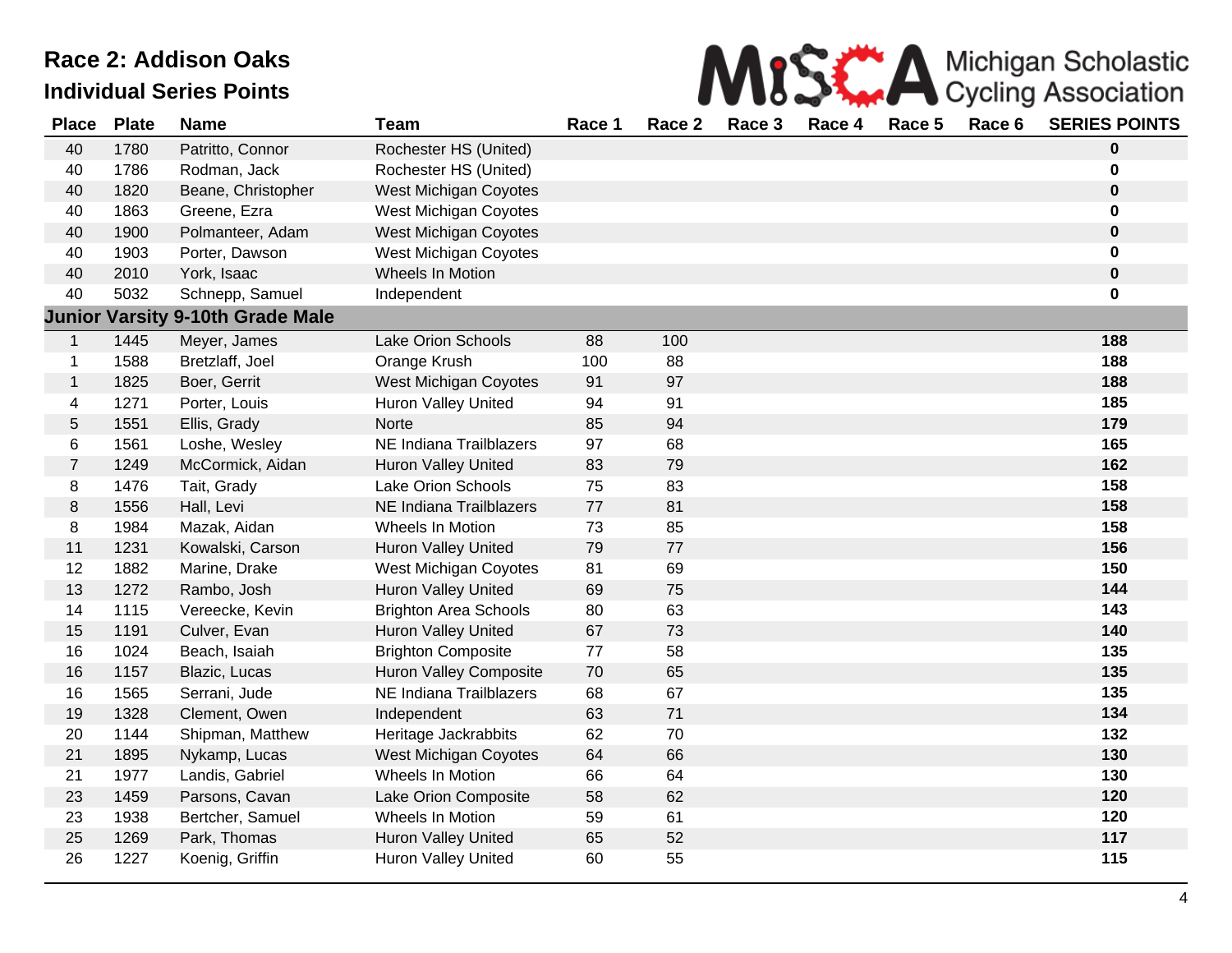

| <b>Place</b>   | <b>Plate</b> | <b>Name</b>                             | <b>Team</b>                   | Race 1 | Race 2 | Race 3 | Race 4 | Race 5 | Race 6 | <b>SERIES POINTS</b> |
|----------------|--------------|-----------------------------------------|-------------------------------|--------|--------|--------|--------|--------|--------|----------------------|
| 40             | 1780         | Patritto, Connor                        | Rochester HS (United)         |        |        |        |        |        |        | $\bf{0}$             |
| 40             | 1786         | Rodman, Jack                            | Rochester HS (United)         |        |        |        |        |        |        | 0                    |
| 40             | 1820         | Beane, Christopher                      | <b>West Michigan Coyotes</b>  |        |        |        |        |        |        | $\mathbf 0$          |
| 40             | 1863         | Greene, Ezra                            | West Michigan Coyotes         |        |        |        |        |        |        | 0                    |
| 40             | 1900         | Polmanteer, Adam                        | <b>West Michigan Coyotes</b>  |        |        |        |        |        |        | $\mathbf 0$          |
| 40             | 1903         | Porter, Dawson                          | <b>West Michigan Coyotes</b>  |        |        |        |        |        |        | 0                    |
| 40             | 2010         | York, Isaac                             | Wheels In Motion              |        |        |        |        |        |        | 0                    |
| 40             | 5032         | Schnepp, Samuel                         | Independent                   |        |        |        |        |        |        | 0                    |
|                |              | <b>Junior Varsity 9-10th Grade Male</b> |                               |        |        |        |        |        |        |                      |
| $\mathbf{1}$   | 1445         | Meyer, James                            | <b>Lake Orion Schools</b>     | 88     | 100    |        |        |        |        | 188                  |
| $\mathbf 1$    | 1588         | Bretzlaff, Joel                         | Orange Krush                  | 100    | 88     |        |        |        |        | 188                  |
| $\mathbf{1}$   | 1825         | Boer, Gerrit                            | <b>West Michigan Coyotes</b>  | 91     | 97     |        |        |        |        | 188                  |
| 4              | 1271         | Porter, Louis                           | Huron Valley United           | 94     | 91     |        |        |        |        | 185                  |
| $\sqrt{5}$     | 1551         | Ellis, Grady                            | Norte                         | 85     | 94     |        |        |        |        | 179                  |
| 6              | 1561         | Loshe, Wesley                           | NE Indiana Trailblazers       | 97     | 68     |        |        |        |        | 165                  |
| $\overline{7}$ | 1249         | McCormick, Aidan                        | <b>Huron Valley United</b>    | 83     | 79     |        |        |        |        | 162                  |
| 8              | 1476         | Tait, Grady                             | <b>Lake Orion Schools</b>     | 75     | 83     |        |        |        |        | 158                  |
| $\,8\,$        | 1556         | Hall, Levi                              | NE Indiana Trailblazers       | 77     | 81     |        |        |        |        | 158                  |
| 8              | 1984         | Mazak, Aidan                            | Wheels In Motion              | 73     | 85     |        |        |        |        | 158                  |
| 11             | 1231         | Kowalski, Carson                        | <b>Huron Valley United</b>    | 79     | 77     |        |        |        |        | 156                  |
| 12             | 1882         | Marine, Drake                           | <b>West Michigan Coyotes</b>  | 81     | 69     |        |        |        |        | 150                  |
| 13             | 1272         | Rambo, Josh                             | <b>Huron Valley United</b>    | 69     | 75     |        |        |        |        | 144                  |
| 14             | 1115         | Vereecke, Kevin                         | <b>Brighton Area Schools</b>  | 80     | 63     |        |        |        |        | 143                  |
| 15             | 1191         | Culver, Evan                            | <b>Huron Valley United</b>    | 67     | 73     |        |        |        |        | 140                  |
| 16             | 1024         | Beach, Isaiah                           | <b>Brighton Composite</b>     | 77     | 58     |        |        |        |        | 135                  |
| 16             | 1157         | Blazic, Lucas                           | <b>Huron Valley Composite</b> | 70     | 65     |        |        |        |        | 135                  |
| 16             | 1565         | Serrani, Jude                           | NE Indiana Trailblazers       | 68     | 67     |        |        |        |        | 135                  |
| 19             | 1328         | Clement, Owen                           | Independent                   | 63     | 71     |        |        |        |        | 134                  |
| 20             | 1144         | Shipman, Matthew                        | Heritage Jackrabbits          | 62     | 70     |        |        |        |        | 132                  |
| 21             | 1895         | Nykamp, Lucas                           | <b>West Michigan Coyotes</b>  | 64     | 66     |        |        |        |        | 130                  |
| 21             | 1977         | Landis, Gabriel                         | Wheels In Motion              | 66     | 64     |        |        |        |        | 130                  |
| 23             | 1459         | Parsons, Cavan                          | Lake Orion Composite          | 58     | 62     |        |        |        |        | 120                  |
| 23             | 1938         | Bertcher, Samuel                        | Wheels In Motion              | 59     | 61     |        |        |        |        | 120                  |
| 25             | 1269         | Park, Thomas                            | Huron Valley United           | 65     | 52     |        |        |        |        | 117                  |
| 26             | 1227         | Koenig, Griffin                         | <b>Huron Valley United</b>    | 60     | 55     |        |        |        |        | 115                  |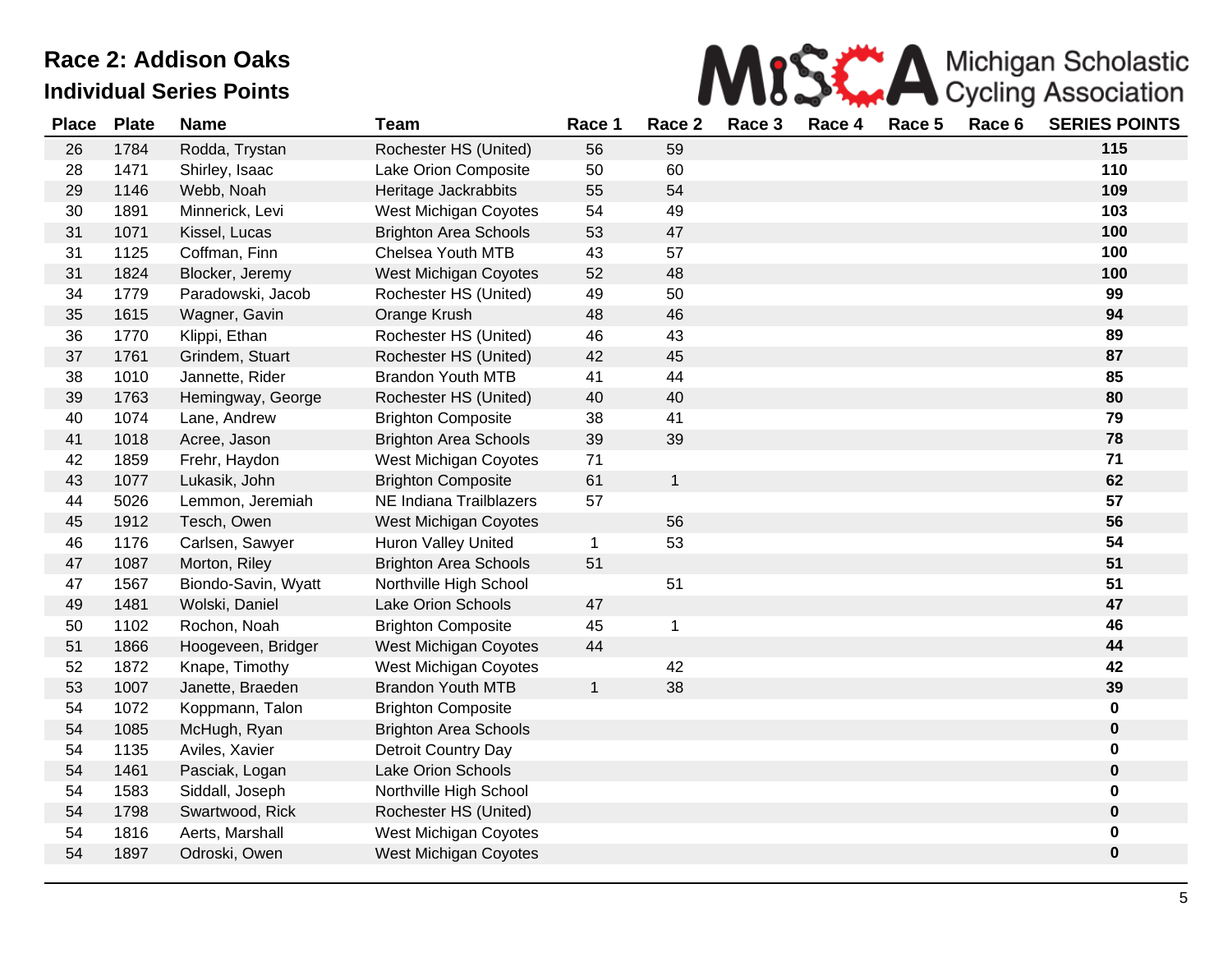

| <b>Place</b> | <b>Plate</b> | <b>Name</b>         | <b>Team</b>                  | Race 1       | Race 2       | Race 3 | Race 4 | Race 5 | Race 6 | <b>SERIES POINTS</b> |
|--------------|--------------|---------------------|------------------------------|--------------|--------------|--------|--------|--------|--------|----------------------|
| 26           | 1784         | Rodda, Trystan      | Rochester HS (United)        | 56           | 59           |        |        |        |        | 115                  |
| 28           | 1471         | Shirley, Isaac      | Lake Orion Composite         | 50           | 60           |        |        |        |        | 110                  |
| 29           | 1146         | Webb, Noah          | Heritage Jackrabbits         | 55           | 54           |        |        |        |        | 109                  |
| 30           | 1891         | Minnerick, Levi     | West Michigan Coyotes        | 54           | 49           |        |        |        |        | 103                  |
| 31           | 1071         | Kissel, Lucas       | <b>Brighton Area Schools</b> | 53           | 47           |        |        |        |        | 100                  |
| 31           | 1125         | Coffman, Finn       | Chelsea Youth MTB            | 43           | 57           |        |        |        |        | 100                  |
| 31           | 1824         | Blocker, Jeremy     | West Michigan Coyotes        | 52           | 48           |        |        |        |        | 100                  |
| 34           | 1779         | Paradowski, Jacob   | Rochester HS (United)        | 49           | 50           |        |        |        |        | 99                   |
| 35           | 1615         | Wagner, Gavin       | Orange Krush                 | 48           | 46           |        |        |        |        | 94                   |
| 36           | 1770         | Klippi, Ethan       | Rochester HS (United)        | 46           | 43           |        |        |        |        | 89                   |
| 37           | 1761         | Grindem, Stuart     | Rochester HS (United)        | 42           | 45           |        |        |        |        | 87                   |
| 38           | 1010         | Jannette, Rider     | <b>Brandon Youth MTB</b>     | 41           | 44           |        |        |        |        | 85                   |
| 39           | 1763         | Hemingway, George   | Rochester HS (United)        | 40           | 40           |        |        |        |        | 80                   |
| 40           | 1074         | Lane, Andrew        | <b>Brighton Composite</b>    | 38           | 41           |        |        |        |        | 79                   |
| 41           | 1018         | Acree, Jason        | <b>Brighton Area Schools</b> | 39           | 39           |        |        |        |        | 78                   |
| 42           | 1859         | Frehr, Haydon       | West Michigan Coyotes        | 71           |              |        |        |        |        | 71                   |
| 43           | 1077         | Lukasik, John       | <b>Brighton Composite</b>    | 61           | $\mathbf{1}$ |        |        |        |        | 62                   |
| 44           | 5026         | Lemmon, Jeremiah    | NE Indiana Trailblazers      | 57           |              |        |        |        |        | 57                   |
| 45           | 1912         | Tesch, Owen         | West Michigan Coyotes        |              | 56           |        |        |        |        | 56                   |
| 46           | 1176         | Carlsen, Sawyer     | Huron Valley United          | $\mathbf{1}$ | 53           |        |        |        |        | 54                   |
| 47           | 1087         | Morton, Riley       | <b>Brighton Area Schools</b> | 51           |              |        |        |        |        | 51                   |
| 47           | 1567         | Biondo-Savin, Wyatt | Northville High School       |              | 51           |        |        |        |        | 51                   |
| 49           | 1481         | Wolski, Daniel      | Lake Orion Schools           | 47           |              |        |        |        |        | 47                   |
| 50           | 1102         | Rochon, Noah        | <b>Brighton Composite</b>    | 45           | $\mathbf 1$  |        |        |        |        | 46                   |
| 51           | 1866         | Hoogeveen, Bridger  | West Michigan Coyotes        | 44           |              |        |        |        |        | 44                   |
| 52           | 1872         | Knape, Timothy      | West Michigan Coyotes        |              | 42           |        |        |        |        | 42                   |
| 53           | 1007         | Janette, Braeden    | <b>Brandon Youth MTB</b>     | $\mathbf{1}$ | 38           |        |        |        |        | 39                   |
| 54           | 1072         | Koppmann, Talon     | <b>Brighton Composite</b>    |              |              |        |        |        |        | 0                    |
| 54           | 1085         | McHugh, Ryan        | <b>Brighton Area Schools</b> |              |              |        |        |        |        | 0                    |
| 54           | 1135         | Aviles, Xavier      | Detroit Country Day          |              |              |        |        |        |        | 0                    |
| 54           | 1461         | Pasciak, Logan      | <b>Lake Orion Schools</b>    |              |              |        |        |        |        | 0                    |
| 54           | 1583         | Siddall, Joseph     | Northville High School       |              |              |        |        |        |        | 0                    |
| 54           | 1798         | Swartwood, Rick     | Rochester HS (United)        |              |              |        |        |        |        | 0                    |
| 54           | 1816         | Aerts, Marshall     | West Michigan Coyotes        |              |              |        |        |        |        | $\pmb{0}$            |
| 54           | 1897         | Odroski, Owen       | West Michigan Coyotes        |              |              |        |        |        |        | 0                    |
|              |              |                     |                              |              |              |        |        |        |        |                      |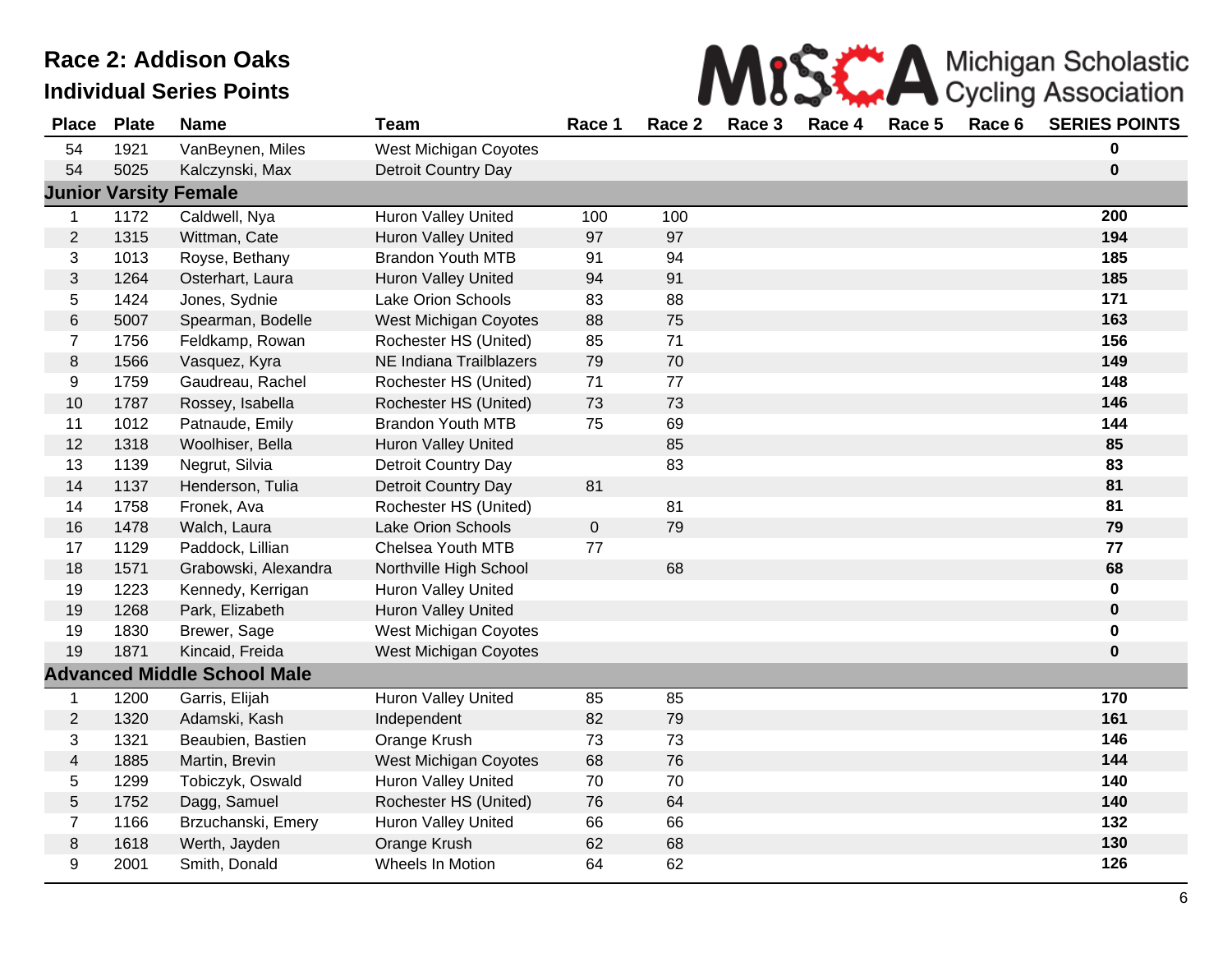

| <b>Place</b>            | <b>Plate</b> | <b>Name</b>                        | <b>Team</b>                  | Race 1      | Race 2 | Race 3 | Race 4 | Race 5 | Race 6 | <b>SERIES POINTS</b> |
|-------------------------|--------------|------------------------------------|------------------------------|-------------|--------|--------|--------|--------|--------|----------------------|
| 54                      | 1921         | VanBeynen, Miles                   | West Michigan Coyotes        |             |        |        |        |        |        | 0                    |
| 54                      | 5025         | Kalczynski, Max                    | <b>Detroit Country Day</b>   |             |        |        |        |        |        | $\bf{0}$             |
|                         |              | <b>Junior Varsity Female</b>       |                              |             |        |        |        |        |        |                      |
| $\mathbf{1}$            | 1172         | Caldwell, Nya                      | Huron Valley United          | 100         | 100    |        |        |        |        | 200                  |
| $\overline{2}$          | 1315         | Wittman, Cate                      | <b>Huron Valley United</b>   | 97          | 97     |        |        |        |        | 194                  |
| 3                       | 1013         | Royse, Bethany                     | <b>Brandon Youth MTB</b>     | 91          | 94     |        |        |        |        | 185                  |
| 3                       | 1264         | Osterhart, Laura                   | <b>Huron Valley United</b>   | 94          | 91     |        |        |        |        | 185                  |
| 5                       | 1424         | Jones, Sydnie                      | Lake Orion Schools           | 83          | 88     |        |        |        |        | 171                  |
| $\,6$                   | 5007         | Spearman, Bodelle                  | West Michigan Coyotes        | 88          | 75     |        |        |        |        | 163                  |
| $\overline{7}$          | 1756         | Feldkamp, Rowan                    | Rochester HS (United)        | 85          | 71     |        |        |        |        | 156                  |
| $\,8\,$                 | 1566         | Vasquez, Kyra                      | NE Indiana Trailblazers      | 79          | 70     |        |        |        |        | 149                  |
| 9                       | 1759         | Gaudreau, Rachel                   | Rochester HS (United)        | 71          | 77     |        |        |        |        | 148                  |
| 10                      | 1787         | Rossey, Isabella                   | Rochester HS (United)        | 73          | 73     |        |        |        |        | 146                  |
| 11                      | 1012         | Patnaude, Emily                    | <b>Brandon Youth MTB</b>     | 75          | 69     |        |        |        |        | 144                  |
| 12                      | 1318         | Woolhiser, Bella                   | Huron Valley United          |             | 85     |        |        |        |        | 85                   |
| 13                      | 1139         | Negrut, Silvia                     | Detroit Country Day          |             | 83     |        |        |        |        | 83                   |
| 14                      | 1137         | Henderson, Tulia                   | <b>Detroit Country Day</b>   | 81          |        |        |        |        |        | 81                   |
| 14                      | 1758         | Fronek, Ava                        | Rochester HS (United)        |             | 81     |        |        |        |        | 81                   |
| 16                      | 1478         | Walch, Laura                       | Lake Orion Schools           | $\mathbf 0$ | 79     |        |        |        |        | 79                   |
| 17                      | 1129         | Paddock, Lillian                   | Chelsea Youth MTB            | 77          |        |        |        |        |        | 77                   |
| 18                      | 1571         | Grabowski, Alexandra               | Northville High School       |             | 68     |        |        |        |        | 68                   |
| 19                      | 1223         | Kennedy, Kerrigan                  | <b>Huron Valley United</b>   |             |        |        |        |        |        | $\pmb{0}$            |
| 19                      | 1268         | Park, Elizabeth                    | <b>Huron Valley United</b>   |             |        |        |        |        |        | $\pmb{0}$            |
| 19                      | 1830         | Brewer, Sage                       | West Michigan Coyotes        |             |        |        |        |        |        | 0                    |
| 19                      | 1871         | Kincaid, Freida                    | <b>West Michigan Coyotes</b> |             |        |        |        |        |        | $\mathbf 0$          |
|                         |              | <b>Advanced Middle School Male</b> |                              |             |        |        |        |        |        |                      |
| $\mathbf 1$             | 1200         | Garris, Elijah                     | <b>Huron Valley United</b>   | 85          | 85     |        |        |        |        | 170                  |
| $\overline{2}$          | 1320         | Adamski, Kash                      | Independent                  | 82          | 79     |        |        |        |        | 161                  |
| 3                       | 1321         | Beaubien, Bastien                  | Orange Krush                 | 73          | 73     |        |        |        |        | 146                  |
| $\overline{\mathbf{4}}$ | 1885         | Martin, Brevin                     | <b>West Michigan Coyotes</b> | 68          | 76     |        |        |        |        | 144                  |
| 5                       | 1299         | Tobiczyk, Oswald                   | Huron Valley United          | 70          | 70     |        |        |        |        | 140                  |
| $\mathbf 5$             | 1752         | Dagg, Samuel                       | Rochester HS (United)        | 76          | 64     |        |        |        |        | 140                  |
| $\overline{7}$          | 1166         | Brzuchanski, Emery                 | <b>Huron Valley United</b>   | 66          | 66     |        |        |        |        | 132                  |
| $\,8\,$                 | 1618         | Werth, Jayden                      | Orange Krush                 | 62          | 68     |        |        |        |        | 130                  |
| 9                       | 2001         | Smith, Donald                      | Wheels In Motion             | 64          | 62     |        |        |        |        | 126                  |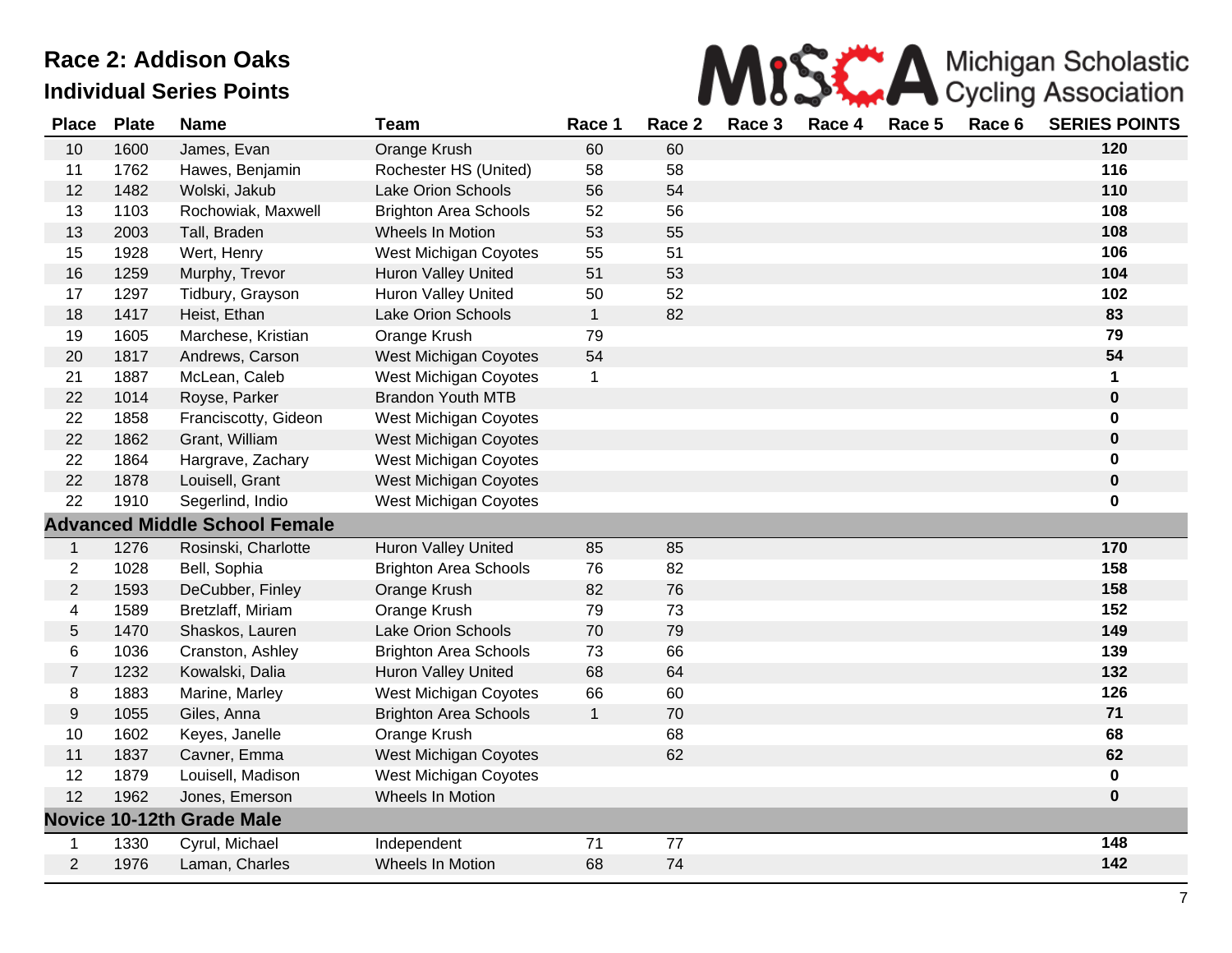

| <b>Place</b>     | <b>Plate</b> | <b>Name</b>                          | <b>Team</b>                  | Race 1       | Race 2 | Race 3 | Race 4 | Race 5 | Race 6 | <b>SERIES POINTS</b> |
|------------------|--------------|--------------------------------------|------------------------------|--------------|--------|--------|--------|--------|--------|----------------------|
| 10               | 1600         | James, Evan                          | Orange Krush                 | 60           | 60     |        |        |        |        | 120                  |
| 11               | 1762         | Hawes, Benjamin                      | Rochester HS (United)        | 58           | 58     |        |        |        |        | 116                  |
| 12               | 1482         | Wolski, Jakub                        | Lake Orion Schools           | 56           | 54     |        |        |        |        | 110                  |
| 13               | 1103         | Rochowiak, Maxwell                   | <b>Brighton Area Schools</b> | 52           | 56     |        |        |        |        | 108                  |
| 13               | 2003         | Tall, Braden                         | Wheels In Motion             | 53           | 55     |        |        |        |        | 108                  |
| 15               | 1928         | Wert, Henry                          | West Michigan Coyotes        | 55           | 51     |        |        |        |        | 106                  |
| 16               | 1259         | Murphy, Trevor                       | <b>Huron Valley United</b>   | 51           | 53     |        |        |        |        | 104                  |
| 17               | 1297         | Tidbury, Grayson                     | Huron Valley United          | 50           | 52     |        |        |        |        | 102                  |
| 18               | 1417         | Heist, Ethan                         | <b>Lake Orion Schools</b>    | $\mathbf{1}$ | 82     |        |        |        |        | 83                   |
| 19               | 1605         | Marchese, Kristian                   | Orange Krush                 | 79           |        |        |        |        |        | 79                   |
| 20               | 1817         | Andrews, Carson                      | West Michigan Coyotes        | 54           |        |        |        |        |        | 54                   |
| 21               | 1887         | McLean, Caleb                        | West Michigan Coyotes        | $\mathbf{1}$ |        |        |        |        |        | 1                    |
| 22               | 1014         | Royse, Parker                        | <b>Brandon Youth MTB</b>     |              |        |        |        |        |        | $\pmb{0}$            |
| 22               | 1858         | Franciscotty, Gideon                 | West Michigan Coyotes        |              |        |        |        |        |        | $\bf{0}$             |
| 22               | 1862         | Grant, William                       | West Michigan Coyotes        |              |        |        |        |        |        | $\pmb{0}$            |
| 22               | 1864         | Hargrave, Zachary                    | West Michigan Coyotes        |              |        |        |        |        |        | $\mathbf 0$          |
| 22               | 1878         | Louisell, Grant                      | <b>West Michigan Coyotes</b> |              |        |        |        |        |        | $\bf{0}$             |
| 22               | 1910         | Segerlind, Indio                     | West Michigan Coyotes        |              |        |        |        |        |        | 0                    |
|                  |              | <b>Advanced Middle School Female</b> |                              |              |        |        |        |        |        |                      |
| $\mathbf{1}$     | 1276         | Rosinski, Charlotte                  | <b>Huron Valley United</b>   | 85           | 85     |        |        |        |        | 170                  |
| $\overline{c}$   | 1028         | Bell, Sophia                         | <b>Brighton Area Schools</b> | 76           | 82     |        |        |        |        | 158                  |
| $\overline{2}$   | 1593         | DeCubber, Finley                     | Orange Krush                 | 82           | 76     |        |        |        |        | 158                  |
| 4                | 1589         | Bretzlaff, Miriam                    | Orange Krush                 | 79           | 73     |        |        |        |        | 152                  |
| 5                | 1470         | Shaskos, Lauren                      | Lake Orion Schools           | $70\,$       | 79     |        |        |        |        | 149                  |
| 6                | 1036         | Cranston, Ashley                     | <b>Brighton Area Schools</b> | 73           | 66     |        |        |        |        | 139                  |
| $\overline{7}$   | 1232         | Kowalski, Dalia                      | <b>Huron Valley United</b>   | 68           | 64     |        |        |        |        | 132                  |
| 8                | 1883         | Marine, Marley                       | West Michigan Coyotes        | 66           | 60     |        |        |        |        | 126                  |
| $\boldsymbol{9}$ | 1055         | Giles, Anna                          | <b>Brighton Area Schools</b> | $\mathbf{1}$ | 70     |        |        |        |        | $71$                 |
| 10               | 1602         | Keyes, Janelle                       | Orange Krush                 |              | 68     |        |        |        |        | 68                   |
| 11               | 1837         | Cavner, Emma                         | West Michigan Coyotes        |              | 62     |        |        |        |        | 62                   |
| 12               | 1879         | Louisell, Madison                    | West Michigan Coyotes        |              |        |        |        |        |        | $\mathbf 0$          |
| 12               | 1962         | Jones, Emerson                       | Wheels In Motion             |              |        |        |        |        |        | $\bf{0}$             |
|                  |              | <b>Novice 10-12th Grade Male</b>     |                              |              |        |        |        |        |        |                      |
| 1                | 1330         | Cyrul, Michael                       | Independent                  | 71           | 77     |        |        |        |        | 148                  |
| $\overline{2}$   | 1976         | Laman, Charles                       | Wheels In Motion             | 68           | 74     |        |        |        |        | 142                  |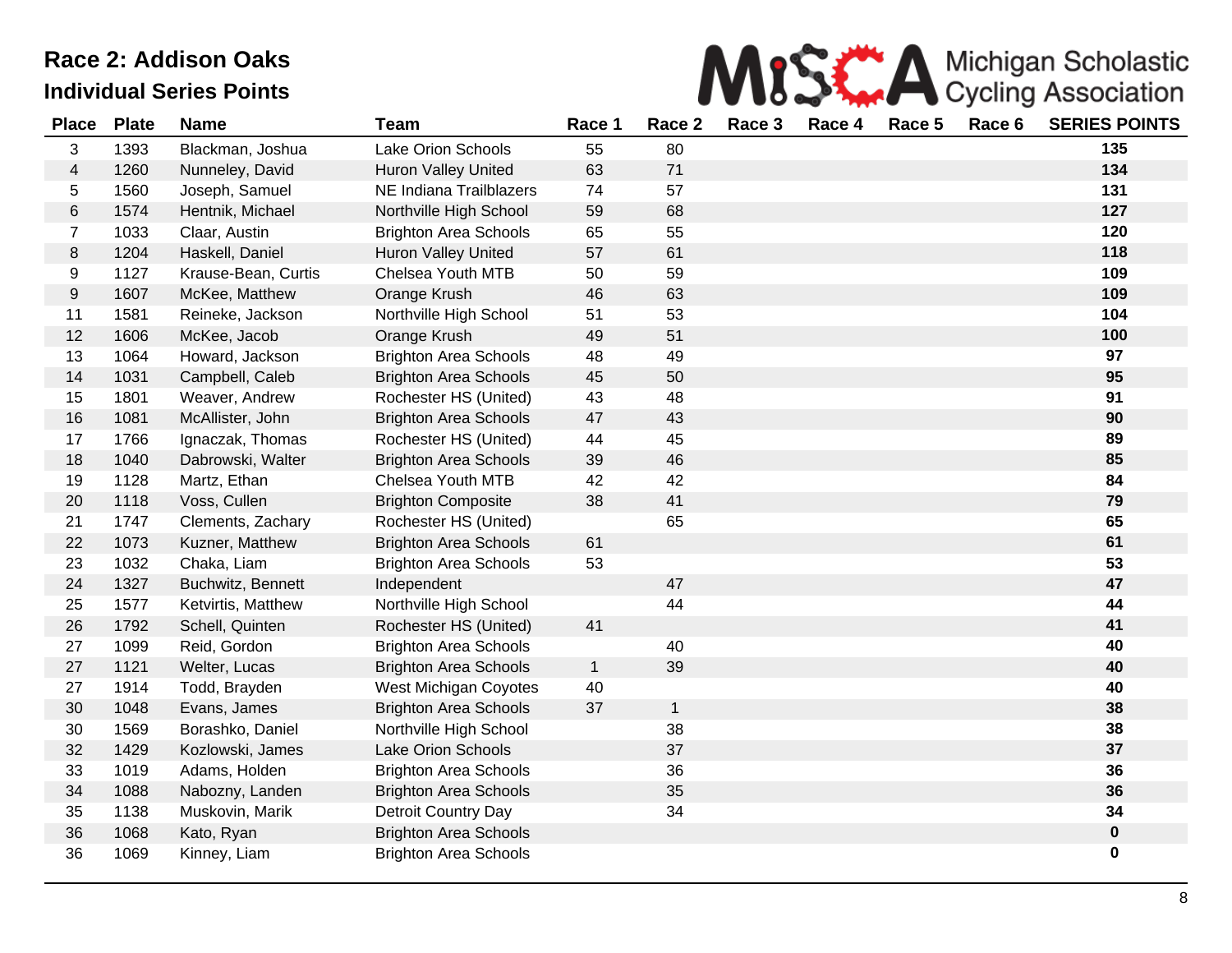

| <b>Place</b>     | <b>Plate</b> | <b>Name</b>         | <b>Team</b>                  | Race 1       | Race 2       | Race 3 | Race 4 | Race 5 | Race 6 | <b>SERIES POINTS</b> |
|------------------|--------------|---------------------|------------------------------|--------------|--------------|--------|--------|--------|--------|----------------------|
| 3                | 1393         | Blackman, Joshua    | Lake Orion Schools           | 55           | 80           |        |        |        |        | 135                  |
| $\overline{4}$   | 1260         | Nunneley, David     | Huron Valley United          | 63           | 71           |        |        |        |        | 134                  |
| 5                | 1560         | Joseph, Samuel      | NE Indiana Trailblazers      | 74           | 57           |        |        |        |        | 131                  |
| 6                | 1574         | Hentnik, Michael    | Northville High School       | 59           | 68           |        |        |        |        | 127                  |
| $\overline{7}$   | 1033         | Claar, Austin       | <b>Brighton Area Schools</b> | 65           | 55           |        |        |        |        | 120                  |
| $\,8\,$          | 1204         | Haskell, Daniel     | Huron Valley United          | 57           | 61           |        |        |        |        | 118                  |
| 9                | 1127         | Krause-Bean, Curtis | Chelsea Youth MTB            | 50           | 59           |        |        |        |        | 109                  |
| $\boldsymbol{9}$ | 1607         | McKee, Matthew      | Orange Krush                 | 46           | 63           |        |        |        |        | 109                  |
| 11               | 1581         | Reineke, Jackson    | Northville High School       | 51           | 53           |        |        |        |        | 104                  |
| 12               | 1606         | McKee, Jacob        | Orange Krush                 | 49           | 51           |        |        |        |        | 100                  |
| 13               | 1064         | Howard, Jackson     | <b>Brighton Area Schools</b> | 48           | 49           |        |        |        |        | 97                   |
| 14               | 1031         | Campbell, Caleb     | <b>Brighton Area Schools</b> | 45           | 50           |        |        |        |        | 95                   |
| 15               | 1801         | Weaver, Andrew      | Rochester HS (United)        | 43           | 48           |        |        |        |        | 91                   |
| 16               | 1081         | McAllister, John    | <b>Brighton Area Schools</b> | 47           | 43           |        |        |        |        | 90                   |
| 17               | 1766         | Ignaczak, Thomas    | Rochester HS (United)        | 44           | 45           |        |        |        |        | 89                   |
| 18               | 1040         | Dabrowski, Walter   | <b>Brighton Area Schools</b> | 39           | 46           |        |        |        |        | 85                   |
| 19               | 1128         | Martz, Ethan        | Chelsea Youth MTB            | 42           | 42           |        |        |        |        | 84                   |
| 20               | 1118         | Voss, Cullen        | <b>Brighton Composite</b>    | 38           | 41           |        |        |        |        | 79                   |
| 21               | 1747         | Clements, Zachary   | Rochester HS (United)        |              | 65           |        |        |        |        | 65                   |
| 22               | 1073         | Kuzner, Matthew     | <b>Brighton Area Schools</b> | 61           |              |        |        |        |        | 61                   |
| 23               | 1032         | Chaka, Liam         | <b>Brighton Area Schools</b> | 53           |              |        |        |        |        | 53                   |
| 24               | 1327         | Buchwitz, Bennett   | Independent                  |              | 47           |        |        |        |        | 47                   |
| 25               | 1577         | Ketvirtis, Matthew  | Northville High School       |              | 44           |        |        |        |        | 44                   |
| 26               | 1792         | Schell, Quinten     | Rochester HS (United)        | 41           |              |        |        |        |        | 41                   |
| 27               | 1099         | Reid, Gordon        | <b>Brighton Area Schools</b> |              | 40           |        |        |        |        | 40                   |
| 27               | 1121         | Welter, Lucas       | <b>Brighton Area Schools</b> | $\mathbf{1}$ | 39           |        |        |        |        | 40                   |
| 27               | 1914         | Todd, Brayden       | West Michigan Coyotes        | 40           |              |        |        |        |        | 40                   |
| 30               | 1048         | Evans, James        | <b>Brighton Area Schools</b> | 37           | $\mathbf{1}$ |        |        |        |        | 38                   |
| 30               | 1569         | Borashko, Daniel    | Northville High School       |              | 38           |        |        |        |        | 38                   |
| 32               | 1429         | Kozlowski, James    | <b>Lake Orion Schools</b>    |              | 37           |        |        |        |        | 37                   |
| 33               | 1019         | Adams, Holden       | <b>Brighton Area Schools</b> |              | 36           |        |        |        |        | 36                   |
| 34               | 1088         | Nabozny, Landen     | <b>Brighton Area Schools</b> |              | 35           |        |        |        |        | 36                   |
| 35               | 1138         | Muskovin, Marik     | Detroit Country Day          |              | 34           |        |        |        |        | 34                   |
| 36               | 1068         | Kato, Ryan          | <b>Brighton Area Schools</b> |              |              |        |        |        |        | $\pmb{0}$            |
| 36               | 1069         | Kinney, Liam        | <b>Brighton Area Schools</b> |              |              |        |        |        |        | $\pmb{0}$            |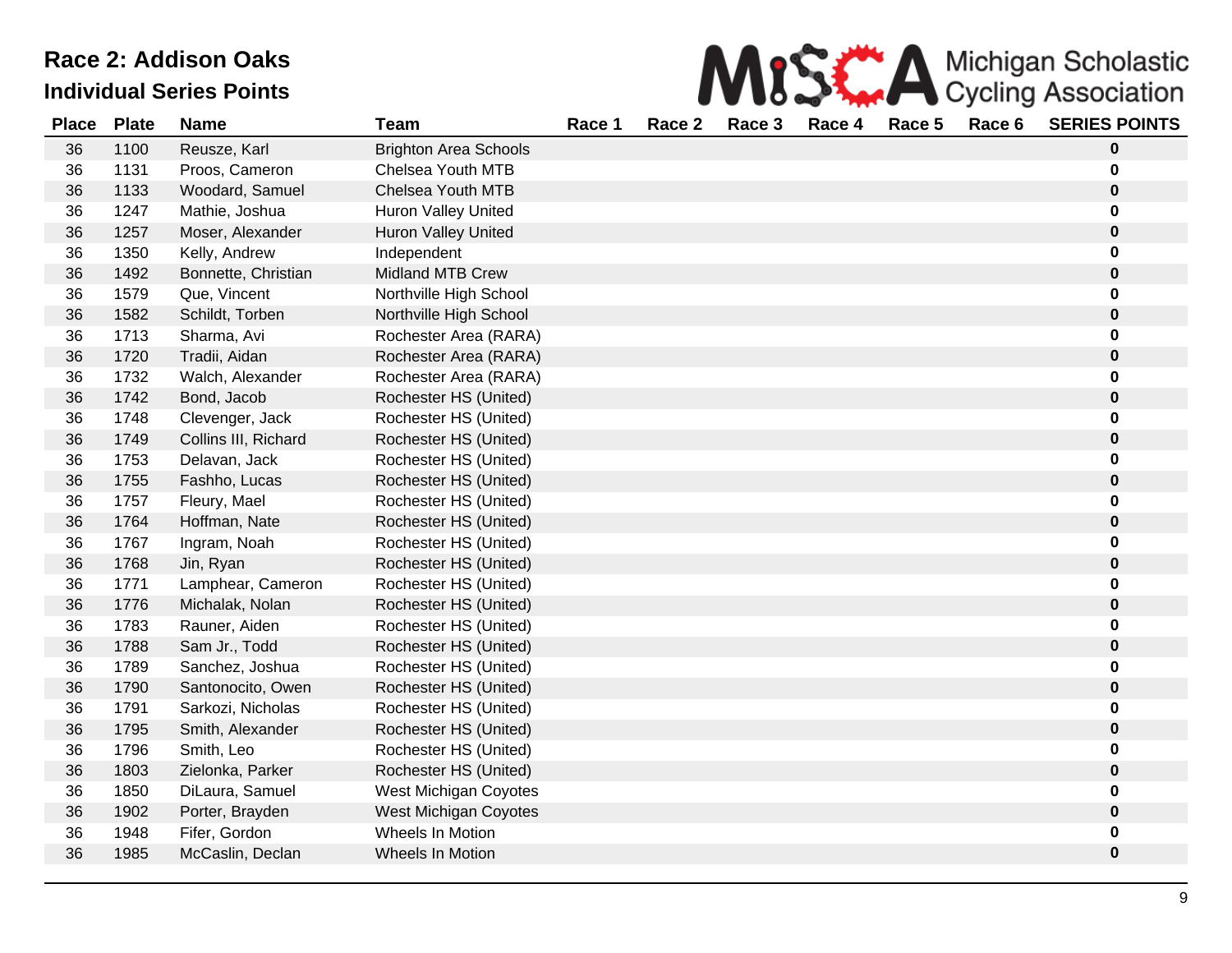| MISS A Michigan Scholastic |
|----------------------------|
|                            |

| <b>Place</b> | <b>Plate</b> | <b>Name</b>          | <b>Team</b>                  | Race 1 | Race 2 | Race 3 | Race 4 | Race 5 | Race 6 | <b>SERIES POINTS</b> |
|--------------|--------------|----------------------|------------------------------|--------|--------|--------|--------|--------|--------|----------------------|
| 36           | 1100         | Reusze, Karl         | <b>Brighton Area Schools</b> |        |        |        |        |        |        | 0                    |
| 36           | 1131         | Proos, Cameron       | Chelsea Youth MTB            |        |        |        |        |        |        | 0                    |
| 36           | 1133         | Woodard, Samuel      | Chelsea Youth MTB            |        |        |        |        |        |        | 0                    |
| 36           | 1247         | Mathie, Joshua       | <b>Huron Valley United</b>   |        |        |        |        |        |        | 0                    |
| 36           | 1257         | Moser, Alexander     | <b>Huron Valley United</b>   |        |        |        |        |        |        | 0                    |
| 36           | 1350         | Kelly, Andrew        | Independent                  |        |        |        |        |        |        | 0                    |
| 36           | 1492         | Bonnette, Christian  | <b>Midland MTB Crew</b>      |        |        |        |        |        |        | 0                    |
| 36           | 1579         | Que, Vincent         | Northville High School       |        |        |        |        |        |        | 0                    |
| 36           | 1582         | Schildt, Torben      | Northville High School       |        |        |        |        |        |        | 0                    |
| 36           | 1713         | Sharma, Avi          | Rochester Area (RARA)        |        |        |        |        |        |        | U                    |
| 36           | 1720         | Tradii, Aidan        | Rochester Area (RARA)        |        |        |        |        |        |        | 0                    |
| 36           | 1732         | Walch, Alexander     | Rochester Area (RARA)        |        |        |        |        |        |        |                      |
| 36           | 1742         | Bond, Jacob          | Rochester HS (United)        |        |        |        |        |        |        | 0                    |
| 36           | 1748         | Clevenger, Jack      | Rochester HS (United)        |        |        |        |        |        |        |                      |
| 36           | 1749         | Collins III, Richard | Rochester HS (United)        |        |        |        |        |        |        | 0                    |
| 36           | 1753         | Delavan, Jack        | Rochester HS (United)        |        |        |        |        |        |        | 0                    |
| 36           | 1755         | Fashho, Lucas        | Rochester HS (United)        |        |        |        |        |        |        | 0                    |
| 36           | 1757         | Fleury, Mael         | Rochester HS (United)        |        |        |        |        |        |        | 0                    |
| 36           | 1764         | Hoffman, Nate        | Rochester HS (United)        |        |        |        |        |        |        | 0                    |
| 36           | 1767         | Ingram, Noah         | Rochester HS (United)        |        |        |        |        |        |        | 0                    |
| 36           | 1768         | Jin, Ryan            | Rochester HS (United)        |        |        |        |        |        |        | 0                    |
| 36           | 1771         | Lamphear, Cameron    | Rochester HS (United)        |        |        |        |        |        |        | 0                    |
| 36           | 1776         | Michalak, Nolan      | Rochester HS (United)        |        |        |        |        |        |        | 0                    |
| 36           | 1783         | Rauner, Aiden        | Rochester HS (United)        |        |        |        |        |        |        | 0                    |
| 36           | 1788         | Sam Jr., Todd        | Rochester HS (United)        |        |        |        |        |        |        | 0                    |
| 36           | 1789         | Sanchez, Joshua      | Rochester HS (United)        |        |        |        |        |        |        | 0                    |
| 36           | 1790         | Santonocito, Owen    | Rochester HS (United)        |        |        |        |        |        |        | 0                    |
| 36           | 1791         | Sarkozi, Nicholas    | Rochester HS (United)        |        |        |        |        |        |        | 0                    |
| 36           | 1795         | Smith, Alexander     | Rochester HS (United)        |        |        |        |        |        |        | 0                    |
| 36           | 1796         | Smith, Leo           | Rochester HS (United)        |        |        |        |        |        |        | 0                    |
| 36           | 1803         | Zielonka, Parker     | Rochester HS (United)        |        |        |        |        |        |        | 0                    |
| 36           | 1850         | DiLaura, Samuel      | West Michigan Coyotes        |        |        |        |        |        |        | 0                    |
| 36           | 1902         | Porter, Brayden      | West Michigan Coyotes        |        |        |        |        |        |        | 0                    |
| 36           | 1948         | Fifer, Gordon        | Wheels In Motion             |        |        |        |        |        |        | 0                    |
| 36           | 1985         | McCaslin, Declan     | Wheels In Motion             |        |        |        |        |        |        | 0                    |
|              |              |                      |                              |        |        |        |        |        |        |                      |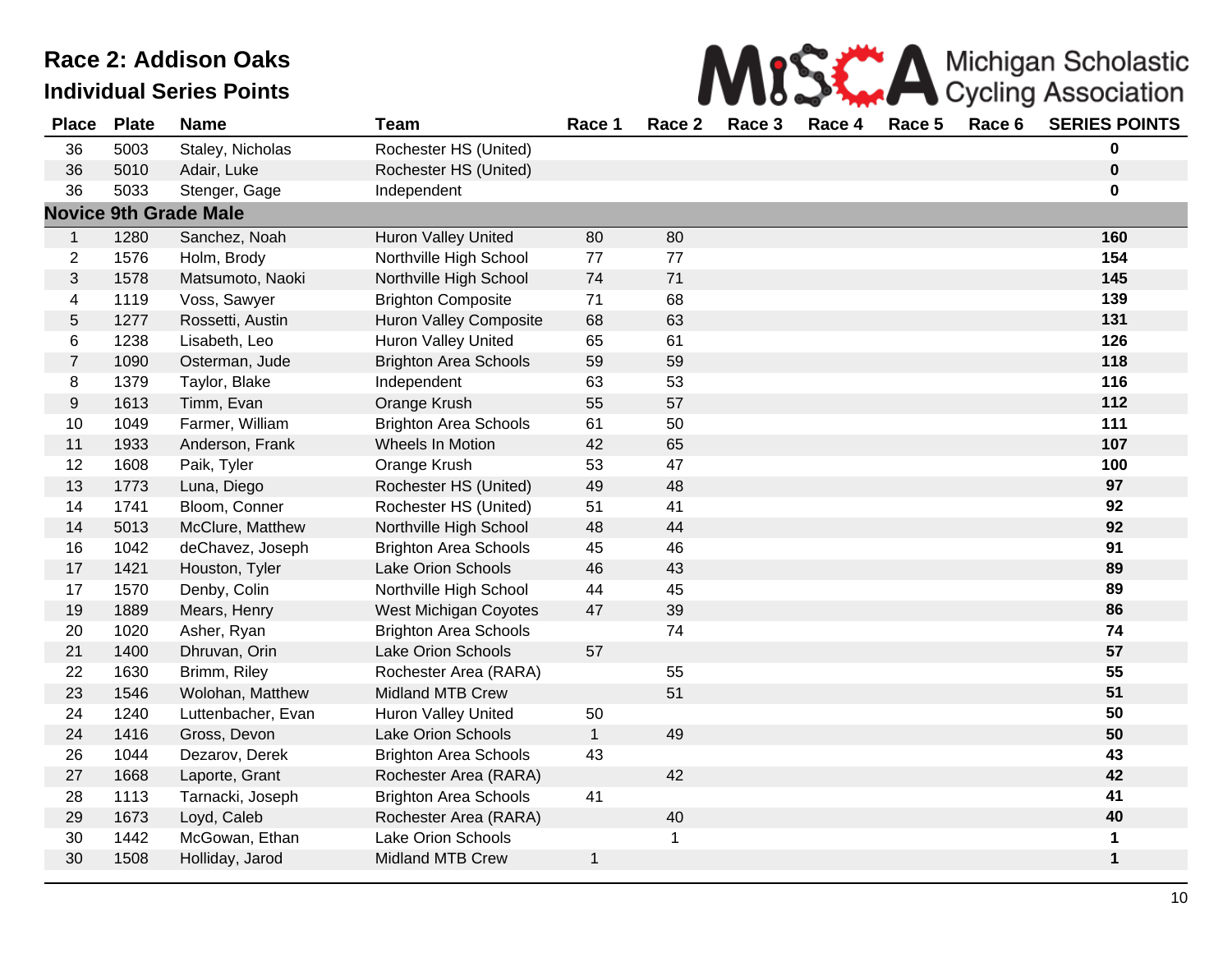

| <b>Place</b>     | <b>Plate</b> | <b>Name</b>                  | <b>Team</b>                   | Race 1       | Race 2 | Race 3 | Race 4 | Race 5 | Race 6 | <b>SERIES POINTS</b> |
|------------------|--------------|------------------------------|-------------------------------|--------------|--------|--------|--------|--------|--------|----------------------|
| 36               | 5003         | Staley, Nicholas             | Rochester HS (United)         |              |        |        |        |        |        | 0                    |
| 36               | 5010         | Adair, Luke                  | Rochester HS (United)         |              |        |        |        |        |        | $\pmb{0}$            |
| 36               | 5033         | Stenger, Gage                | Independent                   |              |        |        |        |        |        | 0                    |
|                  |              | <b>Novice 9th Grade Male</b> |                               |              |        |        |        |        |        |                      |
| $\mathbf{1}$     | 1280         | Sanchez, Noah                | Huron Valley United           | 80           | 80     |        |        |        |        | 160                  |
| $\overline{2}$   | 1576         | Holm, Brody                  | Northville High School        | 77           | 77     |        |        |        |        | 154                  |
| $\sqrt{3}$       | 1578         | Matsumoto, Naoki             | Northville High School        | 74           | 71     |        |        |        |        | 145                  |
| $\overline{4}$   | 1119         | Voss, Sawyer                 | <b>Brighton Composite</b>     | 71           | 68     |        |        |        |        | 139                  |
| $\sqrt{5}$       | 1277         | Rossetti, Austin             | <b>Huron Valley Composite</b> | 68           | 63     |        |        |        |        | 131                  |
| 6                | 1238         | Lisabeth, Leo                | Huron Valley United           | 65           | 61     |        |        |        |        | 126                  |
| $\overline{7}$   | 1090         | Osterman, Jude               | <b>Brighton Area Schools</b>  | 59           | 59     |        |        |        |        | 118                  |
| $\bf 8$          | 1379         | Taylor, Blake                | Independent                   | 63           | 53     |        |        |        |        | 116                  |
| $\boldsymbol{9}$ | 1613         | Timm, Evan                   | Orange Krush                  | 55           | 57     |        |        |        |        | 112                  |
| 10               | 1049         | Farmer, William              | <b>Brighton Area Schools</b>  | 61           | 50     |        |        |        |        | 111                  |
| 11               | 1933         | Anderson, Frank              | Wheels In Motion              | 42           | 65     |        |        |        |        | 107                  |
| 12               | 1608         | Paik, Tyler                  | Orange Krush                  | 53           | 47     |        |        |        |        | 100                  |
| 13               | 1773         | Luna, Diego                  | Rochester HS (United)         | 49           | 48     |        |        |        |        | 97                   |
| 14               | 1741         | Bloom, Conner                | Rochester HS (United)         | 51           | 41     |        |        |        |        | 92                   |
| 14               | 5013         | McClure, Matthew             | Northville High School        | 48           | 44     |        |        |        |        | 92                   |
| 16               | 1042         | deChavez, Joseph             | <b>Brighton Area Schools</b>  | 45           | 46     |        |        |        |        | 91                   |
| 17               | 1421         | Houston, Tyler               | Lake Orion Schools            | 46           | 43     |        |        |        |        | 89                   |
| 17               | 1570         | Denby, Colin                 | Northville High School        | 44           | 45     |        |        |        |        | 89                   |
| 19               | 1889         | Mears, Henry                 | West Michigan Coyotes         | 47           | 39     |        |        |        |        | 86                   |
| 20               | 1020         | Asher, Ryan                  | <b>Brighton Area Schools</b>  |              | 74     |        |        |        |        | 74                   |
| 21               | 1400         | Dhruvan, Orin                | Lake Orion Schools            | 57           |        |        |        |        |        | 57                   |
| 22               | 1630         | Brimm, Riley                 | Rochester Area (RARA)         |              | 55     |        |        |        |        | 55                   |
| 23               | 1546         | Wolohan, Matthew             | Midland MTB Crew              |              | 51     |        |        |        |        | 51                   |
| 24               | 1240         | Luttenbacher, Evan           | <b>Huron Valley United</b>    | 50           |        |        |        |        |        | 50                   |
| 24               | 1416         | Gross, Devon                 | Lake Orion Schools            | $\mathbf{1}$ | 49     |        |        |        |        | 50                   |
| 26               | 1044         | Dezarov, Derek               | <b>Brighton Area Schools</b>  | 43           |        |        |        |        |        | 43                   |
| 27               | 1668         | Laporte, Grant               | Rochester Area (RARA)         |              | 42     |        |        |        |        | 42                   |
| 28               | 1113         | Tarnacki, Joseph             | <b>Brighton Area Schools</b>  | 41           |        |        |        |        |        | 41                   |
| 29               | 1673         | Loyd, Caleb                  | Rochester Area (RARA)         |              | 40     |        |        |        |        | 40                   |
| 30               | 1442         | McGowan, Ethan               | Lake Orion Schools            |              | 1      |        |        |        |        | 1                    |
| 30               | 1508         | Holliday, Jarod              | <b>Midland MTB Crew</b>       | $\mathbf{1}$ |        |        |        |        |        | $\mathbf 1$          |
|                  |              |                              |                               |              |        |        |        |        |        |                      |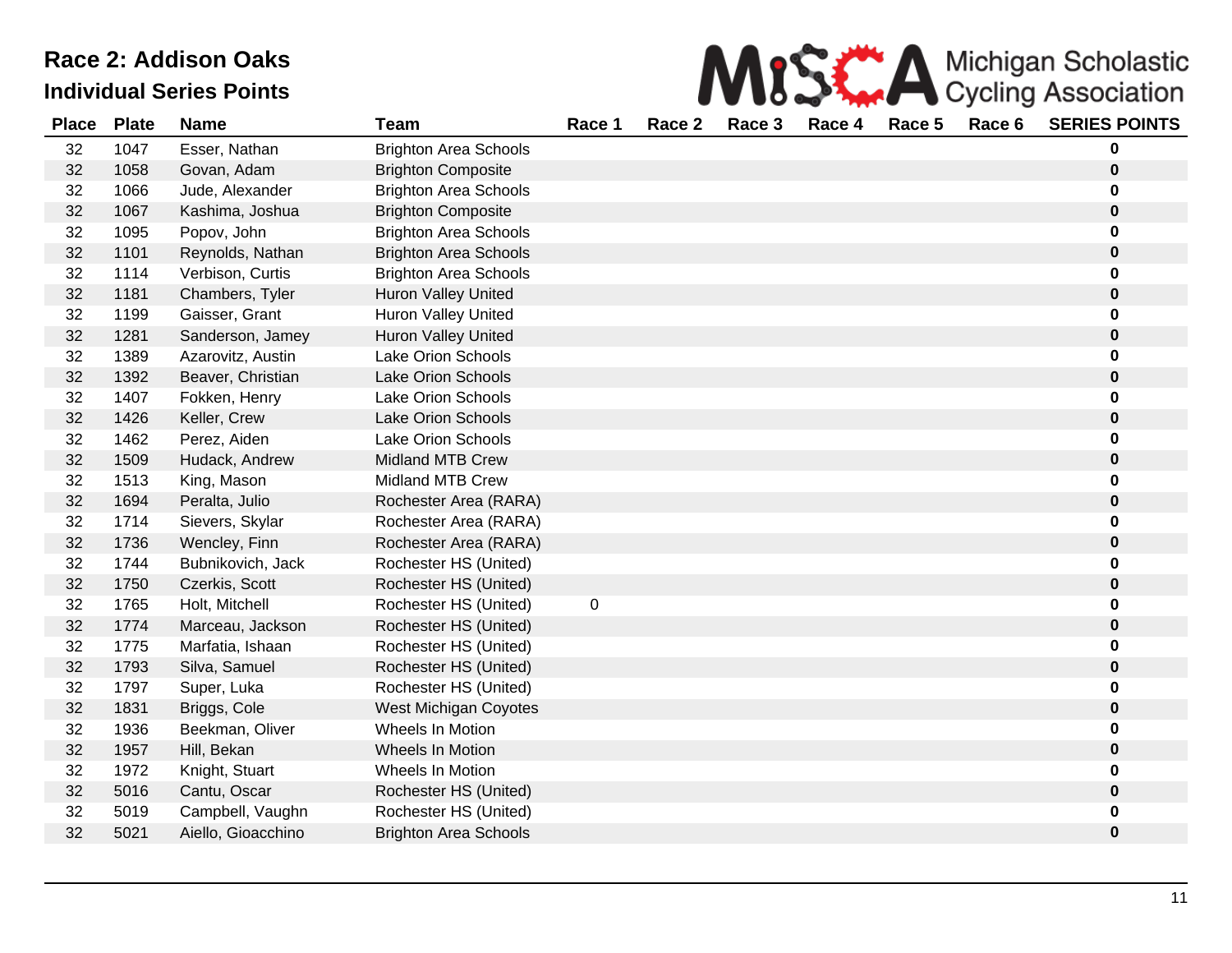| MISS A Michigan Scholastic |
|----------------------------|
|                            |

| <b>Place</b> | <b>Plate</b> | <b>Name</b>        | Team                         | Race 1           | Race 2 | Race 3 | Race 4 | Race 5 | Race 6 | <b>SERIES POINTS</b> |
|--------------|--------------|--------------------|------------------------------|------------------|--------|--------|--------|--------|--------|----------------------|
| 32           | 1047         | Esser, Nathan      | <b>Brighton Area Schools</b> |                  |        |        |        |        |        | 0                    |
| 32           | 1058         | Govan, Adam        | <b>Brighton Composite</b>    |                  |        |        |        |        |        | $\mathbf 0$          |
| 32           | 1066         | Jude, Alexander    | <b>Brighton Area Schools</b> |                  |        |        |        |        |        | 0                    |
| 32           | 1067         | Kashima, Joshua    | <b>Brighton Composite</b>    |                  |        |        |        |        |        | $\bf{0}$             |
| 32           | 1095         | Popov, John        | <b>Brighton Area Schools</b> |                  |        |        |        |        |        | 0                    |
| 32           | 1101         | Reynolds, Nathan   | <b>Brighton Area Schools</b> |                  |        |        |        |        |        | 0                    |
| 32           | 1114         | Verbison, Curtis   | <b>Brighton Area Schools</b> |                  |        |        |        |        |        | 0                    |
| 32           | 1181         | Chambers, Tyler    | Huron Valley United          |                  |        |        |        |        |        | 0                    |
| 32           | 1199         | Gaisser, Grant     | <b>Huron Valley United</b>   |                  |        |        |        |        |        | 0                    |
| 32           | 1281         | Sanderson, Jamey   | <b>Huron Valley United</b>   |                  |        |        |        |        |        | 0                    |
| 32           | 1389         | Azarovitz, Austin  | <b>Lake Orion Schools</b>    |                  |        |        |        |        |        | 0                    |
| 32           | 1392         | Beaver, Christian  | <b>Lake Orion Schools</b>    |                  |        |        |        |        |        | 0                    |
| 32           | 1407         | Fokken, Henry      | <b>Lake Orion Schools</b>    |                  |        |        |        |        |        | 0                    |
| 32           | 1426         | Keller, Crew       | <b>Lake Orion Schools</b>    |                  |        |        |        |        |        | 0                    |
| 32           | 1462         | Perez, Aiden       | <b>Lake Orion Schools</b>    |                  |        |        |        |        |        | 0                    |
| 32           | 1509         | Hudack, Andrew     | <b>Midland MTB Crew</b>      |                  |        |        |        |        |        | 0                    |
| 32           | 1513         | King, Mason        | Midland MTB Crew             |                  |        |        |        |        |        | 0                    |
| 32           | 1694         | Peralta, Julio     | Rochester Area (RARA)        |                  |        |        |        |        |        | 0                    |
| 32           | 1714         | Sievers, Skylar    | Rochester Area (RARA)        |                  |        |        |        |        |        | 0                    |
| 32           | 1736         | Wencley, Finn      | Rochester Area (RARA)        |                  |        |        |        |        |        | $\pmb{0}$            |
| 32           | 1744         | Bubnikovich, Jack  | Rochester HS (United)        |                  |        |        |        |        |        | 0                    |
| 32           | 1750         | Czerkis, Scott     | Rochester HS (United)        |                  |        |        |        |        |        | 0                    |
| 32           | 1765         | Holt, Mitchell     | Rochester HS (United)        | $\boldsymbol{0}$ |        |        |        |        |        | 0                    |
| 32           | 1774         | Marceau, Jackson   | Rochester HS (United)        |                  |        |        |        |        |        | $\mathbf 0$          |
| 32           | 1775         | Marfatia, Ishaan   | Rochester HS (United)        |                  |        |        |        |        |        | 0                    |
| 32           | 1793         | Silva, Samuel      | Rochester HS (United)        |                  |        |        |        |        |        | 0                    |
| 32           | 1797         | Super, Luka        | Rochester HS (United)        |                  |        |        |        |        |        | 0                    |
| 32           | 1831         | Briggs, Cole       | West Michigan Coyotes        |                  |        |        |        |        |        | 0                    |
| 32           | 1936         | Beekman, Oliver    | Wheels In Motion             |                  |        |        |        |        |        | 0                    |
| 32           | 1957         | Hill, Bekan        | Wheels In Motion             |                  |        |        |        |        |        | 0                    |
| 32           | 1972         | Knight, Stuart     | Wheels In Motion             |                  |        |        |        |        |        | 0                    |
| 32           | 5016         | Cantu, Oscar       | Rochester HS (United)        |                  |        |        |        |        |        | 0                    |
| 32           | 5019         | Campbell, Vaughn   | Rochester HS (United)        |                  |        |        |        |        |        | 0                    |
| 32           | 5021         | Aiello, Gioacchino | <b>Brighton Area Schools</b> |                  |        |        |        |        |        | $\bf{0}$             |
|              |              |                    |                              |                  |        |        |        |        |        |                      |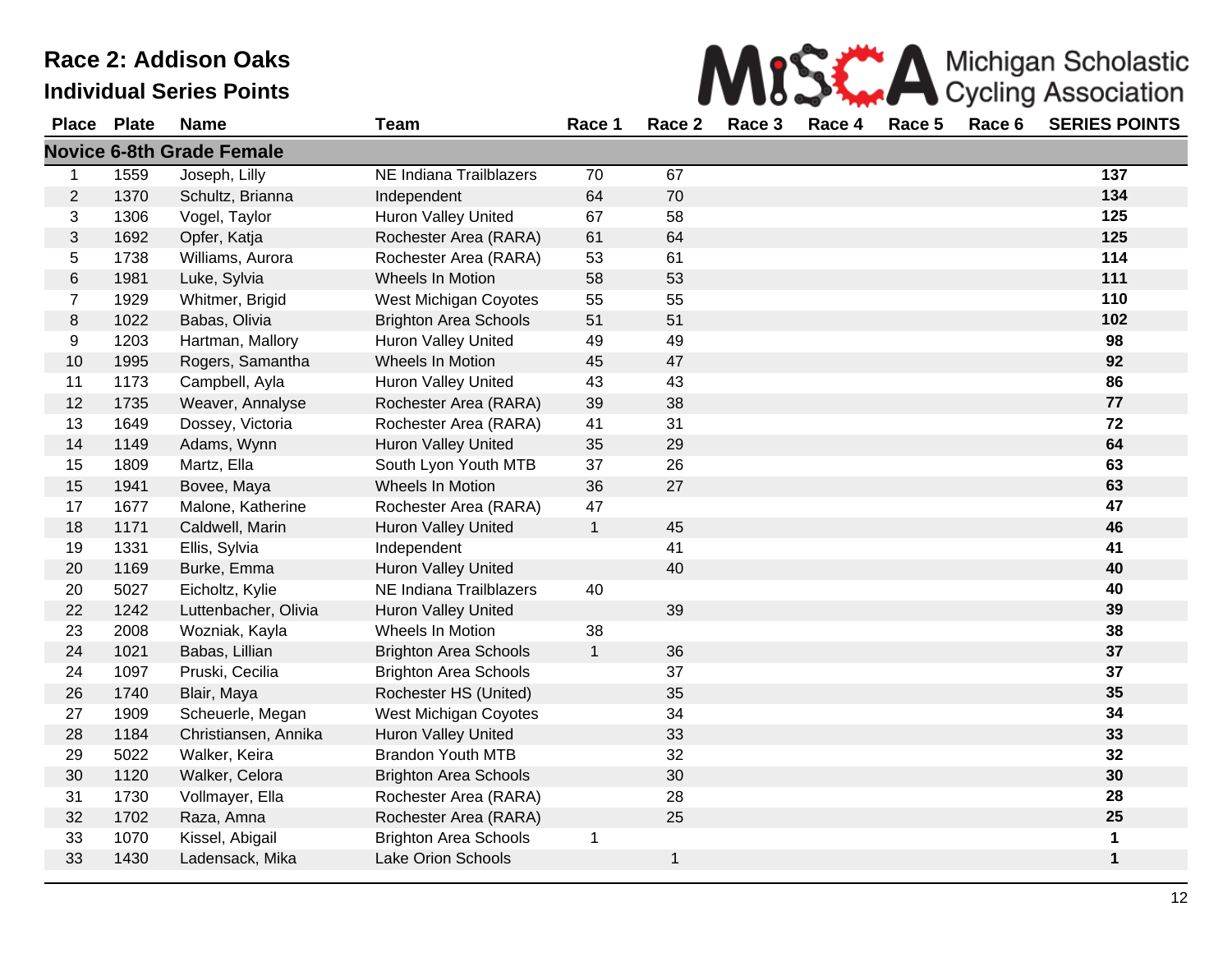33 1430 Ladensack, Mika Lake Orion Schools

|              |              | Race 2: Addison Oaks             |                              |              |        |        |        |        |        | Michigan Scholastic        |
|--------------|--------------|----------------------------------|------------------------------|--------------|--------|--------|--------|--------|--------|----------------------------|
|              |              | <b>Individual Series Points</b>  |                              |              |        |        |        |        |        | <b>Cycling Association</b> |
| <b>Place</b> | <b>Plate</b> | <b>Name</b>                      | Team                         | Race 1       | Race 2 | Race 3 | Race 4 | Race 5 | Race 6 | <b>SERIES POINTS</b>       |
|              |              | <b>Novice 6-8th Grade Female</b> |                              |              |        |        |        |        |        |                            |
| $\mathbf 1$  | 1559         | Joseph, Lilly                    | NE Indiana Trailblazers      | 70           | 67     |        |        |        |        | 137                        |
| 2            | 1370         | Schultz, Brianna                 | Independent                  | 64           | 70     |        |        |        |        | 134                        |
| 3            | 1306         | Vogel, Taylor                    | <b>Huron Valley United</b>   | 67           | 58     |        |        |        |        | 125                        |
| $\mathbf{3}$ | 1692         | Opfer, Katja                     | Rochester Area (RARA)        | 61           | 64     |        |        |        |        | 125                        |
| 5            | 1738         | Williams, Aurora                 | Rochester Area (RARA)        | 53           | 61     |        |        |        |        | 114                        |
| $\,6$        | 1981         | Luke, Sylvia                     | Wheels In Motion             | 58           | 53     |        |        |        |        | 111                        |
| 7            | 1929         | Whitmer, Brigid                  | <b>West Michigan Coyotes</b> | 55           | 55     |        |        |        |        | 110                        |
| 8            | 1022         | Babas, Olivia                    | <b>Brighton Area Schools</b> | 51           | 51     |        |        |        |        | 102                        |
| 9            | 1203         | Hartman, Mallory                 | <b>Huron Valley United</b>   | 49           | 49     |        |        |        |        | 98                         |
| 10           | 1995         | Rogers, Samantha                 | Wheels In Motion             | 45           | 47     |        |        |        |        | 92                         |
| 11           | 1173         | Campbell, Ayla                   | <b>Huron Valley United</b>   | 43           | 43     |        |        |        |        | 86                         |
| 12           | 1735         | Weaver, Annalyse                 | Rochester Area (RARA)        | 39           | 38     |        |        |        |        | 77                         |
| 13           | 1649         | Dossey, Victoria                 | Rochester Area (RARA)        | 41           | 31     |        |        |        |        | 72                         |
| 14           | 1149         | Adams, Wynn                      | Huron Valley United          | 35           | 29     |        |        |        |        | 64                         |
| 15           | 1809         | Martz, Ella                      | South Lyon Youth MTB         | 37           | 26     |        |        |        |        | 63                         |
| 15           | 1941         | Bovee, Maya                      | Wheels In Motion             | 36           | 27     |        |        |        |        | 63                         |
| 17           | 1677         | Malone, Katherine                | Rochester Area (RARA)        | 47           |        |        |        |        |        | 47                         |
| 18           | 1171         | Caldwell, Marin                  | <b>Huron Valley United</b>   | $\mathbf{1}$ | 45     |        |        |        |        | 46                         |
| 19           | 1331         | Ellis, Sylvia                    | Independent                  |              | 41     |        |        |        |        | 41                         |
| 20           | 1169         | Burke, Emma                      | <b>Huron Valley United</b>   |              | 40     |        |        |        |        | 40                         |
| 20           | 5027         | Eicholtz, Kylie                  | NE Indiana Trailblazers      | 40           |        |        |        |        |        | 40                         |
| 22           | 1242         | Luttenbacher, Olivia             | <b>Huron Valley United</b>   |              | 39     |        |        |        |        | 39                         |
| 23           | 2008         | Wozniak, Kayla                   | Wheels In Motion             | 38           |        |        |        |        |        | 38                         |
| 24           | 1021         | Babas, Lillian                   | <b>Brighton Area Schools</b> | $\mathbf{1}$ | 36     |        |        |        |        | 37                         |
| 24           | 1097         | Pruski, Cecilia                  | <b>Brighton Area Schools</b> |              | 37     |        |        |        |        | 37                         |
| 26           | 1740         | Blair, Maya                      | Rochester HS (United)        |              | 35     |        |        |        |        | 35                         |
| 27           | 1909         | Scheuerle, Megan                 | West Michigan Coyotes        |              | 34     |        |        |        |        | 34                         |
| 28           | 1184         | Christiansen, Annika             | Huron Valley United          |              | 33     |        |        |        |        | 33                         |
| 29           | 5022         | Walker, Keira                    | <b>Brandon Youth MTB</b>     |              | 32     |        |        |        |        | 32                         |
| 30           | 1120         | Walker, Celora                   | <b>Brighton Area Schools</b> |              | 30     |        |        |        |        | 30                         |
| 31           | 1730         | Vollmayer, Ella                  | Rochester Area (RARA)        |              | 28     |        |        |        |        | 28                         |
| 32           | 1702         | Raza, Amna                       | Rochester Area (RARA)        |              | 25     |        |        |        |        | 25                         |

1070 Kissel, Abigail Brighton Area Schools 1 **1**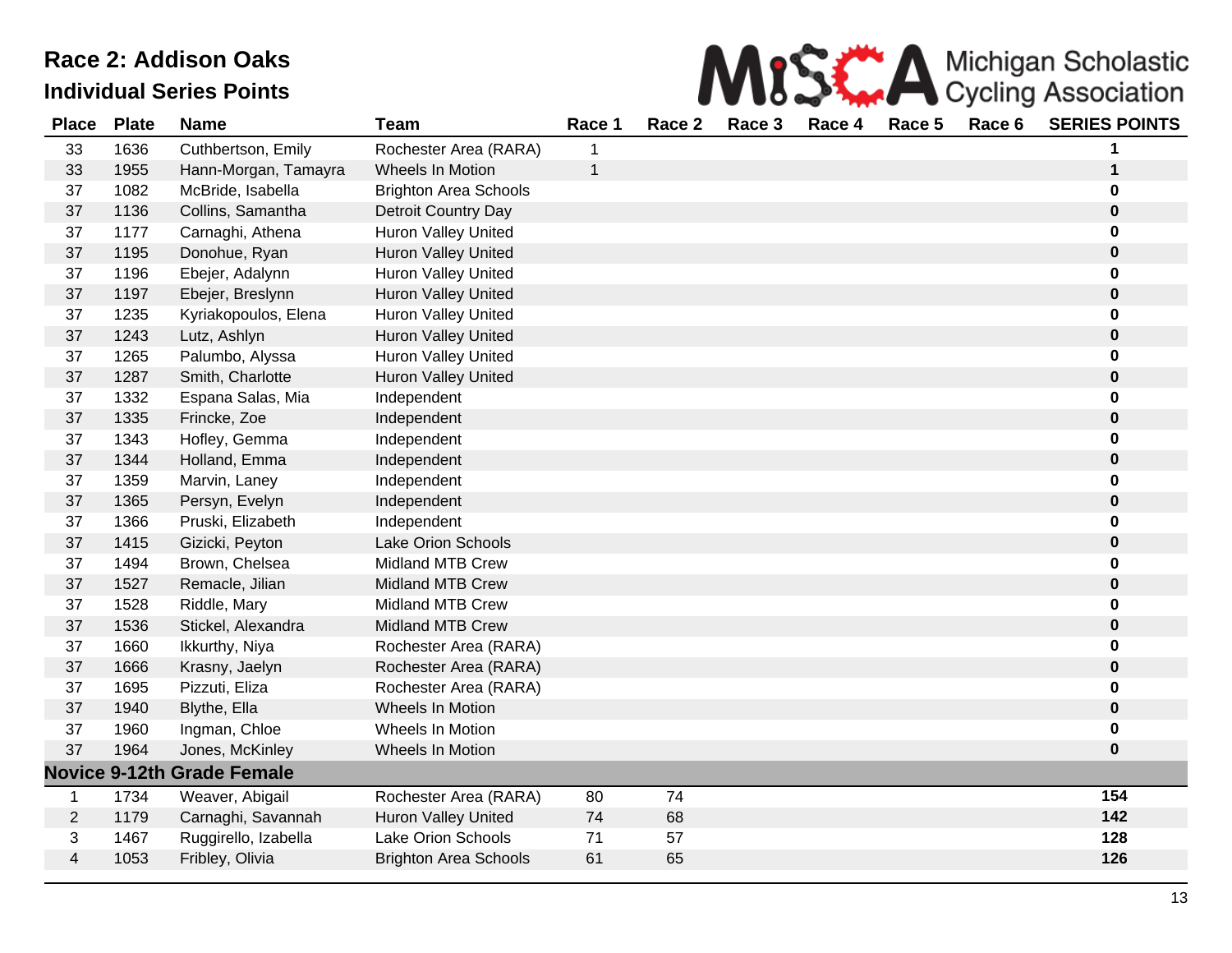

| <b>Place</b>            | <b>Plate</b> | <b>Name</b>                       | <b>Team</b>                  | Race 1 | Race 2 | Race 3 | Race 4 | Race 5 | Race 6 | <b>SERIES POINTS</b> |
|-------------------------|--------------|-----------------------------------|------------------------------|--------|--------|--------|--------|--------|--------|----------------------|
| 33                      | 1636         | Cuthbertson, Emily                | Rochester Area (RARA)        |        |        |        |        |        |        |                      |
| 33                      | 1955         | Hann-Morgan, Tamayra              | Wheels In Motion             | 1      |        |        |        |        |        | 1                    |
| 37                      | 1082         | McBride, Isabella                 | <b>Brighton Area Schools</b> |        |        |        |        |        |        | $\bf{0}$             |
| 37                      | 1136         | Collins, Samantha                 | Detroit Country Day          |        |        |        |        |        |        | $\bf{0}$             |
| 37                      | 1177         | Carnaghi, Athena                  | <b>Huron Valley United</b>   |        |        |        |        |        |        | $\bf{0}$             |
| 37                      | 1195         | Donohue, Ryan                     | Huron Valley United          |        |        |        |        |        |        | $\pmb{0}$            |
| 37                      | 1196         | Ebejer, Adalynn                   | <b>Huron Valley United</b>   |        |        |        |        |        |        | 0                    |
| 37                      | 1197         | Ebejer, Breslynn                  | Huron Valley United          |        |        |        |        |        |        | $\pmb{0}$            |
| 37                      | 1235         | Kyriakopoulos, Elena              | <b>Huron Valley United</b>   |        |        |        |        |        |        | 0                    |
| 37                      | 1243         | Lutz, Ashlyn                      | Huron Valley United          |        |        |        |        |        |        | $\pmb{0}$            |
| 37                      | 1265         | Palumbo, Alyssa                   | <b>Huron Valley United</b>   |        |        |        |        |        |        | 0                    |
| 37                      | 1287         | Smith, Charlotte                  | <b>Huron Valley United</b>   |        |        |        |        |        |        | $\pmb{0}$            |
| 37                      | 1332         | Espana Salas, Mia                 | Independent                  |        |        |        |        |        |        | 0                    |
| 37                      | 1335         | Frincke, Zoe                      | Independent                  |        |        |        |        |        |        | $\pmb{0}$            |
| 37                      | 1343         | Hofley, Gemma                     | Independent                  |        |        |        |        |        |        | $\bf{0}$             |
| 37                      | 1344         | Holland, Emma                     | Independent                  |        |        |        |        |        |        | $\pmb{0}$            |
| 37                      | 1359         | Marvin, Laney                     | Independent                  |        |        |        |        |        |        | $\bf{0}$             |
| 37                      | 1365         | Persyn, Evelyn                    | Independent                  |        |        |        |        |        |        | $\pmb{0}$            |
| 37                      | 1366         | Pruski, Elizabeth                 | Independent                  |        |        |        |        |        |        | 0                    |
| 37                      | 1415         | Gizicki, Peyton                   | Lake Orion Schools           |        |        |        |        |        |        | $\pmb{0}$            |
| 37                      | 1494         | Brown, Chelsea                    | <b>Midland MTB Crew</b>      |        |        |        |        |        |        | 0                    |
| 37                      | 1527         | Remacle, Jilian                   | <b>Midland MTB Crew</b>      |        |        |        |        |        |        | $\pmb{0}$            |
| 37                      | 1528         | Riddle, Mary                      | <b>Midland MTB Crew</b>      |        |        |        |        |        |        | 0                    |
| 37                      | 1536         | Stickel, Alexandra                | Midland MTB Crew             |        |        |        |        |        |        | $\pmb{0}$            |
| 37                      | 1660         | Ikkurthy, Niya                    | Rochester Area (RARA)        |        |        |        |        |        |        | 0                    |
| 37                      | 1666         | Krasny, Jaelyn                    | Rochester Area (RARA)        |        |        |        |        |        |        | $\pmb{0}$            |
| 37                      | 1695         | Pizzuti, Eliza                    | Rochester Area (RARA)        |        |        |        |        |        |        | 0                    |
| 37                      | 1940         | Blythe, Ella                      | <b>Wheels In Motion</b>      |        |        |        |        |        |        | $\bf{0}$             |
| 37                      | 1960         | Ingman, Chloe                     | Wheels In Motion             |        |        |        |        |        |        | $\bf{0}$             |
| 37                      | 1964         | Jones, McKinley                   | <b>Wheels In Motion</b>      |        |        |        |        |        |        | $\bf{0}$             |
|                         |              | <b>Novice 9-12th Grade Female</b> |                              |        |        |        |        |        |        |                      |
| 1                       | 1734         | Weaver, Abigail                   | Rochester Area (RARA)        | 80     | 74     |        |        |        |        | 154                  |
| $\mathbf{2}$            | 1179         | Carnaghi, Savannah                | <b>Huron Valley United</b>   | 74     | 68     |        |        |        |        | 142                  |
| 3                       | 1467         | Ruggirello, Izabella              | <b>Lake Orion Schools</b>    | 71     | 57     |        |        |        |        | 128                  |
| $\overline{\mathbf{4}}$ | 1053         | Fribley, Olivia                   | <b>Brighton Area Schools</b> | 61     | 65     |        |        |        |        | 126                  |
|                         |              |                                   |                              |        |        |        |        |        |        |                      |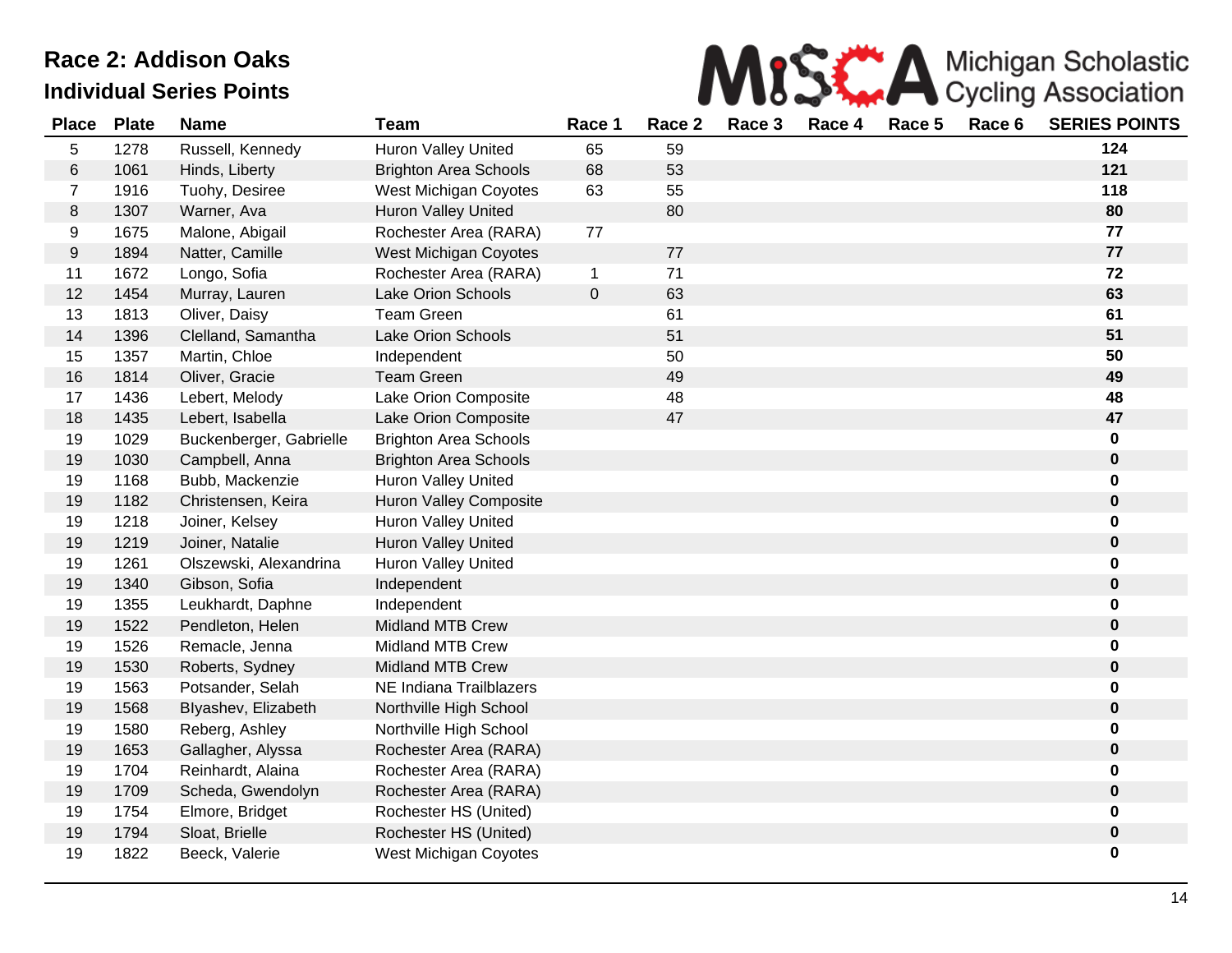

| <b>Place</b>   | <b>Plate</b> | <b>Name</b>             | <b>Team</b>                  | Race 1       | Race 2 | Race 3 | Race 4 | Race 5 | Race 6 | <b>SERIES POINTS</b> |
|----------------|--------------|-------------------------|------------------------------|--------------|--------|--------|--------|--------|--------|----------------------|
| 5              | 1278         | Russell, Kennedy        | Huron Valley United          | 65           | 59     |        |        |        |        | 124                  |
| $\,6$          | 1061         | Hinds, Liberty          | <b>Brighton Area Schools</b> | 68           | 53     |        |        |        |        | 121                  |
| $\overline{7}$ | 1916         | Tuohy, Desiree          | West Michigan Coyotes        | 63           | 55     |        |        |        |        | 118                  |
| 8              | 1307         | Warner, Ava             | <b>Huron Valley United</b>   |              | 80     |        |        |        |        | 80                   |
| 9              | 1675         | Malone, Abigail         | Rochester Area (RARA)        | 77           |        |        |        |        |        | 77                   |
| 9              | 1894         | Natter, Camille         | West Michigan Coyotes        |              | 77     |        |        |        |        | 77                   |
| 11             | 1672         | Longo, Sofia            | Rochester Area (RARA)        | $\mathbf 1$  | 71     |        |        |        |        | 72                   |
| 12             | 1454         | Murray, Lauren          | <b>Lake Orion Schools</b>    | $\mathbf{O}$ | 63     |        |        |        |        | 63                   |
| 13             | 1813         | Oliver, Daisy           | <b>Team Green</b>            |              | 61     |        |        |        |        | 61                   |
| 14             | 1396         | Clelland, Samantha      | <b>Lake Orion Schools</b>    |              | 51     |        |        |        |        | 51                   |
| 15             | 1357         | Martin, Chloe           | Independent                  |              | 50     |        |        |        |        | 50                   |
| 16             | 1814         | Oliver, Gracie          | <b>Team Green</b>            |              | 49     |        |        |        |        | 49                   |
| 17             | 1436         | Lebert, Melody          | Lake Orion Composite         |              | 48     |        |        |        |        | 48                   |
| 18             | 1435         | Lebert, Isabella        | Lake Orion Composite         |              | 47     |        |        |        |        | 47                   |
| 19             | 1029         | Buckenberger, Gabrielle | <b>Brighton Area Schools</b> |              |        |        |        |        |        | $\mathbf 0$          |
| 19             | 1030         | Campbell, Anna          | <b>Brighton Area Schools</b> |              |        |        |        |        |        | $\pmb{0}$            |
| 19             | 1168         | Bubb, Mackenzie         | <b>Huron Valley United</b>   |              |        |        |        |        |        | $\mathbf 0$          |
| 19             | 1182         | Christensen, Keira      | Huron Valley Composite       |              |        |        |        |        |        | $\bf{0}$             |
| 19             | 1218         | Joiner, Kelsey          | <b>Huron Valley United</b>   |              |        |        |        |        |        | 0                    |
| 19             | 1219         | Joiner, Natalie         | <b>Huron Valley United</b>   |              |        |        |        |        |        | $\pmb{0}$            |
| 19             | 1261         | Olszewski, Alexandrina  | <b>Huron Valley United</b>   |              |        |        |        |        |        | 0                    |
| 19             | 1340         | Gibson, Sofia           | Independent                  |              |        |        |        |        |        | $\pmb{0}$            |
| 19             | 1355         | Leukhardt, Daphne       | Independent                  |              |        |        |        |        |        | 0                    |
| 19             | 1522         | Pendleton, Helen        | Midland MTB Crew             |              |        |        |        |        |        | $\pmb{0}$            |
| 19             | 1526         | Remacle, Jenna          | <b>Midland MTB Crew</b>      |              |        |        |        |        |        | 0                    |
| 19             | 1530         | Roberts, Sydney         | <b>Midland MTB Crew</b>      |              |        |        |        |        |        | $\pmb{0}$            |
| 19             | 1563         | Potsander, Selah        | NE Indiana Trailblazers      |              |        |        |        |        |        | $\bf{0}$             |
| 19             | 1568         | Blyashev, Elizabeth     | Northville High School       |              |        |        |        |        |        | $\bf{0}$             |
| 19             | 1580         | Reberg, Ashley          | Northville High School       |              |        |        |        |        |        | 0                    |
| 19             | 1653         | Gallagher, Alyssa       | Rochester Area (RARA)        |              |        |        |        |        |        | $\mathbf 0$          |
| 19             | 1704         | Reinhardt, Alaina       | Rochester Area (RARA)        |              |        |        |        |        |        | 0                    |
| 19             | 1709         | Scheda, Gwendolyn       | Rochester Area (RARA)        |              |        |        |        |        |        | $\mathbf 0$          |
| 19             | 1754         | Elmore, Bridget         | Rochester HS (United)        |              |        |        |        |        |        | $\mathbf 0$          |
| 19             | 1794         | Sloat, Brielle          | Rochester HS (United)        |              |        |        |        |        |        | $\mathbf 0$          |
| 19             | 1822         | Beeck, Valerie          | West Michigan Coyotes        |              |        |        |        |        |        | $\mathbf 0$          |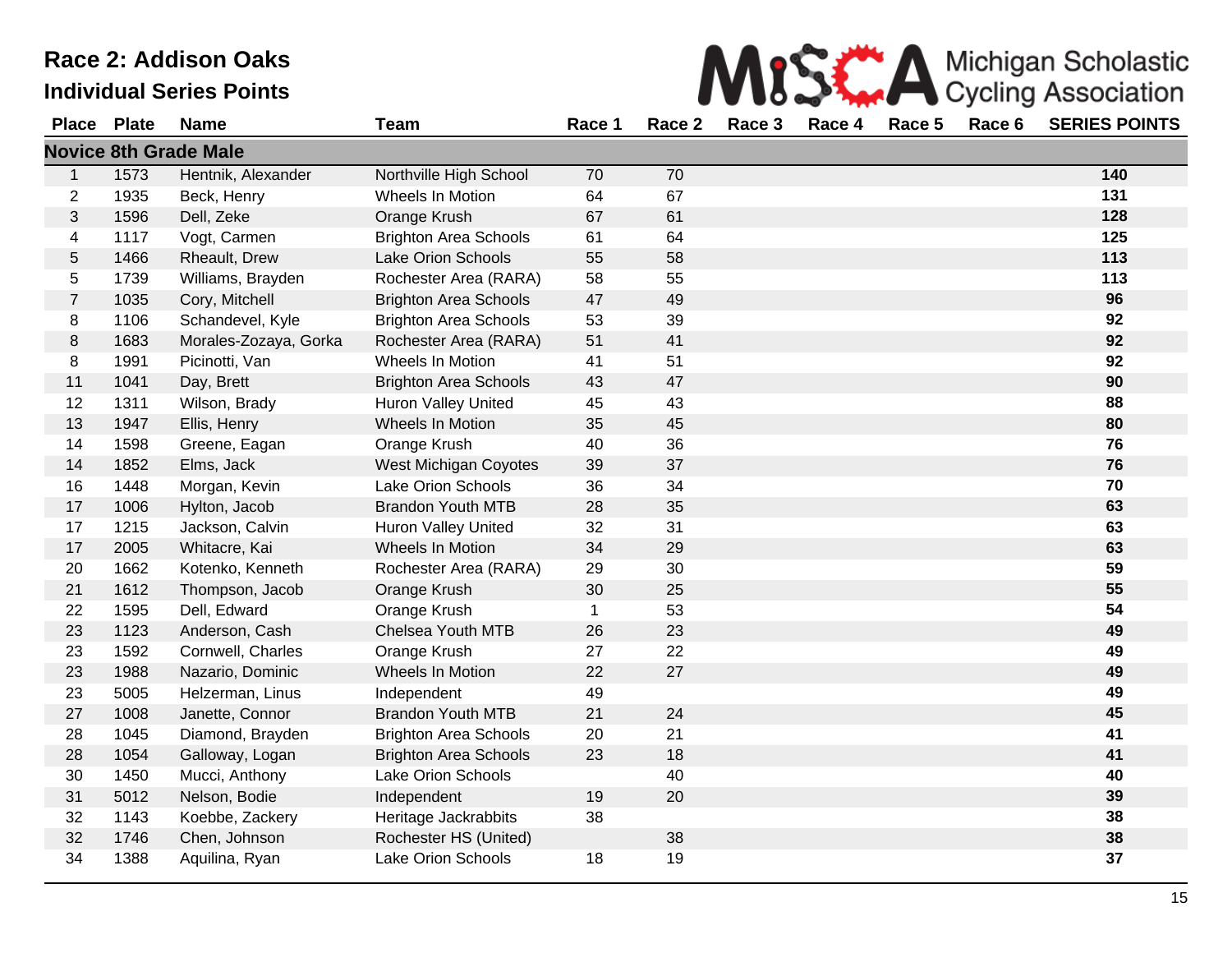# Race 2: **Individual**

| Race 2: Addison Oaks |              |                                 |                              |        |        |        |        |        | Michigan Scholastic<br>Cycling Association |                      |
|----------------------|--------------|---------------------------------|------------------------------|--------|--------|--------|--------|--------|--------------------------------------------|----------------------|
|                      |              | <b>Individual Series Points</b> |                              |        |        |        |        |        |                                            |                      |
| <b>Place</b>         | <b>Plate</b> | <b>Name</b>                     | Team                         | Race 1 | Race 2 | Race 3 | Race 4 | Race 5 | Race 6                                     | <b>SERIES POINTS</b> |
|                      |              | <b>Novice 8th Grade Male</b>    |                              |        |        |        |        |        |                                            |                      |
|                      | 1573         | Hentnik, Alexander              | Northville High School       | 70     | 70     |        |        |        |                                            | 140                  |
| $\overline{2}$       | 1935         | Beck, Henry                     | Wheels In Motion             | 64     | 67     |        |        |        |                                            | 131                  |
| 3                    | 1596         | Dell, Zeke                      | Orange Krush                 | 67     | 61     |        |        |        |                                            | 128                  |
| 4                    | 1117         | Vogt, Carmen                    | <b>Brighton Area Schools</b> | 61     | 64     |        |        |        |                                            | 125                  |
| 5                    | 1466         | Rheault, Drew                   | <b>Lake Orion Schools</b>    | 55     | 58     |        |        |        |                                            | 113                  |
| 5                    | 1739         | Williams, Brayden               | Rochester Area (RARA)        | 58     | 55     |        |        |        |                                            | 113                  |
| $\overline{7}$       | 1035         | Cory, Mitchell                  | <b>Brighton Area Schools</b> | 47     | 49     |        |        |        |                                            | 96                   |
| 8                    | 1106         | Schandevel, Kyle                | <b>Brighton Area Schools</b> | 53     | 39     |        |        |        |                                            | 92                   |
| 8                    | 1683         | Morales-Zozaya, Gorka           | Rochester Area (RARA)        | 51     | 41     |        |        |        |                                            | 92                   |
| 8                    | 1991         | Picinotti, Van                  | Wheels In Motion             | 41     | 51     |        |        |        |                                            | 92                   |
| 11                   | 1041         | Day, Brett                      | <b>Brighton Area Schools</b> | 43     | 47     |        |        |        |                                            | 90                   |
| 12                   | 1311         | Wilson, Brady                   | <b>Huron Valley United</b>   | 45     | 43     |        |        |        |                                            | 88                   |
| 13                   | 1947         | Ellis, Henry                    | Wheels In Motion             | 35     | 45     |        |        |        |                                            | 80                   |
| 14                   | 1598         | Greene, Eagan                   | Orange Krush                 | 40     | 36     |        |        |        |                                            | 76                   |
| 14                   | 1852         | Elms, Jack                      | West Michigan Coyotes        | 39     | 37     |        |        |        |                                            | 76                   |
| 16                   | 1448         | Morgan, Kevin                   | <b>Lake Orion Schools</b>    | 36     | 34     |        |        |        |                                            | 70                   |
| 17                   | 1006         | Hylton, Jacob                   | <b>Brandon Youth MTB</b>     | 28     | 35     |        |        |        |                                            | 63                   |
| 17                   | 1215         | Jackson, Calvin                 | <b>Huron Valley United</b>   | 32     | 31     |        |        |        |                                            | 63                   |
| 17                   | 2005         | Whitacre, Kai                   | Wheels In Motion             | 34     | 29     |        |        |        |                                            | 63                   |
| 20                   | 1662         | Kotenko, Kenneth                | Rochester Area (RARA)        | 29     | 30     |        |        |        |                                            | 59                   |

| 63<br>28<br>17<br>1006<br><b>Brandon Youth MTB</b><br>35<br>Hylton, Jacob<br>1215<br><b>Huron Valley United</b><br>32<br>31<br>17<br>Jackson, Calvin<br>63<br>63<br>Whitacre, Kai<br>Wheels In Motion<br>29<br>17<br>2005<br>34<br>59<br>30<br>20<br>Rochester Area (RARA)<br>29<br>1662<br>Kotenko, Kenneth<br>55<br>25<br>21<br>1612<br>Thompson, Jacob<br>Orange Krush<br>30<br>54<br>1595<br>Orange Krush<br>53<br>22<br>Dell, Edward<br>23<br>Chelsea Youth MTB<br>1123<br>Anderson, Cash<br>26<br>23<br>49<br>Cornwell, Charles<br>22<br>49<br>23<br>1592<br>Orange Krush<br>27<br>27<br>23<br>1988<br>Nazario, Dominic<br>Wheels In Motion<br>49<br>22<br>49<br>5005<br>Helzerman, Linus<br>49<br>23<br>Independent<br>27<br><b>Brandon Youth MTB</b><br>21<br>24<br>45<br>1008<br>Janette, Connor<br>41<br>28<br>Diamond, Brayden<br><b>Brighton Area Schools</b><br>20<br>21<br>1045<br>28<br><b>Brighton Area Schools</b><br>Galloway, Logan<br>23<br>18<br>41<br>1054<br>Lake Orion Schools<br>30<br>Mucci, Anthony<br>40<br>1450<br>40<br>31<br>5012<br>Nelson, Bodie<br>20<br>39<br>Independent<br>19<br>38<br>38<br>32<br>1143<br>Koebbe, Zackery<br>Heritage Jackrabbits<br>38<br>38<br>32<br>1746<br>Chen, Johnson<br>Rochester HS (United)<br>37<br>34<br>Lake Orion Schools<br>19<br>1388<br>18<br>Aquilina, Ryan | 10 | 1440 | <b>IVIUIYAII, NEVIII</b> | LANG UTION SUNDOIS | ၁၀ | -94 | 1 V |
|-------------------------------------------------------------------------------------------------------------------------------------------------------------------------------------------------------------------------------------------------------------------------------------------------------------------------------------------------------------------------------------------------------------------------------------------------------------------------------------------------------------------------------------------------------------------------------------------------------------------------------------------------------------------------------------------------------------------------------------------------------------------------------------------------------------------------------------------------------------------------------------------------------------------------------------------------------------------------------------------------------------------------------------------------------------------------------------------------------------------------------------------------------------------------------------------------------------------------------------------------------------------------------------------------------------------------------------|----|------|--------------------------|--------------------|----|-----|-----|
|                                                                                                                                                                                                                                                                                                                                                                                                                                                                                                                                                                                                                                                                                                                                                                                                                                                                                                                                                                                                                                                                                                                                                                                                                                                                                                                                     |    |      |                          |                    |    |     |     |
|                                                                                                                                                                                                                                                                                                                                                                                                                                                                                                                                                                                                                                                                                                                                                                                                                                                                                                                                                                                                                                                                                                                                                                                                                                                                                                                                     |    |      |                          |                    |    |     |     |
|                                                                                                                                                                                                                                                                                                                                                                                                                                                                                                                                                                                                                                                                                                                                                                                                                                                                                                                                                                                                                                                                                                                                                                                                                                                                                                                                     |    |      |                          |                    |    |     |     |
|                                                                                                                                                                                                                                                                                                                                                                                                                                                                                                                                                                                                                                                                                                                                                                                                                                                                                                                                                                                                                                                                                                                                                                                                                                                                                                                                     |    |      |                          |                    |    |     |     |
|                                                                                                                                                                                                                                                                                                                                                                                                                                                                                                                                                                                                                                                                                                                                                                                                                                                                                                                                                                                                                                                                                                                                                                                                                                                                                                                                     |    |      |                          |                    |    |     |     |
|                                                                                                                                                                                                                                                                                                                                                                                                                                                                                                                                                                                                                                                                                                                                                                                                                                                                                                                                                                                                                                                                                                                                                                                                                                                                                                                                     |    |      |                          |                    |    |     |     |
|                                                                                                                                                                                                                                                                                                                                                                                                                                                                                                                                                                                                                                                                                                                                                                                                                                                                                                                                                                                                                                                                                                                                                                                                                                                                                                                                     |    |      |                          |                    |    |     |     |
|                                                                                                                                                                                                                                                                                                                                                                                                                                                                                                                                                                                                                                                                                                                                                                                                                                                                                                                                                                                                                                                                                                                                                                                                                                                                                                                                     |    |      |                          |                    |    |     |     |
|                                                                                                                                                                                                                                                                                                                                                                                                                                                                                                                                                                                                                                                                                                                                                                                                                                                                                                                                                                                                                                                                                                                                                                                                                                                                                                                                     |    |      |                          |                    |    |     |     |
|                                                                                                                                                                                                                                                                                                                                                                                                                                                                                                                                                                                                                                                                                                                                                                                                                                                                                                                                                                                                                                                                                                                                                                                                                                                                                                                                     |    |      |                          |                    |    |     |     |
|                                                                                                                                                                                                                                                                                                                                                                                                                                                                                                                                                                                                                                                                                                                                                                                                                                                                                                                                                                                                                                                                                                                                                                                                                                                                                                                                     |    |      |                          |                    |    |     |     |
|                                                                                                                                                                                                                                                                                                                                                                                                                                                                                                                                                                                                                                                                                                                                                                                                                                                                                                                                                                                                                                                                                                                                                                                                                                                                                                                                     |    |      |                          |                    |    |     |     |
|                                                                                                                                                                                                                                                                                                                                                                                                                                                                                                                                                                                                                                                                                                                                                                                                                                                                                                                                                                                                                                                                                                                                                                                                                                                                                                                                     |    |      |                          |                    |    |     |     |
|                                                                                                                                                                                                                                                                                                                                                                                                                                                                                                                                                                                                                                                                                                                                                                                                                                                                                                                                                                                                                                                                                                                                                                                                                                                                                                                                     |    |      |                          |                    |    |     |     |
|                                                                                                                                                                                                                                                                                                                                                                                                                                                                                                                                                                                                                                                                                                                                                                                                                                                                                                                                                                                                                                                                                                                                                                                                                                                                                                                                     |    |      |                          |                    |    |     |     |
|                                                                                                                                                                                                                                                                                                                                                                                                                                                                                                                                                                                                                                                                                                                                                                                                                                                                                                                                                                                                                                                                                                                                                                                                                                                                                                                                     |    |      |                          |                    |    |     |     |
|                                                                                                                                                                                                                                                                                                                                                                                                                                                                                                                                                                                                                                                                                                                                                                                                                                                                                                                                                                                                                                                                                                                                                                                                                                                                                                                                     |    |      |                          |                    |    |     |     |
|                                                                                                                                                                                                                                                                                                                                                                                                                                                                                                                                                                                                                                                                                                                                                                                                                                                                                                                                                                                                                                                                                                                                                                                                                                                                                                                                     |    |      |                          |                    |    |     |     |
|                                                                                                                                                                                                                                                                                                                                                                                                                                                                                                                                                                                                                                                                                                                                                                                                                                                                                                                                                                                                                                                                                                                                                                                                                                                                                                                                     |    |      |                          |                    |    |     |     |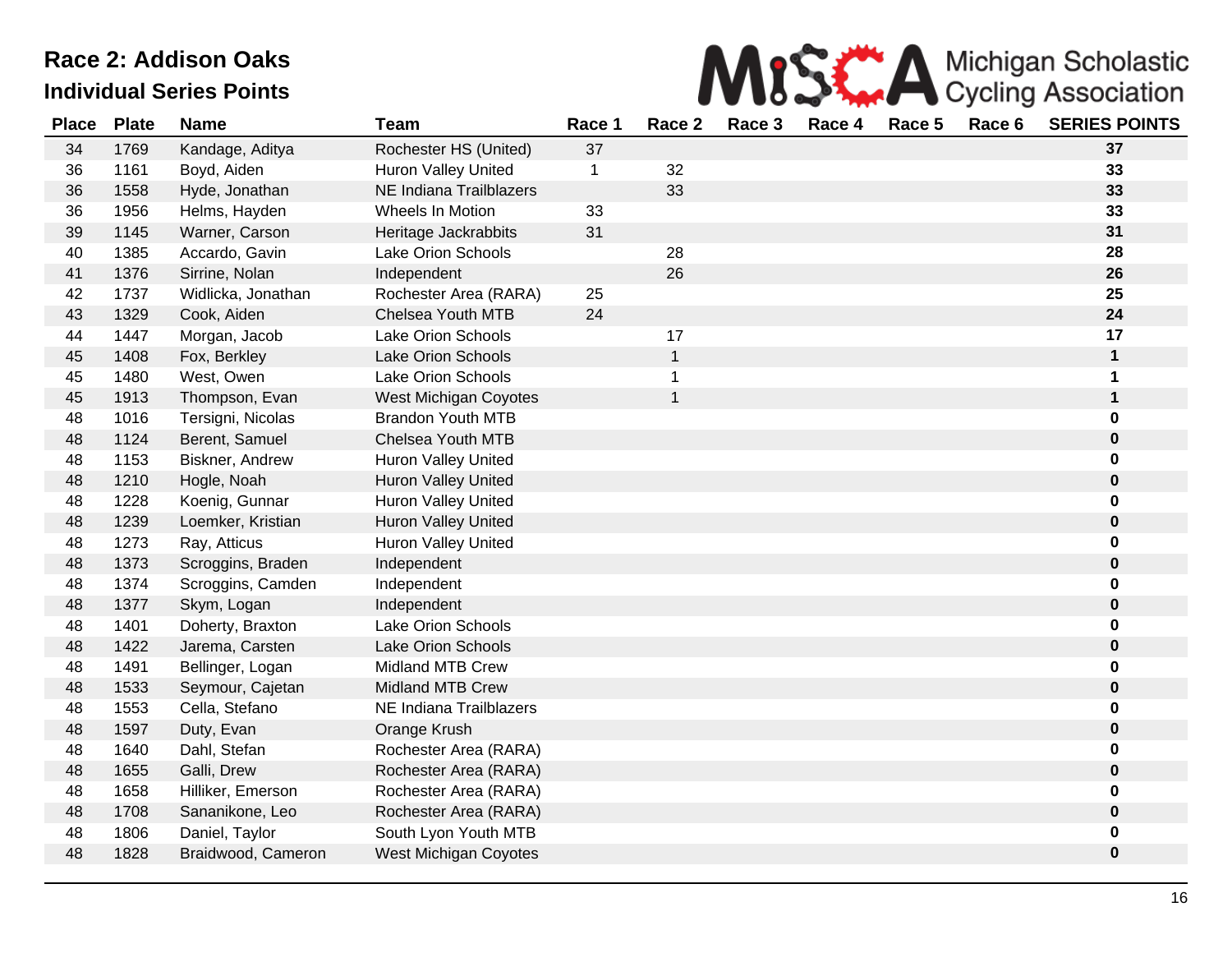

| <b>Place</b> | <b>Plate</b> | <b>Name</b>        | <b>Team</b>                | Race 1      | Race <sub>2</sub> | Race 3 | Race 4 | Race 5 | Race 6 | <b>SERIES POINTS</b> |
|--------------|--------------|--------------------|----------------------------|-------------|-------------------|--------|--------|--------|--------|----------------------|
| 34           | 1769         | Kandage, Aditya    | Rochester HS (United)      | 37          |                   |        |        |        |        | 37                   |
| 36           | 1161         | Boyd, Aiden        | <b>Huron Valley United</b> | $\mathbf 1$ | 32                |        |        |        |        | 33                   |
| 36           | 1558         | Hyde, Jonathan     | NE Indiana Trailblazers    |             | 33                |        |        |        |        | 33                   |
| 36           | 1956         | Helms, Hayden      | Wheels In Motion           | 33          |                   |        |        |        |        | 33                   |
| 39           | 1145         | Warner, Carson     | Heritage Jackrabbits       | 31          |                   |        |        |        |        | 31                   |
| 40           | 1385         | Accardo, Gavin     | Lake Orion Schools         |             | 28                |        |        |        |        | 28                   |
| 41           | 1376         | Sirrine, Nolan     | Independent                |             | 26                |        |        |        |        | 26                   |
| 42           | 1737         | Widlicka, Jonathan | Rochester Area (RARA)      | 25          |                   |        |        |        |        | 25                   |
| 43           | 1329         | Cook, Aiden        | Chelsea Youth MTB          | 24          |                   |        |        |        |        | 24                   |
| 44           | 1447         | Morgan, Jacob      | <b>Lake Orion Schools</b>  |             | 17                |        |        |        |        | 17                   |
| 45           | 1408         | Fox, Berkley       | Lake Orion Schools         |             | 1                 |        |        |        |        | 1                    |
| 45           | 1480         | West, Owen         | <b>Lake Orion Schools</b>  |             | 1                 |        |        |        |        | 1                    |
| 45           | 1913         | Thompson, Evan     | West Michigan Coyotes      |             | 1                 |        |        |        |        | $\mathbf{1}$         |
| 48           | 1016         | Tersigni, Nicolas  | <b>Brandon Youth MTB</b>   |             |                   |        |        |        |        | 0                    |
| 48           | 1124         | Berent, Samuel     | Chelsea Youth MTB          |             |                   |        |        |        |        | 0                    |
| 48           | 1153         | Biskner, Andrew    | Huron Valley United        |             |                   |        |        |        |        | 0                    |
| 48           | 1210         | Hogle, Noah        | <b>Huron Valley United</b> |             |                   |        |        |        |        | 0                    |
| 48           | 1228         | Koenig, Gunnar     | Huron Valley United        |             |                   |        |        |        |        | 0                    |
| 48           | 1239         | Loemker, Kristian  | <b>Huron Valley United</b> |             |                   |        |        |        |        | 0                    |
| 48           | 1273         | Ray, Atticus       | <b>Huron Valley United</b> |             |                   |        |        |        |        | 0                    |
| 48           | 1373         | Scroggins, Braden  | Independent                |             |                   |        |        |        |        | 0                    |
| 48           | 1374         | Scroggins, Camden  | Independent                |             |                   |        |        |        |        | 0                    |
| 48           | 1377         | Skym, Logan        | Independent                |             |                   |        |        |        |        | $\pmb{0}$            |
| 48           | 1401         | Doherty, Braxton   | Lake Orion Schools         |             |                   |        |        |        |        | 0                    |
| 48           | 1422         | Jarema, Carsten    | <b>Lake Orion Schools</b>  |             |                   |        |        |        |        | 0                    |
| 48           | 1491         | Bellinger, Logan   | <b>Midland MTB Crew</b>    |             |                   |        |        |        |        | 0                    |
| 48           | 1533         | Seymour, Cajetan   | <b>Midland MTB Crew</b>    |             |                   |        |        |        |        | 0                    |
| 48           | 1553         | Cella, Stefano     | NE Indiana Trailblazers    |             |                   |        |        |        |        | 0                    |
| 48           | 1597         | Duty, Evan         | Orange Krush               |             |                   |        |        |        |        | 0                    |
| 48           | 1640         | Dahl, Stefan       | Rochester Area (RARA)      |             |                   |        |        |        |        | 0                    |
| 48           | 1655         | Galli, Drew        | Rochester Area (RARA)      |             |                   |        |        |        |        | 0                    |
| 48           | 1658         | Hilliker, Emerson  | Rochester Area (RARA)      |             |                   |        |        |        |        | 0                    |
| 48           | 1708         | Sananikone, Leo    | Rochester Area (RARA)      |             |                   |        |        |        |        | 0                    |
| 48           | 1806         | Daniel, Taylor     | South Lyon Youth MTB       |             |                   |        |        |        |        | 0                    |
| 48           | 1828         | Braidwood, Cameron | West Michigan Coyotes      |             |                   |        |        |        |        | 0                    |
|              |              |                    |                            |             |                   |        |        |        |        |                      |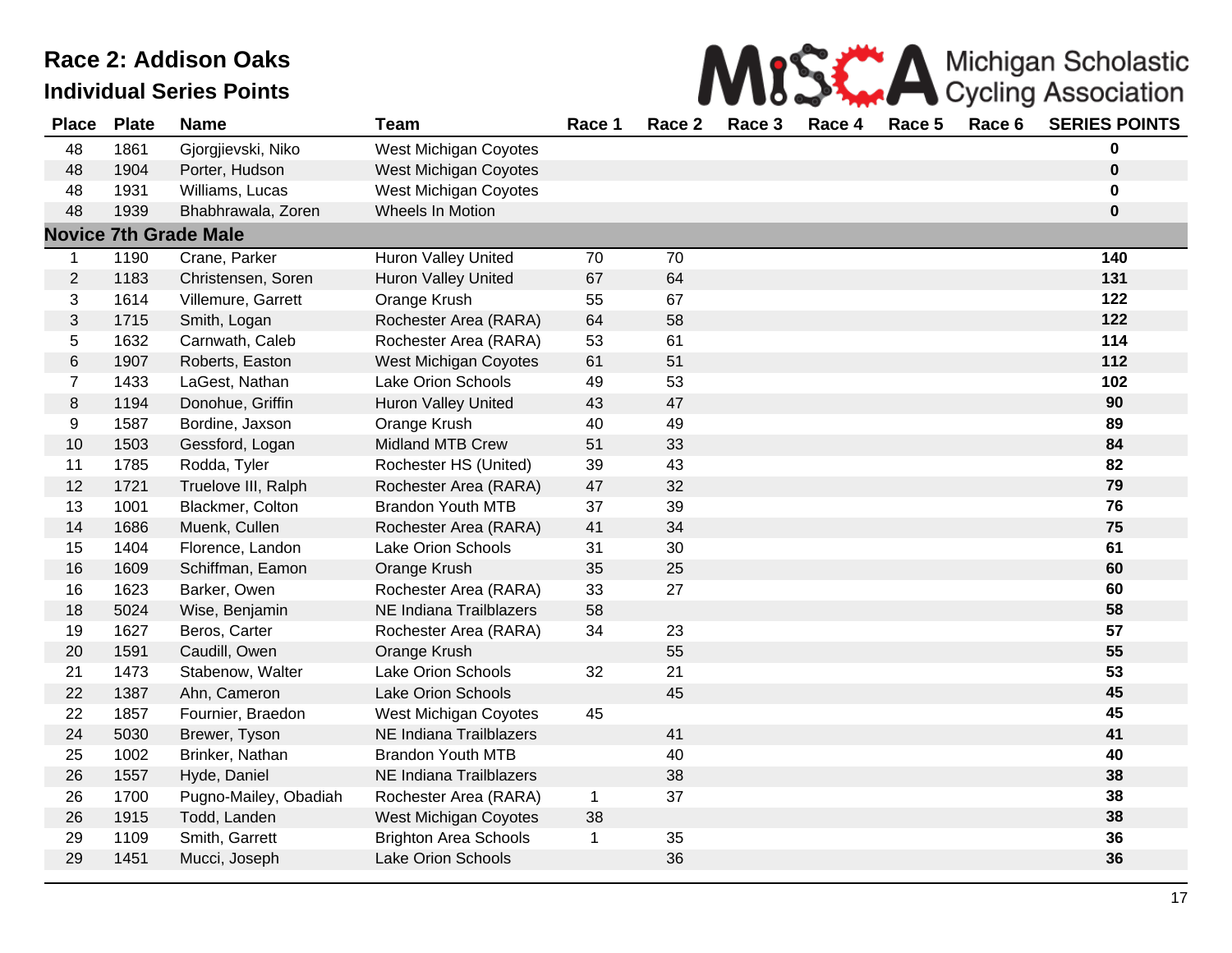| MISS A Michigan Scholastic |
|----------------------------|
|                            |

| <b>Place</b>   | <b>Plate</b> | <b>Name</b>                  | <b>Team</b>                  | Race 1       | Race 2 | Race 3 | Race 4 | Race 5 | Race 6 | <b>SERIES POINTS</b> |
|----------------|--------------|------------------------------|------------------------------|--------------|--------|--------|--------|--------|--------|----------------------|
| 48             | 1861         | Gjorgjievski, Niko           | West Michigan Coyotes        |              |        |        |        |        |        | 0                    |
| 48             | 1904         | Porter, Hudson               | West Michigan Coyotes        |              |        |        |        |        |        | $\pmb{0}$            |
| 48             | 1931         | Williams, Lucas              | West Michigan Coyotes        |              |        |        |        |        |        | $\mathbf 0$          |
| 48             | 1939         | Bhabhrawala, Zoren           | Wheels In Motion             |              |        |        |        |        |        | $\pmb{0}$            |
|                |              | <b>Novice 7th Grade Male</b> |                              |              |        |        |        |        |        |                      |
| $\mathbf{1}$   | 1190         | Crane, Parker                | Huron Valley United          | 70           | 70     |        |        |        |        | $\frac{140}{ }$      |
| $\overline{2}$ | 1183         | Christensen, Soren           | <b>Huron Valley United</b>   | 67           | 64     |        |        |        |        | 131                  |
| 3              | 1614         | Villemure, Garrett           | Orange Krush                 | 55           | 67     |        |        |        |        | 122                  |
| $\mathfrak{S}$ | 1715         | Smith, Logan                 | Rochester Area (RARA)        | 64           | 58     |        |        |        |        | 122                  |
| 5              | 1632         | Carnwath, Caleb              | Rochester Area (RARA)        | 53           | 61     |        |        |        |        | 114                  |
| $\,6$          | 1907         | Roberts, Easton              | West Michigan Coyotes        | 61           | 51     |        |        |        |        | 112                  |
| $\overline{7}$ | 1433         | LaGest, Nathan               | <b>Lake Orion Schools</b>    | 49           | 53     |        |        |        |        | 102                  |
| $\,8\,$        | 1194         | Donohue, Griffin             | <b>Huron Valley United</b>   | 43           | 47     |        |        |        |        | 90                   |
| 9              | 1587         | Bordine, Jaxson              | Orange Krush                 | 40           | 49     |        |        |        |        | 89                   |
| 10             | 1503         | Gessford, Logan              | Midland MTB Crew             | 51           | 33     |        |        |        |        | 84                   |
| 11             | 1785         | Rodda, Tyler                 | Rochester HS (United)        | 39           | 43     |        |        |        |        | 82                   |
| 12             | 1721         | Truelove III, Ralph          | Rochester Area (RARA)        | 47           | 32     |        |        |        |        | 79                   |
| 13             | 1001         | Blackmer, Colton             | <b>Brandon Youth MTB</b>     | 37           | 39     |        |        |        |        | 76                   |
| 14             | 1686         | Muenk, Cullen                | Rochester Area (RARA)        | 41           | 34     |        |        |        |        | 75                   |
| 15             | 1404         | Florence, Landon             | Lake Orion Schools           | 31           | 30     |        |        |        |        | 61                   |
| 16             | 1609         | Schiffman, Eamon             | Orange Krush                 | 35           | 25     |        |        |        |        | 60                   |
| 16             | 1623         | Barker, Owen                 | Rochester Area (RARA)        | 33           | 27     |        |        |        |        | 60                   |
| 18             | 5024         | Wise, Benjamin               | NE Indiana Trailblazers      | 58           |        |        |        |        |        | 58                   |
| 19             | 1627         | Beros, Carter                | Rochester Area (RARA)        | 34           | 23     |        |        |        |        | 57                   |
| 20             | 1591         | Caudill, Owen                | Orange Krush                 |              | 55     |        |        |        |        | 55                   |
| 21             | 1473         | Stabenow, Walter             | Lake Orion Schools           | 32           | 21     |        |        |        |        | 53                   |
| 22             | 1387         | Ahn, Cameron                 | Lake Orion Schools           |              | 45     |        |        |        |        | 45                   |
| 22             | 1857         | Fournier, Braedon            | West Michigan Coyotes        | 45           |        |        |        |        |        | 45                   |
| 24             | 5030         | Brewer, Tyson                | NE Indiana Trailblazers      |              | 41     |        |        |        |        | 41                   |
| 25             | 1002         | Brinker, Nathan              | <b>Brandon Youth MTB</b>     |              | 40     |        |        |        |        | 40                   |
| 26             | 1557         | Hyde, Daniel                 | NE Indiana Trailblazers      |              | 38     |        |        |        |        | 38                   |
| 26             | 1700         | Pugno-Mailey, Obadiah        | Rochester Area (RARA)        | $\mathbf 1$  | 37     |        |        |        |        | 38                   |
| 26             | 1915         | Todd, Landen                 | West Michigan Coyotes        | 38           |        |        |        |        |        | 38                   |
| 29             | 1109         | Smith, Garrett               | <b>Brighton Area Schools</b> | $\mathbf{1}$ | 35     |        |        |        |        | 36                   |
| 29             | 1451         | Mucci, Joseph                | Lake Orion Schools           |              | 36     |        |        |        |        | 36                   |
|                |              |                              |                              |              |        |        |        |        |        |                      |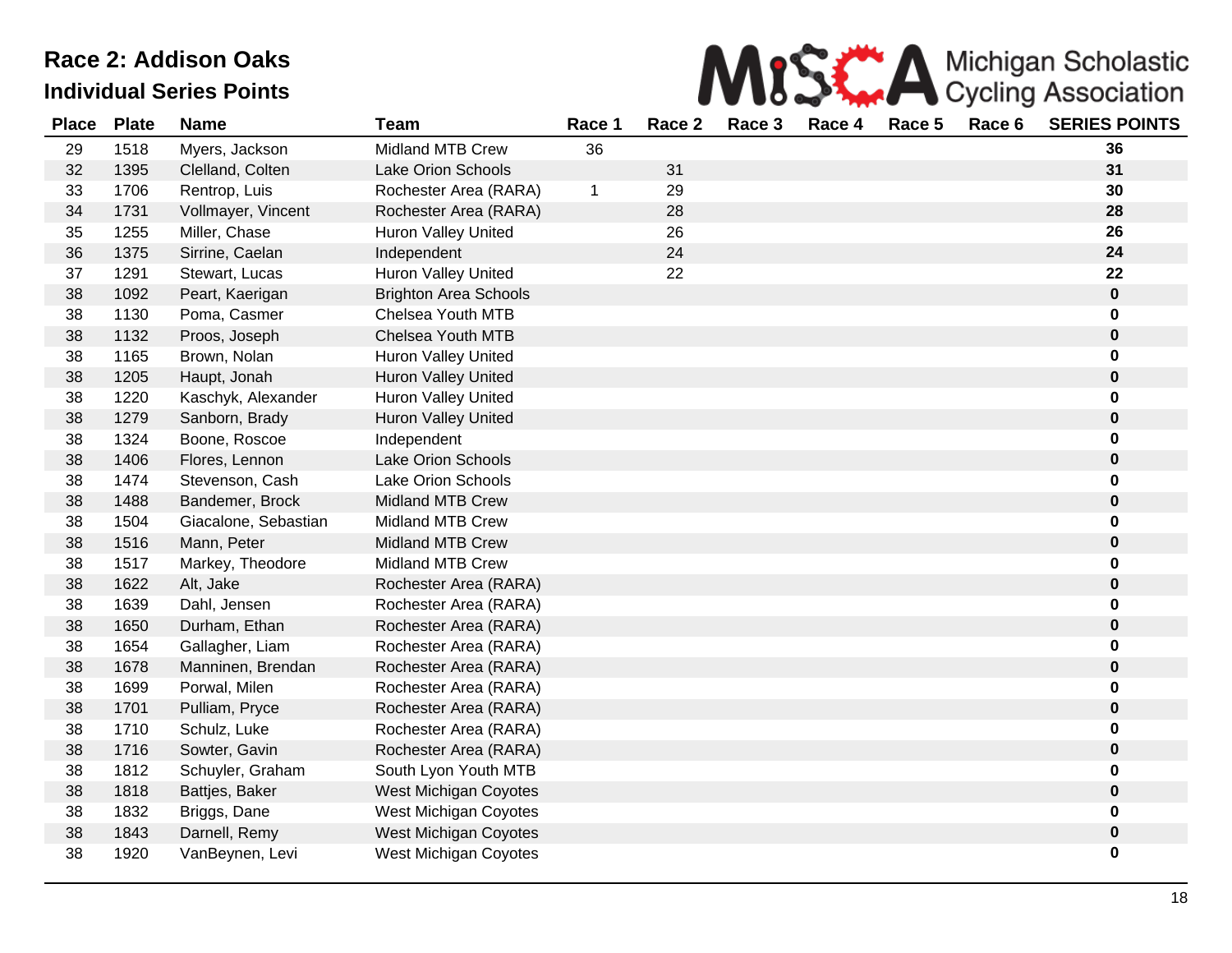

| <b>Place</b> | <b>Plate</b> | <b>Name</b>          | <b>Team</b>                  | Race 1 | Race 2 | Race 3 | Race 4 | Race 5 | Race 6 | <b>SERIES POINTS</b> |
|--------------|--------------|----------------------|------------------------------|--------|--------|--------|--------|--------|--------|----------------------|
| 29           | 1518         | Myers, Jackson       | Midland MTB Crew             | 36     |        |        |        |        |        | 36                   |
| 32           | 1395         | Clelland, Colten     | Lake Orion Schools           |        | 31     |        |        |        |        | 31                   |
| 33           | 1706         | Rentrop, Luis        | Rochester Area (RARA)        | 1      | 29     |        |        |        |        | 30                   |
| 34           | 1731         | Vollmayer, Vincent   | Rochester Area (RARA)        |        | 28     |        |        |        |        | 28                   |
| 35           | 1255         | Miller, Chase        | <b>Huron Valley United</b>   |        | 26     |        |        |        |        | 26                   |
| 36           | 1375         | Sirrine, Caelan      | Independent                  |        | 24     |        |        |        |        | 24                   |
| 37           | 1291         | Stewart, Lucas       | <b>Huron Valley United</b>   |        | 22     |        |        |        |        | 22                   |
| 38           | 1092         | Peart, Kaerigan      | <b>Brighton Area Schools</b> |        |        |        |        |        |        | $\mathbf 0$          |
| 38           | 1130         | Poma, Casmer         | Chelsea Youth MTB            |        |        |        |        |        |        | 0                    |
| 38           | 1132         | Proos, Joseph        | Chelsea Youth MTB            |        |        |        |        |        |        | 0                    |
| 38           | 1165         | Brown, Nolan         | <b>Huron Valley United</b>   |        |        |        |        |        |        | 0                    |
| 38           | 1205         | Haupt, Jonah         | Huron Valley United          |        |        |        |        |        |        | $\pmb{0}$            |
| 38           | 1220         | Kaschyk, Alexander   | Huron Valley United          |        |        |        |        |        |        | 0                    |
| 38           | 1279         | Sanborn, Brady       | Huron Valley United          |        |        |        |        |        |        | 0                    |
| 38           | 1324         | Boone, Roscoe        | Independent                  |        |        |        |        |        |        | 0                    |
| 38           | 1406         | Flores, Lennon       | <b>Lake Orion Schools</b>    |        |        |        |        |        |        | 0                    |
| 38           | 1474         | Stevenson, Cash      | Lake Orion Schools           |        |        |        |        |        |        | 0                    |
| 38           | 1488         | Bandemer, Brock      | <b>Midland MTB Crew</b>      |        |        |        |        |        |        | 0                    |
| 38           | 1504         | Giacalone, Sebastian | <b>Midland MTB Crew</b>      |        |        |        |        |        |        | 0                    |
| 38           | 1516         | Mann, Peter          | <b>Midland MTB Crew</b>      |        |        |        |        |        |        | $\mathbf 0$          |
| 38           | 1517         | Markey, Theodore     | <b>Midland MTB Crew</b>      |        |        |        |        |        |        | 0                    |
| 38           | 1622         | Alt, Jake            | Rochester Area (RARA)        |        |        |        |        |        |        | $\mathbf 0$          |
| 38           | 1639         | Dahl, Jensen         | Rochester Area (RARA)        |        |        |        |        |        |        | $\bf{0}$             |
| 38           | 1650         | Durham, Ethan        | Rochester Area (RARA)        |        |        |        |        |        |        | $\mathbf 0$          |
| 38           | 1654         | Gallagher, Liam      | Rochester Area (RARA)        |        |        |        |        |        |        | 0                    |
| 38           | 1678         | Manninen, Brendan    | Rochester Area (RARA)        |        |        |        |        |        |        | 0                    |
| 38           | 1699         | Porwal, Milen        | Rochester Area (RARA)        |        |        |        |        |        |        | 0                    |
| 38           | 1701         | Pulliam, Pryce       | Rochester Area (RARA)        |        |        |        |        |        |        | $\mathbf 0$          |
| 38           | 1710         | Schulz, Luke         | Rochester Area (RARA)        |        |        |        |        |        |        | 0                    |
| 38           | 1716         | Sowter, Gavin        | Rochester Area (RARA)        |        |        |        |        |        |        | $\mathbf 0$          |
| 38           | 1812         | Schuyler, Graham     | South Lyon Youth MTB         |        |        |        |        |        |        | 0                    |
| 38           | 1818         | Battjes, Baker       | West Michigan Coyotes        |        |        |        |        |        |        | 0                    |
| 38           | 1832         | Briggs, Dane         | West Michigan Coyotes        |        |        |        |        |        |        | 0                    |
| 38           | 1843         | Darnell, Remy        | West Michigan Coyotes        |        |        |        |        |        |        | 0                    |
| 38           | 1920         | VanBeynen, Levi      | West Michigan Coyotes        |        |        |        |        |        |        | 0                    |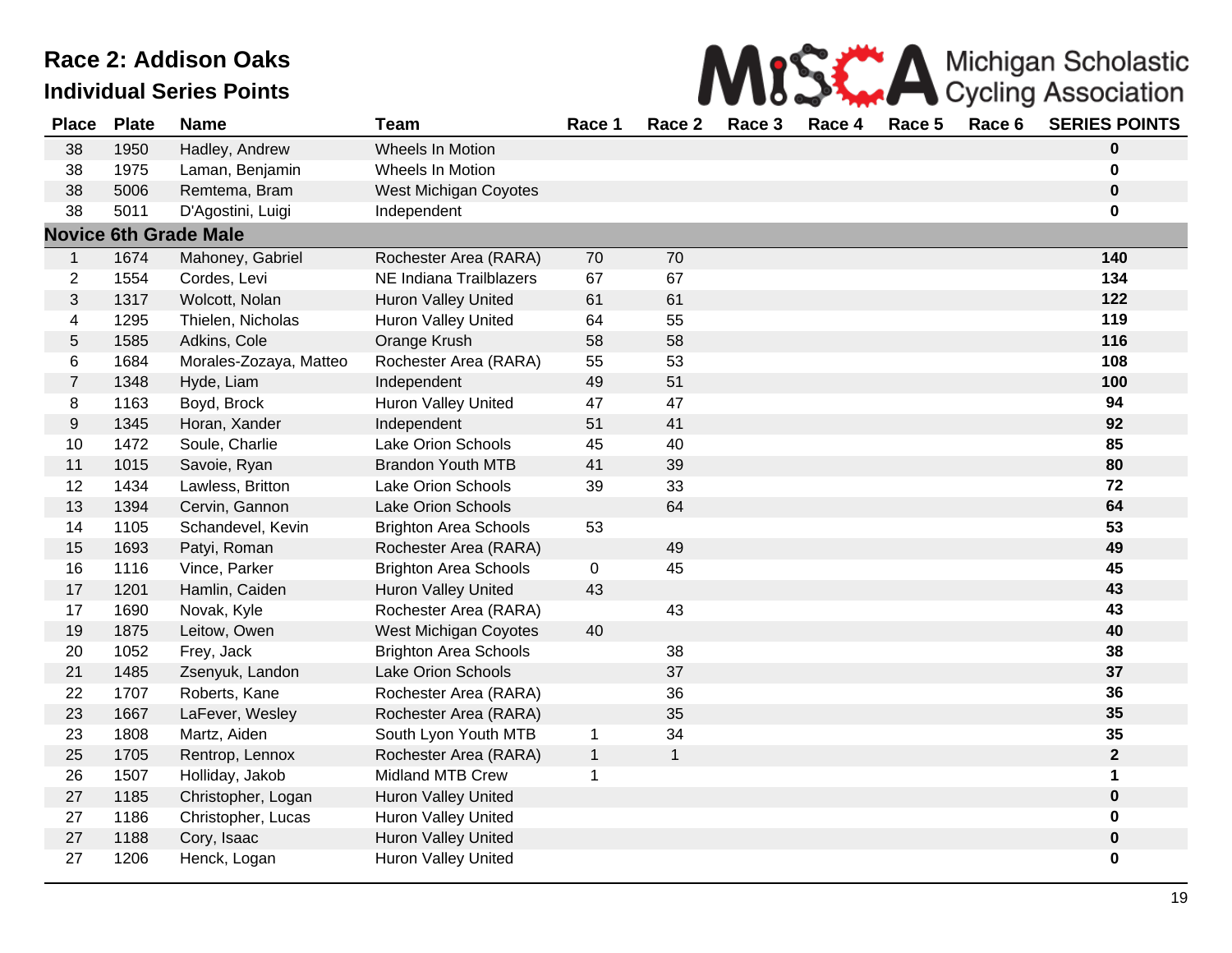

| <b>Place</b>     | <b>Plate</b> | <b>Name</b>                  | <b>Team</b>                  | Race 1      | Race 2       | Race 3 | Race 4 | Race 5 | Race 6 | <b>SERIES POINTS</b> |
|------------------|--------------|------------------------------|------------------------------|-------------|--------------|--------|--------|--------|--------|----------------------|
| 38               | 1950         | Hadley, Andrew               | Wheels In Motion             |             |              |        |        |        |        | $\mathbf 0$          |
| 38               | 1975         | Laman, Benjamin              | Wheels In Motion             |             |              |        |        |        |        | 0                    |
| 38               | 5006         | Remtema, Bram                | West Michigan Coyotes        |             |              |        |        |        |        | $\mathbf 0$          |
| 38               | 5011         | D'Agostini, Luigi            | Independent                  |             |              |        |        |        |        | 0                    |
|                  |              | <b>Novice 6th Grade Male</b> |                              |             |              |        |        |        |        |                      |
| $\mathbf 1$      | 1674         | Mahoney, Gabriel             | Rochester Area (RARA)        | 70          | 70           |        |        |        |        | 140                  |
| $\overline{c}$   | 1554         | Cordes, Levi                 | NE Indiana Trailblazers      | 67          | 67           |        |        |        |        | 134                  |
| 3                | 1317         | Wolcott, Nolan               | Huron Valley United          | 61          | 61           |        |        |        |        | 122                  |
| 4                | 1295         | Thielen, Nicholas            | Huron Valley United          | 64          | 55           |        |        |        |        | 119                  |
| 5                | 1585         | Adkins, Cole                 | Orange Krush                 | 58          | 58           |        |        |        |        | 116                  |
| 6                | 1684         | Morales-Zozaya, Matteo       | Rochester Area (RARA)        | 55          | 53           |        |        |        |        | 108                  |
| $\overline{7}$   | 1348         | Hyde, Liam                   | Independent                  | 49          | 51           |        |        |        |        | 100                  |
| 8                | 1163         | Boyd, Brock                  | <b>Huron Valley United</b>   | 47          | 47           |        |        |        |        | 94                   |
| $\boldsymbol{9}$ | 1345         | Horan, Xander                | Independent                  | 51          | 41           |        |        |        |        | 92                   |
| 10               | 1472         | Soule, Charlie               | <b>Lake Orion Schools</b>    | 45          | 40           |        |        |        |        | 85                   |
| 11               | 1015         | Savoie, Ryan                 | <b>Brandon Youth MTB</b>     | 41          | 39           |        |        |        |        | 80                   |
| 12               | 1434         | Lawless, Britton             | <b>Lake Orion Schools</b>    | 39          | 33           |        |        |        |        | 72                   |
| 13               | 1394         | Cervin, Gannon               | <b>Lake Orion Schools</b>    |             | 64           |        |        |        |        | 64                   |
| 14               | 1105         | Schandevel, Kevin            | <b>Brighton Area Schools</b> | 53          |              |        |        |        |        | 53                   |
| 15               | 1693         | Patyi, Roman                 | Rochester Area (RARA)        |             | 49           |        |        |        |        | 49                   |
| 16               | 1116         | Vince, Parker                | <b>Brighton Area Schools</b> | $\mathbf 0$ | 45           |        |        |        |        | 45                   |
| 17               | 1201         | Hamlin, Caiden               | Huron Valley United          | 43          |              |        |        |        |        | 43                   |
| 17               | 1690         | Novak, Kyle                  | Rochester Area (RARA)        |             | 43           |        |        |        |        | 43                   |
| 19               | 1875         | Leitow, Owen                 | West Michigan Coyotes        | 40          |              |        |        |        |        | 40                   |
| 20               | 1052         | Frey, Jack                   | <b>Brighton Area Schools</b> |             | 38           |        |        |        |        | 38                   |
| 21               | 1485         | Zsenyuk, Landon              | <b>Lake Orion Schools</b>    |             | 37           |        |        |        |        | 37                   |
| 22               | 1707         | Roberts, Kane                | Rochester Area (RARA)        |             | 36           |        |        |        |        | 36                   |
| 23               | 1667         | LaFever, Wesley              | Rochester Area (RARA)        |             | 35           |        |        |        |        | 35                   |
| 23               | 1808         | Martz, Aiden                 | South Lyon Youth MTB         | 1           | 34           |        |        |        |        | 35                   |
| 25               | 1705         | Rentrop, Lennox              | Rochester Area (RARA)        | $\mathbf 1$ | $\mathbf{1}$ |        |        |        |        | $\mathbf{2}$         |
| 26               | 1507         | Holliday, Jakob              | Midland MTB Crew             | $\mathbf 1$ |              |        |        |        |        | 1                    |
| 27               | 1185         | Christopher, Logan           | Huron Valley United          |             |              |        |        |        |        | $\mathbf 0$          |
| 27               | 1186         | Christopher, Lucas           | Huron Valley United          |             |              |        |        |        |        | 0                    |
| 27               | 1188         | Cory, Isaac                  | Huron Valley United          |             |              |        |        |        |        | $\mathbf 0$          |
| 27               | 1206         | Henck, Logan                 | Huron Valley United          |             |              |        |        |        |        | 0                    |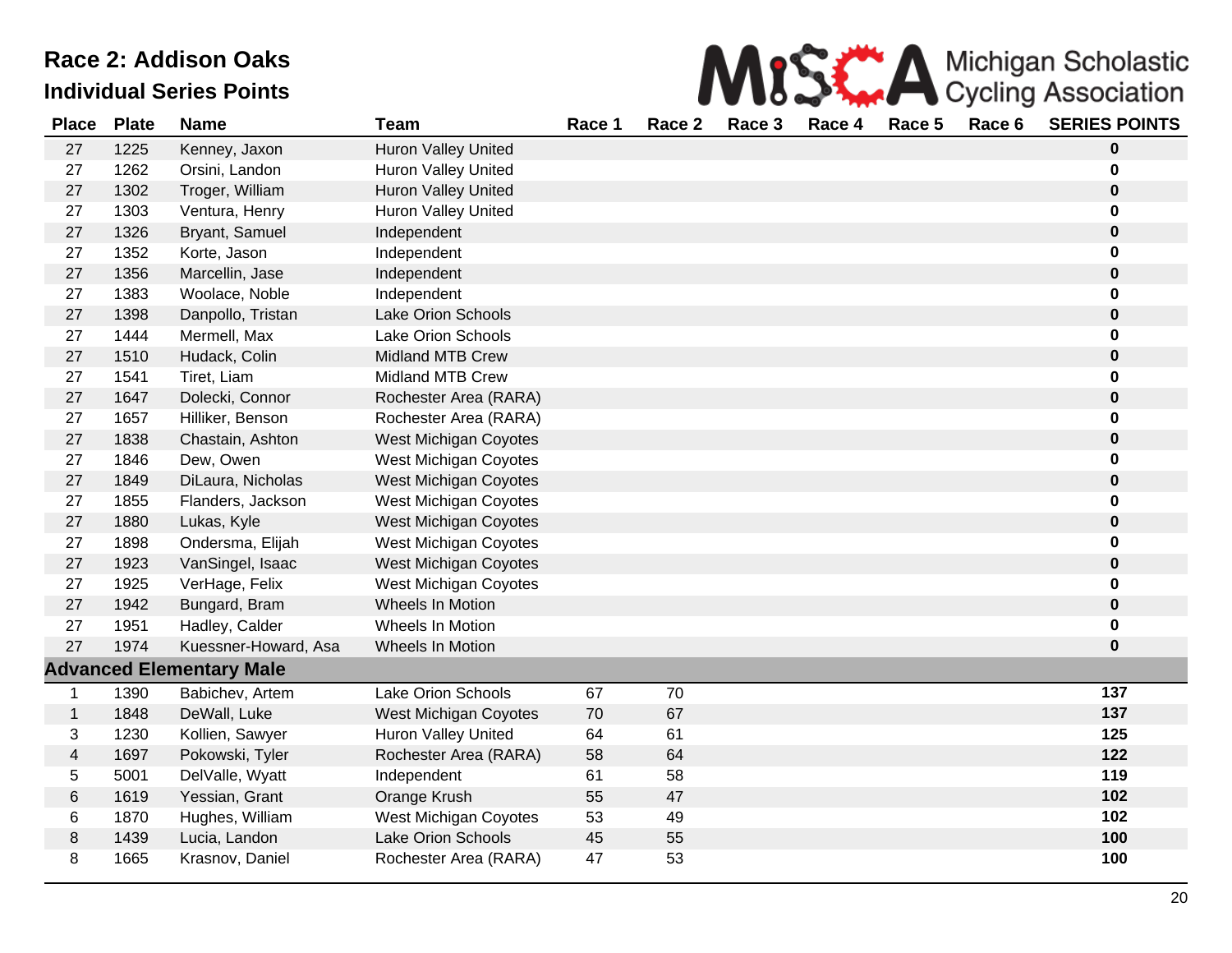

| <b>Place</b> | <b>Plate</b> | <b>Name</b>                     | <b>Team</b>                  | Race 1 | Race 2 | Race 3 | Race 4 | Race 5 | Race 6 | <b>SERIES POINTS</b> |
|--------------|--------------|---------------------------------|------------------------------|--------|--------|--------|--------|--------|--------|----------------------|
| 27           | 1225         | Kenney, Jaxon                   | <b>Huron Valley United</b>   |        |        |        |        |        |        | $\bf{0}$             |
| 27           | 1262         | Orsini, Landon                  | <b>Huron Valley United</b>   |        |        |        |        |        |        | 0                    |
| 27           | 1302         | Troger, William                 | Huron Valley United          |        |        |        |        |        |        | $\bf{0}$             |
| 27           | 1303         | Ventura, Henry                  | <b>Huron Valley United</b>   |        |        |        |        |        |        | $\bf{0}$             |
| 27           | 1326         | Bryant, Samuel                  | Independent                  |        |        |        |        |        |        | $\bf{0}$             |
| 27           | 1352         | Korte, Jason                    | Independent                  |        |        |        |        |        |        | $\mathbf 0$          |
| 27           | 1356         | Marcellin, Jase                 | Independent                  |        |        |        |        |        |        | $\bf{0}$             |
| 27           | 1383         | Woolace, Noble                  | Independent                  |        |        |        |        |        |        | $\bf{0}$             |
| 27           | 1398         | Danpollo, Tristan               | Lake Orion Schools           |        |        |        |        |        |        | $\bf{0}$             |
| 27           | 1444         | Mermell, Max                    | Lake Orion Schools           |        |        |        |        |        |        | $\bf{0}$             |
| 27           | 1510         | Hudack, Colin                   | <b>Midland MTB Crew</b>      |        |        |        |        |        |        | $\bf{0}$             |
| 27           | 1541         | Tiret, Liam                     | <b>Midland MTB Crew</b>      |        |        |        |        |        |        | 0                    |
| 27           | 1647         | Dolecki, Connor                 | Rochester Area (RARA)        |        |        |        |        |        |        | $\bf{0}$             |
| 27           | 1657         | Hilliker, Benson                | Rochester Area (RARA)        |        |        |        |        |        |        | 0                    |
| 27           | 1838         | Chastain, Ashton                | <b>West Michigan Coyotes</b> |        |        |        |        |        |        | $\bf{0}$             |
| 27           | 1846         | Dew, Owen                       | West Michigan Coyotes        |        |        |        |        |        |        | 0                    |
| 27           | 1849         | DiLaura, Nicholas               | West Michigan Coyotes        |        |        |        |        |        |        | $\mathbf 0$          |
| 27           | 1855         | Flanders, Jackson               | West Michigan Coyotes        |        |        |        |        |        |        | $\bf{0}$             |
| 27           | 1880         | Lukas, Kyle                     | West Michigan Coyotes        |        |        |        |        |        |        | $\mathbf 0$          |
| 27           | 1898         | Ondersma, Elijah                | West Michigan Coyotes        |        |        |        |        |        |        | $\bf{0}$             |
| 27           | 1923         | VanSingel, Isaac                | West Michigan Coyotes        |        |        |        |        |        |        | $\bf{0}$             |
| 27           | 1925         | VerHage, Felix                  | West Michigan Coyotes        |        |        |        |        |        |        | $\mathbf 0$          |
| 27           | 1942         | Bungard, Bram                   | Wheels In Motion             |        |        |        |        |        |        | $\bf{0}$             |
| 27           | 1951         | Hadley, Calder                  | Wheels In Motion             |        |        |        |        |        |        | $\bf{0}$             |
| 27           | 1974         | Kuessner-Howard, Asa            | Wheels In Motion             |        |        |        |        |        |        | $\bf{0}$             |
|              |              | <b>Advanced Elementary Male</b> |                              |        |        |        |        |        |        |                      |
| 1            | 1390         | Babichev, Artem                 | Lake Orion Schools           | 67     | 70     |        |        |        |        | 137                  |
| $\mathbf{1}$ | 1848         | DeWall, Luke                    | West Michigan Coyotes        | 70     | 67     |        |        |        |        | 137                  |
| 3            | 1230         | Kollien, Sawyer                 | <b>Huron Valley United</b>   | 64     | 61     |        |        |        |        | 125                  |
| 4            | 1697         | Pokowski, Tyler                 | Rochester Area (RARA)        | 58     | 64     |        |        |        |        | 122                  |
| 5            | 5001         | DelValle, Wyatt                 | Independent                  | 61     | 58     |        |        |        |        | 119                  |
| 6            | 1619         | Yessian, Grant                  | Orange Krush                 | 55     | 47     |        |        |        |        | 102                  |
| 6            | 1870         | Hughes, William                 | West Michigan Coyotes        | 53     | 49     |        |        |        |        | 102                  |
| 8            | 1439         | Lucia, Landon                   | <b>Lake Orion Schools</b>    | 45     | 55     |        |        |        |        | 100                  |
| 8            | 1665         | Krasnov, Daniel                 | Rochester Area (RARA)        | 47     | 53     |        |        |        |        | 100                  |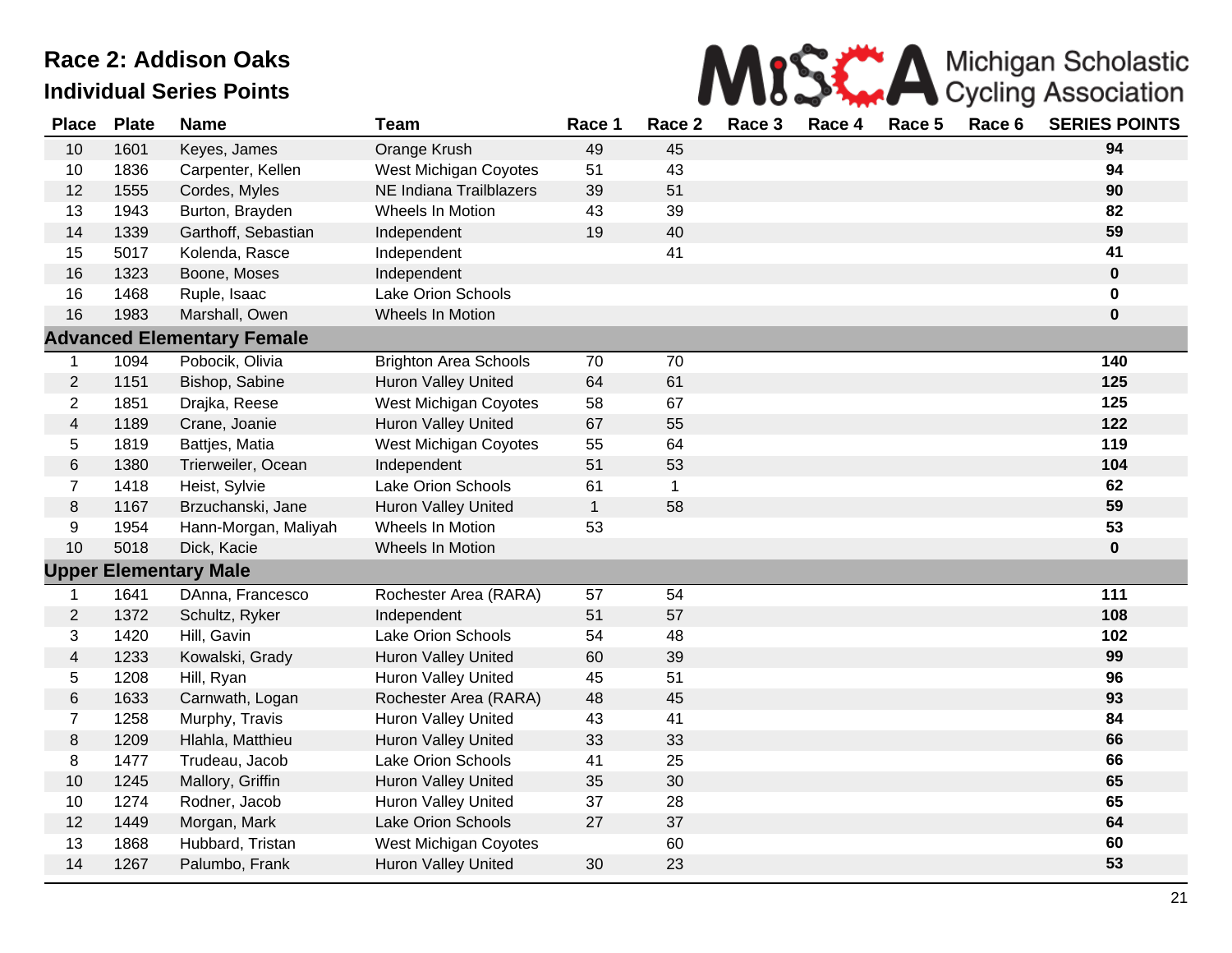

| <b>Place</b>            | <b>Plate</b> | <b>Name</b>                       | <b>Team</b>                  | Race 1       | Race 2       | Race 3 | Race 4 | Race 5 | Race 6 | <b>SERIES POINTS</b> |
|-------------------------|--------------|-----------------------------------|------------------------------|--------------|--------------|--------|--------|--------|--------|----------------------|
| 10                      | 1601         | Keyes, James                      | Orange Krush                 | 49           | 45           |        |        |        |        | 94                   |
| 10                      | 1836         | Carpenter, Kellen                 | West Michigan Coyotes        | 51           | 43           |        |        |        |        | 94                   |
| 12                      | 1555         | Cordes, Myles                     | NE Indiana Trailblazers      | 39           | 51           |        |        |        |        | 90                   |
| 13                      | 1943         | Burton, Brayden                   | Wheels In Motion             | 43           | 39           |        |        |        |        | 82                   |
| 14                      | 1339         | Garthoff, Sebastian               | Independent                  | 19           | 40           |        |        |        |        | 59                   |
| 15                      | 5017         | Kolenda, Rasce                    | Independent                  |              | 41           |        |        |        |        | 41                   |
| 16                      | 1323         | Boone, Moses                      | Independent                  |              |              |        |        |        |        | $\mathbf 0$          |
| 16                      | 1468         | Ruple, Isaac                      | <b>Lake Orion Schools</b>    |              |              |        |        |        |        | $\mathbf 0$          |
| 16                      | 1983         | Marshall, Owen                    | Wheels In Motion             |              |              |        |        |        |        | $\mathbf 0$          |
|                         |              | <b>Advanced Elementary Female</b> |                              |              |              |        |        |        |        |                      |
| $\mathbf 1$             | 1094         | Pobocik, Olivia                   | <b>Brighton Area Schools</b> | 70           | 70           |        |        |        |        | 140                  |
| $\overline{c}$          | 1151         | Bishop, Sabine                    | <b>Huron Valley United</b>   | 64           | 61           |        |        |        |        | 125                  |
| $\overline{2}$          | 1851         | Drajka, Reese                     | West Michigan Coyotes        | 58           | 67           |        |        |        |        | 125                  |
| $\overline{\mathbf{4}}$ | 1189         | Crane, Joanie                     | Huron Valley United          | 67           | 55           |        |        |        |        | 122                  |
| 5                       | 1819         | Battjes, Matia                    | West Michigan Coyotes        | 55           | 64           |        |        |        |        | 119                  |
| 6                       | 1380         | Trierweiler, Ocean                | Independent                  | 51           | 53           |        |        |        |        | 104                  |
| $\overline{7}$          | 1418         | Heist, Sylvie                     | <b>Lake Orion Schools</b>    | 61           | $\mathbf{1}$ |        |        |        |        | 62                   |
| 8                       | 1167         | Brzuchanski, Jane                 | <b>Huron Valley United</b>   | $\mathbf{1}$ | 58           |        |        |        |        | 59                   |
| 9                       | 1954         | Hann-Morgan, Maliyah              | Wheels In Motion             | 53           |              |        |        |        |        | 53                   |
| 10                      | 5018         | Dick, Kacie                       | Wheels In Motion             |              |              |        |        |        |        | $\bf{0}$             |
|                         |              | <b>Upper Elementary Male</b>      |                              |              |              |        |        |        |        |                      |
| 1                       | 1641         | DAnna, Francesco                  | Rochester Area (RARA)        | 57           | 54           |        |        |        |        | 111                  |
| $\overline{c}$          | 1372         | Schultz, Ryker                    | Independent                  | 51           | 57           |        |        |        |        | 108                  |
| 3                       | 1420         | Hill, Gavin                       | <b>Lake Orion Schools</b>    | 54           | 48           |        |        |        |        | 102                  |
| 4                       | 1233         | Kowalski, Grady                   | <b>Huron Valley United</b>   | 60           | 39           |        |        |        |        | 99                   |
| 5                       | 1208         | Hill, Ryan                        | Huron Valley United          | 45           | 51           |        |        |        |        | 96                   |
| 6                       | 1633         | Carnwath, Logan                   | Rochester Area (RARA)        | 48           | 45           |        |        |        |        | 93                   |
| $\overline{7}$          | 1258         | Murphy, Travis                    | Huron Valley United          | 43           | 41           |        |        |        |        | 84                   |
| 8                       | 1209         | Hlahla, Matthieu                  | Huron Valley United          | 33           | 33           |        |        |        |        | 66                   |
| 8                       | 1477         | Trudeau, Jacob                    | Lake Orion Schools           | 41           | 25           |        |        |        |        | 66                   |
| 10                      | 1245         | Mallory, Griffin                  | Huron Valley United          | 35           | 30           |        |        |        |        | 65                   |
| 10                      | 1274         | Rodner, Jacob                     | Huron Valley United          | 37           | 28           |        |        |        |        | 65                   |
| 12                      | 1449         | Morgan, Mark                      | <b>Lake Orion Schools</b>    | 27           | 37           |        |        |        |        | 64                   |
| 13                      | 1868         | Hubbard, Tristan                  | West Michigan Coyotes        |              | 60           |        |        |        |        | 60                   |
| 14                      | 1267         | Palumbo, Frank                    | <b>Huron Valley United</b>   | 30           | 23           |        |        |        |        | 53                   |
|                         |              |                                   |                              |              |              |        |        |        |        |                      |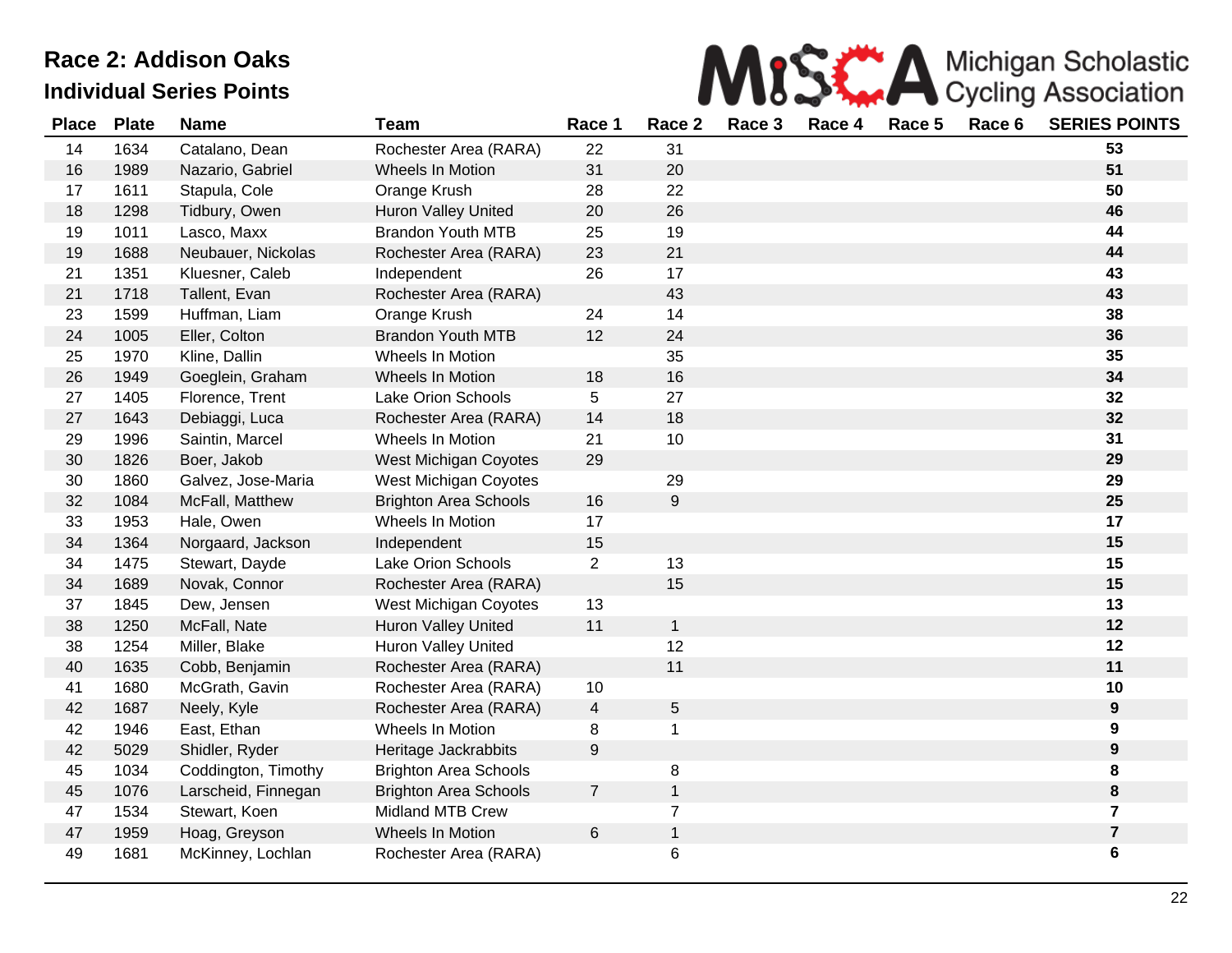

| <b>Place</b> | <b>Plate</b> | <b>Name</b>         | <b>Team</b>                  | Race 1         | Race 2         | Race 3 | Race 4 | Race 5 | Race 6 | <b>SERIES POINTS</b> |
|--------------|--------------|---------------------|------------------------------|----------------|----------------|--------|--------|--------|--------|----------------------|
| 14           | 1634         | Catalano, Dean      | Rochester Area (RARA)        | 22             | 31             |        |        |        |        | 53                   |
| 16           | 1989         | Nazario, Gabriel    | Wheels In Motion             | 31             | 20             |        |        |        |        | 51                   |
| 17           | 1611         | Stapula, Cole       | Orange Krush                 | 28             | 22             |        |        |        |        | 50                   |
| 18           | 1298         | Tidbury, Owen       | <b>Huron Valley United</b>   | 20             | 26             |        |        |        |        | 46                   |
| 19           | 1011         | Lasco, Maxx         | <b>Brandon Youth MTB</b>     | 25             | 19             |        |        |        |        | 44                   |
| 19           | 1688         | Neubauer, Nickolas  | Rochester Area (RARA)        | 23             | 21             |        |        |        |        | 44                   |
| 21           | 1351         | Kluesner, Caleb     | Independent                  | 26             | 17             |        |        |        |        | 43                   |
| 21           | 1718         | Tallent, Evan       | Rochester Area (RARA)        |                | 43             |        |        |        |        | 43                   |
| 23           | 1599         | Huffman, Liam       | Orange Krush                 | 24             | 14             |        |        |        |        | 38                   |
| 24           | 1005         | Eller, Colton       | <b>Brandon Youth MTB</b>     | 12             | 24             |        |        |        |        | 36                   |
| 25           | 1970         | Kline, Dallin       | Wheels In Motion             |                | 35             |        |        |        |        | 35                   |
| 26           | 1949         | Goeglein, Graham    | Wheels In Motion             | 18             | 16             |        |        |        |        | 34                   |
| 27           | 1405         | Florence, Trent     | <b>Lake Orion Schools</b>    | 5              | 27             |        |        |        |        | 32                   |
| 27           | 1643         | Debiaggi, Luca      | Rochester Area (RARA)        | 14             | 18             |        |        |        |        | 32                   |
| 29           | 1996         | Saintin, Marcel     | Wheels In Motion             | 21             | 10             |        |        |        |        | 31                   |
| 30           | 1826         | Boer, Jakob         | West Michigan Coyotes        | 29             |                |        |        |        |        | 29                   |
| 30           | 1860         | Galvez, Jose-Maria  | <b>West Michigan Coyotes</b> |                | 29             |        |        |        |        | 29                   |
| 32           | 1084         | McFall, Matthew     | <b>Brighton Area Schools</b> | 16             | 9              |        |        |        |        | 25                   |
| 33           | 1953         | Hale, Owen          | Wheels In Motion             | 17             |                |        |        |        |        | 17                   |
| 34           | 1364         | Norgaard, Jackson   | Independent                  | 15             |                |        |        |        |        | 15                   |
| 34           | 1475         | Stewart, Dayde      | <b>Lake Orion Schools</b>    | $\overline{2}$ | 13             |        |        |        |        | 15                   |
| 34           | 1689         | Novak, Connor       | Rochester Area (RARA)        |                | 15             |        |        |        |        | 15                   |
| 37           | 1845         | Dew, Jensen         | West Michigan Coyotes        | 13             |                |        |        |        |        | 13                   |
| 38           | 1250         | McFall, Nate        | <b>Huron Valley United</b>   | 11             | $\mathbf{1}$   |        |        |        |        | 12                   |
| 38           | 1254         | Miller, Blake       | Huron Valley United          |                | 12             |        |        |        |        | 12                   |
| 40           | 1635         | Cobb, Benjamin      | Rochester Area (RARA)        |                | 11             |        |        |        |        | 11                   |
| 41           | 1680         | McGrath, Gavin      | Rochester Area (RARA)        | 10             |                |        |        |        |        | 10                   |
| 42           | 1687         | Neely, Kyle         | Rochester Area (RARA)        | $\overline{4}$ | 5              |        |        |        |        | $\boldsymbol{9}$     |
| 42           | 1946         | East, Ethan         | Wheels In Motion             | 8              | $\mathbf 1$    |        |        |        |        | 9                    |
| 42           | 5029         | Shidler, Ryder      | Heritage Jackrabbits         | 9              |                |        |        |        |        | 9                    |
| 45           | 1034         | Coddington, Timothy | <b>Brighton Area Schools</b> |                | 8              |        |        |        |        | 8                    |
| 45           | 1076         | Larscheid, Finnegan | <b>Brighton Area Schools</b> | $\overline{7}$ | $\mathbf 1$    |        |        |        |        | 8                    |
| 47           | 1534         | Stewart, Koen       | <b>Midland MTB Crew</b>      |                | $\overline{7}$ |        |        |        |        | $\overline{7}$       |
| 47           | 1959         | Hoag, Greyson       | Wheels In Motion             | 6              | $\mathbf{1}$   |        |        |        |        | $\overline{7}$       |
| 49           | 1681         | McKinney, Lochlan   | Rochester Area (RARA)        |                | 6              |        |        |        |        | 6                    |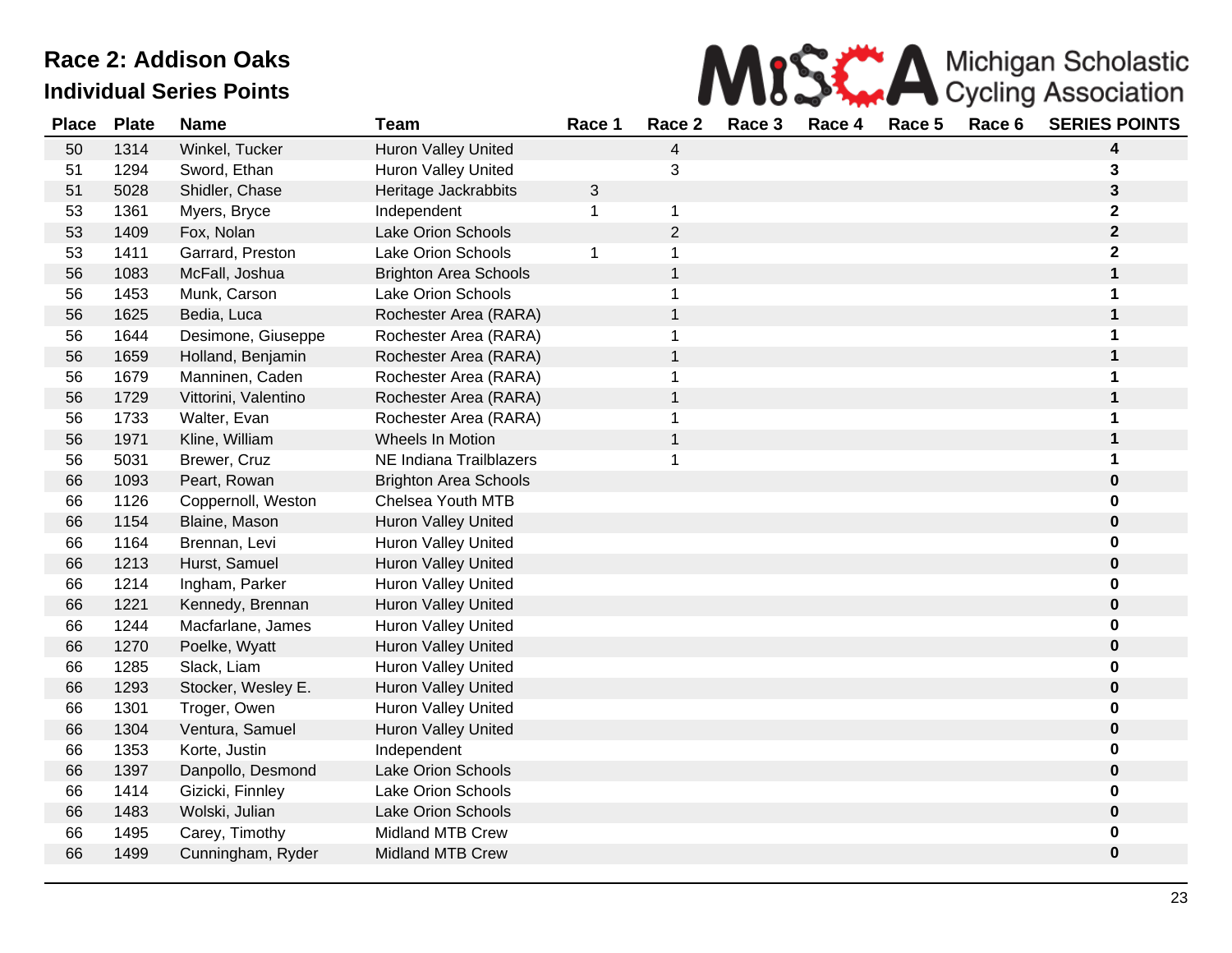

| <b>Place</b> | <b>Plate</b> | <b>Name</b>          | <b>Team</b>                  | Race 1       | Race 2         | Race 3 | Race 4 | Race 5 | Race 6 | <b>SERIES POINTS</b>    |
|--------------|--------------|----------------------|------------------------------|--------------|----------------|--------|--------|--------|--------|-------------------------|
| 50           | 1314         | Winkel, Tucker       | Huron Valley United          |              | 4              |        |        |        |        | 4                       |
| 51           | 1294         | Sword, Ethan         | <b>Huron Valley United</b>   |              | 3              |        |        |        |        | 3                       |
| 51           | 5028         | Shidler, Chase       | Heritage Jackrabbits         | $\mathbf{3}$ |                |        |        |        |        | 3                       |
| 53           | 1361         | Myers, Bryce         | Independent                  | 1            | $\mathbf{1}$   |        |        |        |        | $\overline{\mathbf{2}}$ |
| 53           | 1409         | Fox, Nolan           | <b>Lake Orion Schools</b>    |              | $\overline{2}$ |        |        |        |        | $\mathbf{2}$            |
| 53           | 1411         | Garrard, Preston     | Lake Orion Schools           | 1            | $\mathbf 1$    |        |        |        |        | $\overline{\mathbf{2}}$ |
| 56           | 1083         | McFall, Joshua       | <b>Brighton Area Schools</b> |              | $\mathbf{1}$   |        |        |        |        | 1                       |
| 56           | 1453         | Munk, Carson         | <b>Lake Orion Schools</b>    |              | 1              |        |        |        |        | 1                       |
| 56           | 1625         | Bedia, Luca          | Rochester Area (RARA)        |              | $\mathbf{1}$   |        |        |        |        | 1                       |
| 56           | 1644         | Desimone, Giuseppe   | Rochester Area (RARA)        |              | $\mathbf 1$    |        |        |        |        | 1                       |
| 56           | 1659         | Holland, Benjamin    | Rochester Area (RARA)        |              | $\mathbf{1}$   |        |        |        |        | 1                       |
| 56           | 1679         | Manninen, Caden      | Rochester Area (RARA)        |              | $\mathbf 1$    |        |        |        |        | 1                       |
| 56           | 1729         | Vittorini, Valentino | Rochester Area (RARA)        |              | $\mathbf{1}$   |        |        |        |        | 1                       |
| 56           | 1733         | Walter, Evan         | Rochester Area (RARA)        |              | $\mathbf{1}$   |        |        |        |        | 1                       |
| 56           | 1971         | Kline, William       | Wheels In Motion             |              | $\mathbf{1}$   |        |        |        |        | 1                       |
| 56           | 5031         | Brewer, Cruz         | NE Indiana Trailblazers      |              | $\mathbf 1$    |        |        |        |        | 1                       |
| 66           | 1093         | Peart, Rowan         | <b>Brighton Area Schools</b> |              |                |        |        |        |        | 0                       |
| 66           | 1126         | Coppernoll, Weston   | Chelsea Youth MTB            |              |                |        |        |        |        | 0                       |
| 66           | 1154         | Blaine, Mason        | Huron Valley United          |              |                |        |        |        |        | 0                       |
| 66           | 1164         | Brennan, Levi        | <b>Huron Valley United</b>   |              |                |        |        |        |        | 0                       |
| 66           | 1213         | Hurst, Samuel        | <b>Huron Valley United</b>   |              |                |        |        |        |        | $\pmb{0}$               |
| 66           | 1214         | Ingham, Parker       | <b>Huron Valley United</b>   |              |                |        |        |        |        | $\bf{0}$                |
| 66           | 1221         | Kennedy, Brennan     | <b>Huron Valley United</b>   |              |                |        |        |        |        | $\bf{0}$                |
| 66           | 1244         | Macfarlane, James    | <b>Huron Valley United</b>   |              |                |        |        |        |        | 0                       |
| 66           | 1270         | Poelke, Wyatt        | <b>Huron Valley United</b>   |              |                |        |        |        |        | $\pmb{0}$               |
| 66           | 1285         | Slack, Liam          | <b>Huron Valley United</b>   |              |                |        |        |        |        | 0                       |
| 66           | 1293         | Stocker, Wesley E.   | <b>Huron Valley United</b>   |              |                |        |        |        |        | $\bf{0}$                |
| 66           | 1301         | Troger, Owen         | <b>Huron Valley United</b>   |              |                |        |        |        |        | 0                       |
| 66           | 1304         | Ventura, Samuel      | <b>Huron Valley United</b>   |              |                |        |        |        |        | $\pmb{0}$               |
| 66           | 1353         | Korte, Justin        | Independent                  |              |                |        |        |        |        | 0                       |
| 66           | 1397         | Danpollo, Desmond    | <b>Lake Orion Schools</b>    |              |                |        |        |        |        | $\pmb{0}$               |
| 66           | 1414         | Gizicki, Finnley     | Lake Orion Schools           |              |                |        |        |        |        | 0                       |
| 66           | 1483         | Wolski, Julian       | <b>Lake Orion Schools</b>    |              |                |        |        |        |        | $\pmb{0}$               |
| 66           | 1495         | Carey, Timothy       | Midland MTB Crew             |              |                |        |        |        |        | 0                       |
| 66           | 1499         | Cunningham, Ryder    | <b>Midland MTB Crew</b>      |              |                |        |        |        |        | $\bf{0}$                |
|              |              |                      |                              |              |                |        |        |        |        |                         |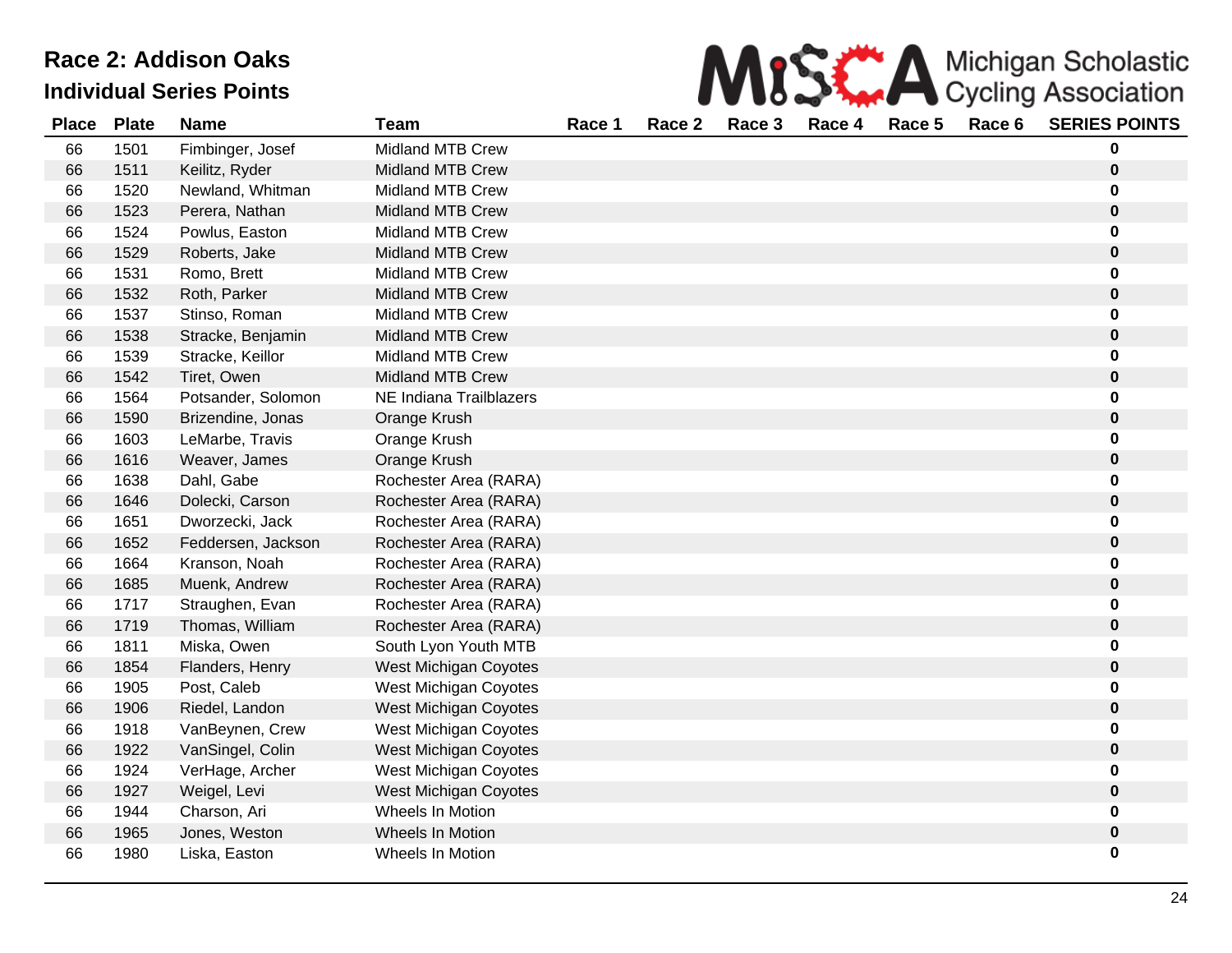

| <b>Place</b> | <b>Plate</b> | <b>Name</b>        | <b>Team</b>             | Race 1 | Race 2 | Race 3 | Race 4 | Race 5 | Race 6 | <b>SERIES POINTS</b> |
|--------------|--------------|--------------------|-------------------------|--------|--------|--------|--------|--------|--------|----------------------|
| 66           | 1501         | Fimbinger, Josef   | <b>Midland MTB Crew</b> |        |        |        |        |        |        | 0                    |
| 66           | 1511         | Keilitz, Ryder     | <b>Midland MTB Crew</b> |        |        |        |        |        |        | $\pmb{0}$            |
| 66           | 1520         | Newland, Whitman   | <b>Midland MTB Crew</b> |        |        |        |        |        |        | 0                    |
| 66           | 1523         | Perera, Nathan     | <b>Midland MTB Crew</b> |        |        |        |        |        |        | $\pmb{0}$            |
| 66           | 1524         | Powlus, Easton     | <b>Midland MTB Crew</b> |        |        |        |        |        |        | 0                    |
| 66           | 1529         | Roberts, Jake      | <b>Midland MTB Crew</b> |        |        |        |        |        |        | $\pmb{0}$            |
| 66           | 1531         | Romo, Brett        | <b>Midland MTB Crew</b> |        |        |        |        |        |        | 0                    |
| 66           | 1532         | Roth, Parker       | <b>Midland MTB Crew</b> |        |        |        |        |        |        | $\pmb{0}$            |
| 66           | 1537         | Stinso, Roman      | <b>Midland MTB Crew</b> |        |        |        |        |        |        | 0                    |
| 66           | 1538         | Stracke, Benjamin  | <b>Midland MTB Crew</b> |        |        |        |        |        |        | $\pmb{0}$            |
| 66           | 1539         | Stracke, Keillor   | Midland MTB Crew        |        |        |        |        |        |        | 0                    |
| 66           | 1542         | Tiret, Owen        | <b>Midland MTB Crew</b> |        |        |        |        |        |        | $\pmb{0}$            |
| 66           | 1564         | Potsander, Solomon | NE Indiana Trailblazers |        |        |        |        |        |        | 0                    |
| 66           | 1590         | Brizendine, Jonas  | Orange Krush            |        |        |        |        |        |        | $\pmb{0}$            |
| 66           | 1603         | LeMarbe, Travis    | Orange Krush            |        |        |        |        |        |        | 0                    |
| 66           | 1616         | Weaver, James      | Orange Krush            |        |        |        |        |        |        | $\pmb{0}$            |
| 66           | 1638         | Dahl, Gabe         | Rochester Area (RARA)   |        |        |        |        |        |        | 0                    |
| 66           | 1646         | Dolecki, Carson    | Rochester Area (RARA)   |        |        |        |        |        |        | $\pmb{0}$            |
| 66           | 1651         | Dworzecki, Jack    | Rochester Area (RARA)   |        |        |        |        |        |        | 0                    |
| 66           | 1652         | Feddersen, Jackson | Rochester Area (RARA)   |        |        |        |        |        |        | $\pmb{0}$            |
| 66           | 1664         | Kranson, Noah      | Rochester Area (RARA)   |        |        |        |        |        |        | 0                    |
| 66           | 1685         | Muenk, Andrew      | Rochester Area (RARA)   |        |        |        |        |        |        | $\pmb{0}$            |
| 66           | 1717         | Straughen, Evan    | Rochester Area (RARA)   |        |        |        |        |        |        | 0                    |
| 66           | 1719         | Thomas, William    | Rochester Area (RARA)   |        |        |        |        |        |        | $\pmb{0}$            |
| 66           | 1811         | Miska, Owen        | South Lyon Youth MTB    |        |        |        |        |        |        | 0                    |
| 66           | 1854         | Flanders, Henry    | West Michigan Coyotes   |        |        |        |        |        |        | $\pmb{0}$            |
| 66           | 1905         | Post, Caleb        | West Michigan Coyotes   |        |        |        |        |        |        | 0                    |
| 66           | 1906         | Riedel, Landon     | West Michigan Coyotes   |        |        |        |        |        |        | $\pmb{0}$            |
| 66           | 1918         | VanBeynen, Crew    | West Michigan Coyotes   |        |        |        |        |        |        | $\pmb{0}$            |
| 66           | 1922         | VanSingel, Colin   | West Michigan Coyotes   |        |        |        |        |        |        | $\pmb{0}$            |
| 66           | 1924         | VerHage, Archer    | West Michigan Coyotes   |        |        |        |        |        |        | 0                    |
| 66           | 1927         | Weigel, Levi       | West Michigan Coyotes   |        |        |        |        |        |        | $\bf{0}$             |
| 66           | 1944         | Charson, Ari       | Wheels In Motion        |        |        |        |        |        |        | 0                    |
| 66           | 1965         | Jones, Weston      | Wheels In Motion        |        |        |        |        |        |        | $\pmb{0}$            |
| 66           | 1980         | Liska, Easton      | Wheels In Motion        |        |        |        |        |        |        | 0                    |
|              |              |                    |                         |        |        |        |        |        |        |                      |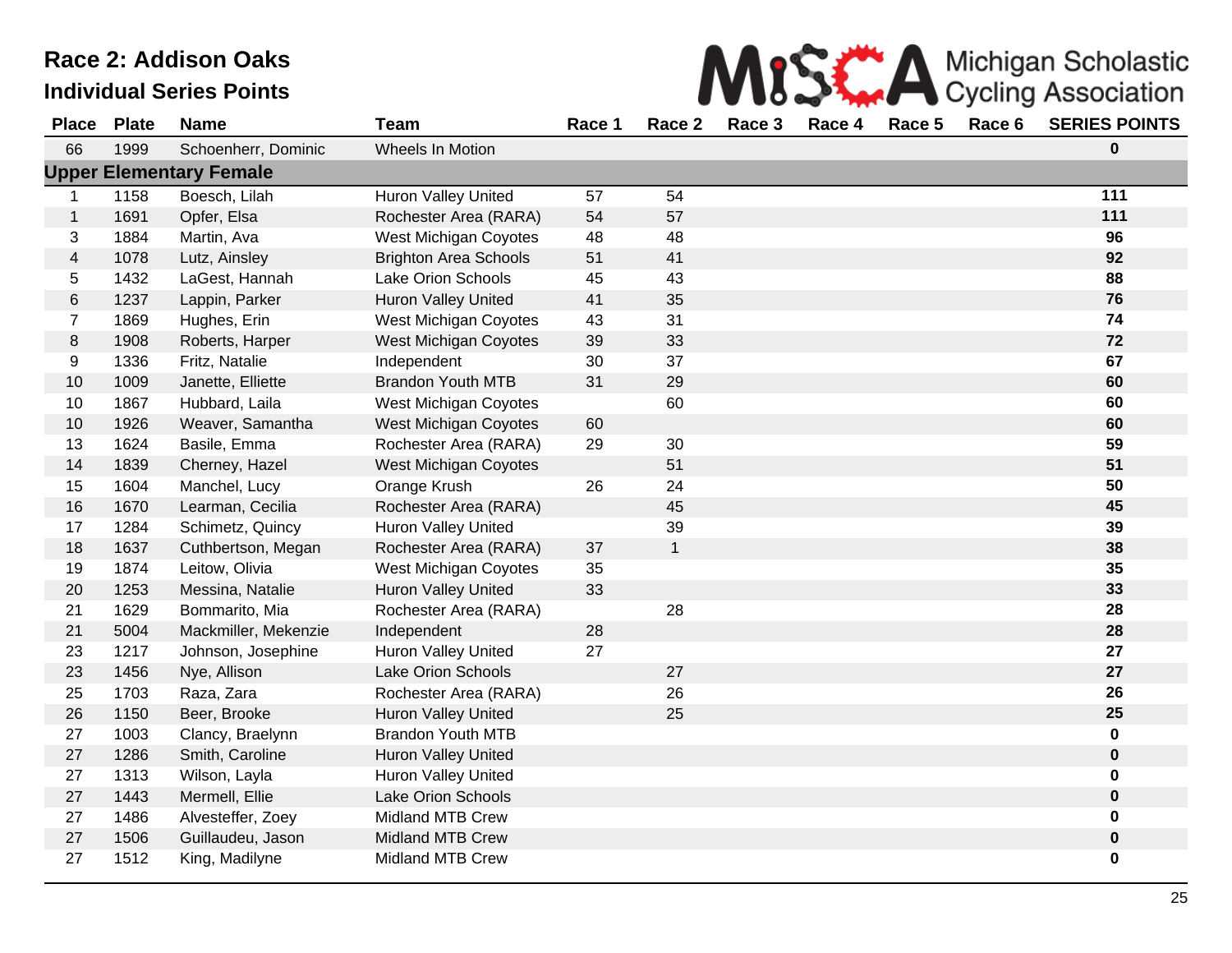|  | <b>MISS AMICHIGAN Scholastic</b><br>Cycling Association |
|--|---------------------------------------------------------|
|--|---------------------------------------------------------|

| <b>Place</b>            | <b>Plate</b> | <b>Name</b>                    | <b>Team</b>                  | Race 1 | Race 2       | Race 3 | Race 4 | Race 5 | Race 6 | <b>SERIES POINTS</b> |
|-------------------------|--------------|--------------------------------|------------------------------|--------|--------------|--------|--------|--------|--------|----------------------|
| 66                      | 1999         | Schoenherr, Dominic            | Wheels In Motion             |        |              |        |        |        |        | 0                    |
|                         |              | <b>Upper Elementary Female</b> |                              |        |              |        |        |        |        |                      |
| 1                       | 1158         | Boesch, Lilah                  | Huron Valley United          | 57     | 54           |        |        |        |        | 111                  |
| $\mathbf{1}$            | 1691         | Opfer, Elsa                    | Rochester Area (RARA)        | 54     | 57           |        |        |        |        | 111                  |
| 3                       | 1884         | Martin, Ava                    | West Michigan Coyotes        | 48     | 48           |        |        |        |        | 96                   |
| $\overline{\mathbf{4}}$ | 1078         | Lutz, Ainsley                  | <b>Brighton Area Schools</b> | 51     | 41           |        |        |        |        | 92                   |
| 5                       | 1432         | LaGest, Hannah                 | Lake Orion Schools           | 45     | 43           |        |        |        |        | 88                   |
| 6                       | 1237         | Lappin, Parker                 | <b>Huron Valley United</b>   | 41     | 35           |        |        |        |        | 76                   |
| $\overline{7}$          | 1869         | Hughes, Erin                   | West Michigan Coyotes        | 43     | 31           |        |        |        |        | 74                   |
| 8                       | 1908         | Roberts, Harper                | <b>West Michigan Coyotes</b> | 39     | 33           |        |        |        |        | 72                   |
| 9                       | 1336         | Fritz, Natalie                 | Independent                  | 30     | 37           |        |        |        |        | 67                   |
| 10                      | 1009         | Janette, Elliette              | <b>Brandon Youth MTB</b>     | 31     | 29           |        |        |        |        | 60                   |
| 10                      | 1867         | Hubbard, Laila                 | West Michigan Coyotes        |        | 60           |        |        |        |        | 60                   |
| 10                      | 1926         | Weaver, Samantha               | <b>West Michigan Coyotes</b> | 60     |              |        |        |        |        | 60                   |
| 13                      | 1624         | Basile, Emma                   | Rochester Area (RARA)        | 29     | 30           |        |        |        |        | 59                   |
| 14                      | 1839         | Cherney, Hazel                 | West Michigan Coyotes        |        | 51           |        |        |        |        | 51                   |
| 15                      | 1604         | Manchel, Lucy                  | Orange Krush                 | 26     | 24           |        |        |        |        | 50                   |
| 16                      | 1670         | Learman, Cecilia               | Rochester Area (RARA)        |        | 45           |        |        |        |        | 45                   |
| 17                      | 1284         | Schimetz, Quincy               | <b>Huron Valley United</b>   |        | 39           |        |        |        |        | 39                   |
| 18                      | 1637         | Cuthbertson, Megan             | Rochester Area (RARA)        | 37     | $\mathbf{1}$ |        |        |        |        | 38                   |
| 19                      | 1874         | Leitow, Olivia                 | West Michigan Coyotes        | 35     |              |        |        |        |        | 35                   |
| 20                      | 1253         | Messina, Natalie               | Huron Valley United          | 33     |              |        |        |        |        | 33                   |
| 21                      | 1629         | Bommarito, Mia                 | Rochester Area (RARA)        |        | 28           |        |        |        |        | 28                   |
| 21                      | 5004         | Mackmiller, Mekenzie           | Independent                  | 28     |              |        |        |        |        | 28                   |
| 23                      | 1217         | Johnson, Josephine             | <b>Huron Valley United</b>   | 27     |              |        |        |        |        | 27                   |
| 23                      | 1456         | Nye, Allison                   | Lake Orion Schools           |        | 27           |        |        |        |        | 27                   |
| 25                      | 1703         | Raza, Zara                     | Rochester Area (RARA)        |        | 26           |        |        |        |        | 26                   |
| 26                      | 1150         | Beer, Brooke                   | <b>Huron Valley United</b>   |        | 25           |        |        |        |        | 25                   |
| 27                      | 1003         | Clancy, Braelynn               | <b>Brandon Youth MTB</b>     |        |              |        |        |        |        | 0                    |
| 27                      | 1286         | Smith, Caroline                | Huron Valley United          |        |              |        |        |        |        | $\mathbf 0$          |
| 27                      | 1313         | Wilson, Layla                  | Huron Valley United          |        |              |        |        |        |        | 0                    |
| 27                      | 1443         | Mermell, Ellie                 | Lake Orion Schools           |        |              |        |        |        |        | $\mathbf 0$          |
| 27                      | 1486         | Alvesteffer, Zoey              | <b>Midland MTB Crew</b>      |        |              |        |        |        |        | 0                    |
| 27                      | 1506         | Guillaudeu, Jason              | <b>Midland MTB Crew</b>      |        |              |        |        |        |        | $\pmb{0}$            |
| 27                      | 1512         | King, Madilyne                 | <b>Midland MTB Crew</b>      |        |              |        |        |        |        | 0                    |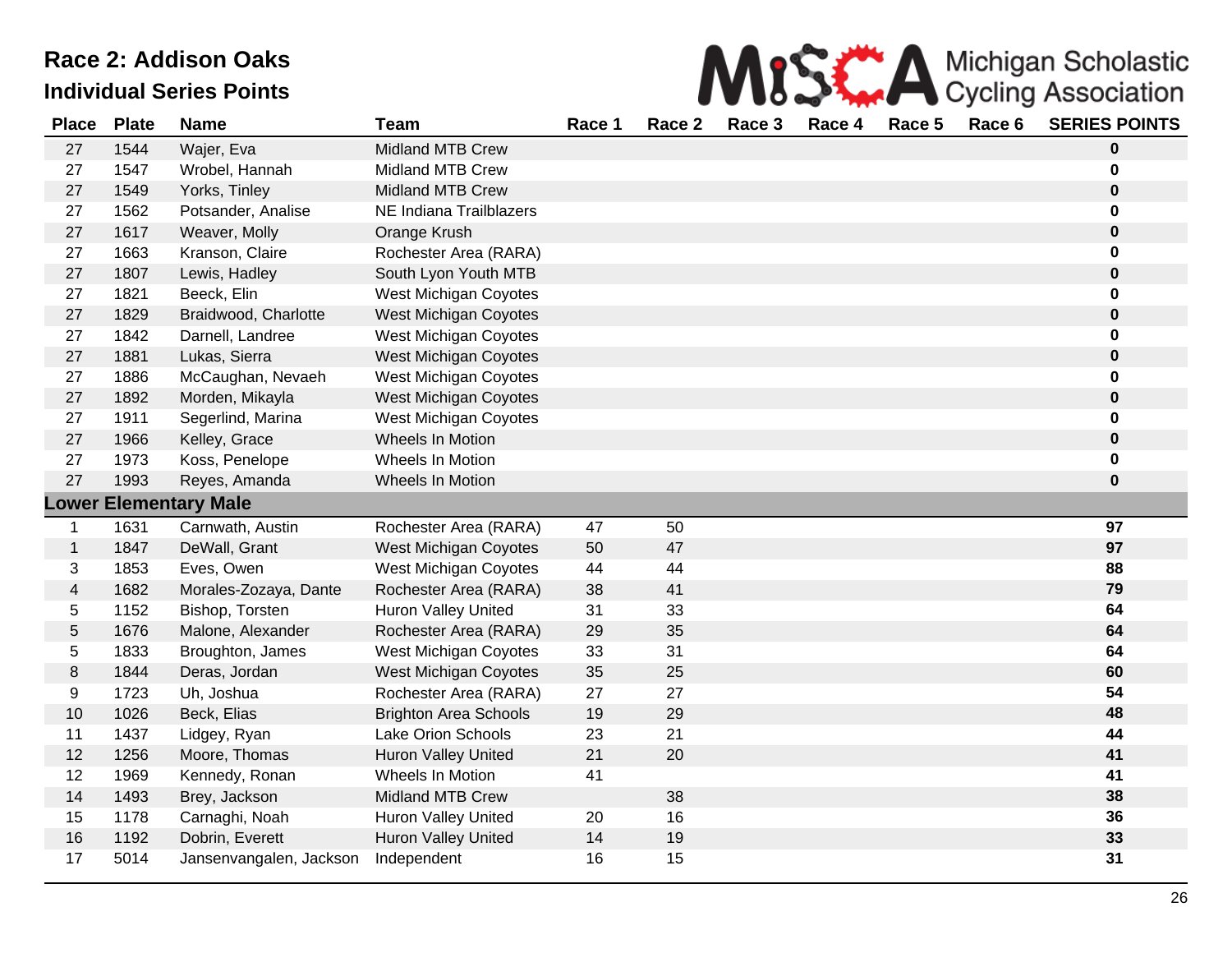

| <b>Place</b>            | <b>Plate</b> | <b>Name</b>                  | <b>Team</b>                  | Race 1 | Race 2 | Race 3 | Race 4 | Race 5 | Race 6 | <b>SERIES POINTS</b> |
|-------------------------|--------------|------------------------------|------------------------------|--------|--------|--------|--------|--------|--------|----------------------|
| 27                      | 1544         | Wajer, Eva                   | <b>Midland MTB Crew</b>      |        |        |        |        |        |        | 0                    |
| 27                      | 1547         | Wrobel, Hannah               | Midland MTB Crew             |        |        |        |        |        |        | 0                    |
| 27                      | 1549         | Yorks, Tinley                | <b>Midland MTB Crew</b>      |        |        |        |        |        |        | $\pmb{0}$            |
| 27                      | 1562         | Potsander, Analise           | NE Indiana Trailblazers      |        |        |        |        |        |        | 0                    |
| 27                      | 1617         | Weaver, Molly                | Orange Krush                 |        |        |        |        |        |        | 0                    |
| 27                      | 1663         | Kranson, Claire              | Rochester Area (RARA)        |        |        |        |        |        |        | 0                    |
| 27                      | 1807         | Lewis, Hadley                | South Lyon Youth MTB         |        |        |        |        |        |        | $\mathbf 0$          |
| 27                      | 1821         | Beeck, Elin                  | West Michigan Coyotes        |        |        |        |        |        |        | 0                    |
| 27                      | 1829         | Braidwood, Charlotte         | West Michigan Coyotes        |        |        |        |        |        |        | $\pmb{0}$            |
| 27                      | 1842         | Darnell, Landree             | West Michigan Coyotes        |        |        |        |        |        |        | 0                    |
| 27                      | 1881         | Lukas, Sierra                | West Michigan Coyotes        |        |        |        |        |        |        | $\pmb{0}$            |
| 27                      | 1886         | McCaughan, Nevaeh            | West Michigan Coyotes        |        |        |        |        |        |        | 0                    |
| 27                      | 1892         | Morden, Mikayla              | West Michigan Coyotes        |        |        |        |        |        |        | $\pmb{0}$            |
| 27                      | 1911         | Segerlind, Marina            | West Michigan Coyotes        |        |        |        |        |        |        | 0                    |
| 27                      | 1966         | Kelley, Grace                | Wheels In Motion             |        |        |        |        |        |        | $\pmb{0}$            |
| 27                      | 1973         | Koss, Penelope               | Wheels In Motion             |        |        |        |        |        |        | 0                    |
| 27                      | 1993         | Reyes, Amanda                | Wheels In Motion             |        |        |        |        |        |        | 0                    |
|                         |              | <b>Lower Elementary Male</b> |                              |        |        |        |        |        |        |                      |
| 1                       | 1631         | Carnwath, Austin             | Rochester Area (RARA)        | 47     | 50     |        |        |        |        | 97                   |
| $\mathbf{1}$            | 1847         | DeWall, Grant                | West Michigan Coyotes        | 50     | 47     |        |        |        |        | 97                   |
| 3                       | 1853         | Eves, Owen                   | West Michigan Coyotes        | 44     | 44     |        |        |        |        | 88                   |
| $\overline{\mathbf{4}}$ | 1682         | Morales-Zozaya, Dante        | Rochester Area (RARA)        | 38     | 41     |        |        |        |        | 79                   |
| 5                       | 1152         | Bishop, Torsten              | Huron Valley United          | 31     | 33     |        |        |        |        | 64                   |
| 5                       | 1676         | Malone, Alexander            | Rochester Area (RARA)        | 29     | 35     |        |        |        |        | 64                   |
| 5                       | 1833         | Broughton, James             | West Michigan Coyotes        | 33     | 31     |        |        |        |        | 64                   |
| 8                       | 1844         | Deras, Jordan                | <b>West Michigan Coyotes</b> | 35     | 25     |        |        |        |        | 60                   |
| 9                       | 1723         | Uh, Joshua                   | Rochester Area (RARA)        | 27     | 27     |        |        |        |        | 54                   |
| 10                      | 1026         | Beck, Elias                  | <b>Brighton Area Schools</b> | 19     | 29     |        |        |        |        | 48                   |
| 11                      | 1437         | Lidgey, Ryan                 | Lake Orion Schools           | 23     | 21     |        |        |        |        | 44                   |
| 12                      | 1256         | Moore, Thomas                | <b>Huron Valley United</b>   | 21     | 20     |        |        |        |        | 41                   |
| 12                      | 1969         | Kennedy, Ronan               | Wheels In Motion             | 41     |        |        |        |        |        | 41                   |
| 14                      | 1493         | Brey, Jackson                | <b>Midland MTB Crew</b>      |        | 38     |        |        |        |        | 38                   |
| 15                      | 1178         | Carnaghi, Noah               | <b>Huron Valley United</b>   | 20     | 16     |        |        |        |        | 36                   |
| 16                      | 1192         | Dobrin, Everett              | Huron Valley United          | 14     | 19     |        |        |        |        | 33                   |
| 17                      | 5014         | Jansenvangalen, Jackson      | Independent                  | 16     | 15     |        |        |        |        | 31                   |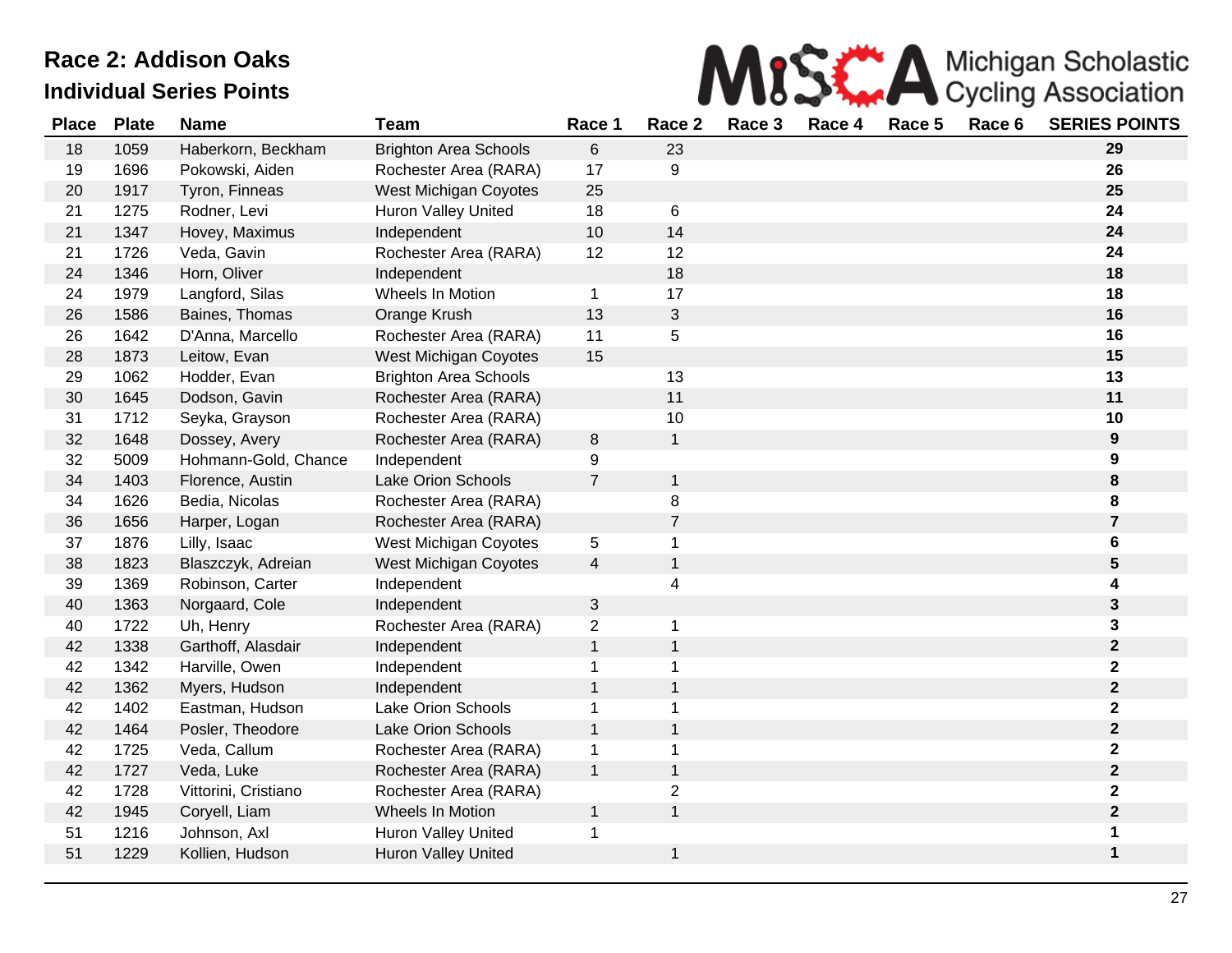

| <b>Place</b> | <b>Plate</b> | <b>Name</b>          | <b>Team</b>                  | Race 1         | Race 2         | Race 3 | Race 4 | Race 5 | Race 6 | <b>SERIES POINTS</b>    |
|--------------|--------------|----------------------|------------------------------|----------------|----------------|--------|--------|--------|--------|-------------------------|
| 18           | 1059         | Haberkorn, Beckham   | <b>Brighton Area Schools</b> | 6              | 23             |        |        |        |        | 29                      |
| 19           | 1696         | Pokowski, Aiden      | Rochester Area (RARA)        | 17             | 9              |        |        |        |        | 26                      |
| 20           | 1917         | Tyron, Finneas       | West Michigan Coyotes        | 25             |                |        |        |        |        | 25                      |
| 21           | 1275         | Rodner, Levi         | <b>Huron Valley United</b>   | 18             | 6              |        |        |        |        | 24                      |
| 21           | 1347         | Hovey, Maximus       | Independent                  | 10             | 14             |        |        |        |        | 24                      |
| 21           | 1726         | Veda, Gavin          | Rochester Area (RARA)        | 12             | 12             |        |        |        |        | 24                      |
| 24           | 1346         | Horn, Oliver         | Independent                  |                | 18             |        |        |        |        | 18                      |
| 24           | 1979         | Langford, Silas      | Wheels In Motion             | $\mathbf{1}$   | 17             |        |        |        |        | 18                      |
| 26           | 1586         | Baines, Thomas       | Orange Krush                 | 13             | 3              |        |        |        |        | 16                      |
| 26           | 1642         | D'Anna, Marcello     | Rochester Area (RARA)        | 11             | 5              |        |        |        |        | 16                      |
| 28           | 1873         | Leitow, Evan         | West Michigan Coyotes        | 15             |                |        |        |        |        | 15                      |
| 29           | 1062         | Hodder, Evan         | <b>Brighton Area Schools</b> |                | 13             |        |        |        |        | 13                      |
| 30           | 1645         | Dodson, Gavin        | Rochester Area (RARA)        |                | 11             |        |        |        |        | 11                      |
| 31           | 1712         | Seyka, Grayson       | Rochester Area (RARA)        |                | 10             |        |        |        |        | 10                      |
| 32           | 1648         | Dossey, Avery        | Rochester Area (RARA)        | $\,8\,$        | $\mathbf{1}$   |        |        |        |        | 9                       |
| 32           | 5009         | Hohmann-Gold, Chance | Independent                  | 9              |                |        |        |        |        | 9                       |
| 34           | 1403         | Florence, Austin     | <b>Lake Orion Schools</b>    | $\overline{7}$ | $\mathbf 1$    |        |        |        |        | 8                       |
| 34           | 1626         | Bedia, Nicolas       | Rochester Area (RARA)        |                | 8              |        |        |        |        | 8                       |
| 36           | 1656         | Harper, Logan        | Rochester Area (RARA)        |                | $\overline{7}$ |        |        |        |        | $\overline{\mathbf{7}}$ |
| 37           | 1876         | Lilly, Isaac         | West Michigan Coyotes        | 5              | 1              |        |        |        |        | 6                       |
| 38           | 1823         | Blaszczyk, Adreian   | West Michigan Coyotes        | 4              | $\mathbf{1}$   |        |        |        |        | 5                       |
| 39           | 1369         | Robinson, Carter     | Independent                  |                | 4              |        |        |        |        | 4                       |
| 40           | 1363         | Norgaard, Cole       | Independent                  | 3              |                |        |        |        |        | 3                       |
| 40           | 1722         | Uh, Henry            | Rochester Area (RARA)        | $\overline{2}$ | 1              |        |        |        |        | 3                       |
| 42           | 1338         | Garthoff, Alasdair   | Independent                  | $\mathbf{1}$   | 1              |        |        |        |        | $\mathbf 2$             |
| 42           | 1342         | Harville, Owen       | Independent                  | 1              | 1              |        |        |        |        | 2                       |
| 42           | 1362         | Myers, Hudson        | Independent                  | $\mathbf{1}$   | $\mathbf{1}$   |        |        |        |        | $\mathbf 2$             |
| 42           | 1402         | Eastman, Hudson      | Lake Orion Schools           | 1              | 1              |        |        |        |        | 2                       |
| 42           | 1464         | Posler, Theodore     | <b>Lake Orion Schools</b>    | $\mathbf{1}$   | $\mathbf{1}$   |        |        |        |        | $\mathbf 2$             |
| 42           | 1725         | Veda, Callum         | Rochester Area (RARA)        | 1              | 1              |        |        |        |        | 2                       |
| 42           | 1727         | Veda, Luke           | Rochester Area (RARA)        | $\mathbf{1}$   | $\mathbf{1}$   |        |        |        |        | $\mathbf 2$             |
| 42           | 1728         | Vittorini, Cristiano | Rochester Area (RARA)        |                | $\overline{2}$ |        |        |        |        | 2                       |
| 42           | 1945         | Coryell, Liam        | Wheels In Motion             | $\mathbf 1$    | $\mathbf{1}$   |        |        |        |        | $\mathbf 2$             |
| 51           | 1216         | Johnson, Axl         | <b>Huron Valley United</b>   | 1              |                |        |        |        |        | 1                       |
| 51           | 1229         | Kollien, Hudson      | <b>Huron Valley United</b>   |                | 1              |        |        |        |        | 1                       |
|              |              |                      |                              |                |                |        |        |        |        |                         |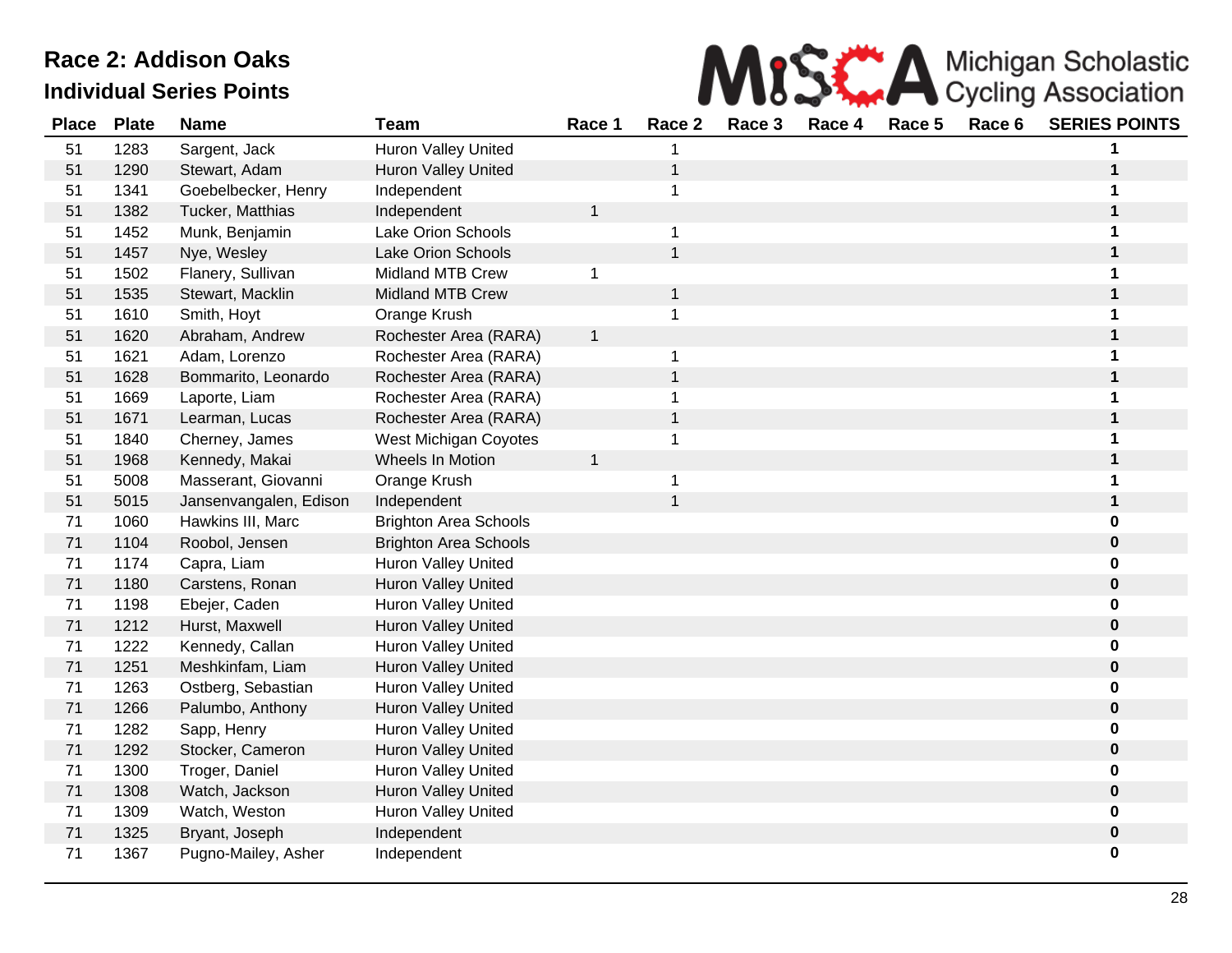

| <b>Place</b> | <b>Plate</b> | <b>Name</b>            | <b>Team</b>                  | Race 1       | Race 2       | Race 3 | Race 4 | Race 5 | Race 6 | <b>SERIES POINTS</b> |
|--------------|--------------|------------------------|------------------------------|--------------|--------------|--------|--------|--------|--------|----------------------|
| 51           | 1283         | Sargent, Jack          | <b>Huron Valley United</b>   |              |              |        |        |        |        |                      |
| 51           | 1290         | Stewart, Adam          | <b>Huron Valley United</b>   |              | $\mathbf{1}$ |        |        |        |        |                      |
| 51           | 1341         | Goebelbecker, Henry    | Independent                  |              | $\mathbf{1}$ |        |        |        |        |                      |
| 51           | 1382         | Tucker, Matthias       | Independent                  | $\mathbf 1$  |              |        |        |        |        |                      |
| 51           | 1452         | Munk, Benjamin         | <b>Lake Orion Schools</b>    |              | 1            |        |        |        |        |                      |
| 51           | 1457         | Nye, Wesley            | <b>Lake Orion Schools</b>    |              | $\mathbf{1}$ |        |        |        |        |                      |
| 51           | 1502         | Flanery, Sullivan      | <b>Midland MTB Crew</b>      | 1            |              |        |        |        |        |                      |
| 51           | 1535         | Stewart, Macklin       | <b>Midland MTB Crew</b>      |              | $\mathbf{1}$ |        |        |        |        | 1                    |
| 51           | 1610         | Smith, Hoyt            | Orange Krush                 |              | 1            |        |        |        |        |                      |
| 51           | 1620         | Abraham, Andrew        | Rochester Area (RARA)        | $\mathbf{1}$ |              |        |        |        |        |                      |
| 51           | 1621         | Adam, Lorenzo          | Rochester Area (RARA)        |              | 1            |        |        |        |        |                      |
| 51           | 1628         | Bommarito, Leonardo    | Rochester Area (RARA)        |              | $\mathbf{1}$ |        |        |        |        |                      |
| 51           | 1669         | Laporte, Liam          | Rochester Area (RARA)        |              | $\mathbf 1$  |        |        |        |        |                      |
| 51           | 1671         | Learman, Lucas         | Rochester Area (RARA)        |              | $\mathbf{1}$ |        |        |        |        |                      |
| 51           | 1840         | Cherney, James         | West Michigan Coyotes        |              | $\mathbf{1}$ |        |        |        |        |                      |
| 51           | 1968         | Kennedy, Makai         | Wheels In Motion             | $\mathbf{1}$ |              |        |        |        |        |                      |
| 51           | 5008         | Masserant, Giovanni    | Orange Krush                 |              | $\mathbf 1$  |        |        |        |        |                      |
| 51           | 5015         | Jansenvangalen, Edison | Independent                  |              | $\mathbf{1}$ |        |        |        |        | 1                    |
| 71           | 1060         | Hawkins III, Marc      | <b>Brighton Area Schools</b> |              |              |        |        |        |        | 0                    |
| 71           | 1104         | Roobol, Jensen         | <b>Brighton Area Schools</b> |              |              |        |        |        |        | 0                    |
| 71           | 1174         | Capra, Liam            | <b>Huron Valley United</b>   |              |              |        |        |        |        | 0                    |
| 71           | 1180         | Carstens, Ronan        | <b>Huron Valley United</b>   |              |              |        |        |        |        | 0                    |
| 71           | 1198         | Ebejer, Caden          | Huron Valley United          |              |              |        |        |        |        | 0                    |
| 71           | 1212         | Hurst, Maxwell         | Huron Valley United          |              |              |        |        |        |        | 0                    |
| 71           | 1222         | Kennedy, Callan        | <b>Huron Valley United</b>   |              |              |        |        |        |        | 0                    |
| 71           | 1251         | Meshkinfam, Liam       | <b>Huron Valley United</b>   |              |              |        |        |        |        | $\mathbf 0$          |
| 71           | 1263         | Ostberg, Sebastian     | <b>Huron Valley United</b>   |              |              |        |        |        |        | 0                    |
| 71           | 1266         | Palumbo, Anthony       | Huron Valley United          |              |              |        |        |        |        | $\mathbf 0$          |
| 71           | 1282         | Sapp, Henry            | <b>Huron Valley United</b>   |              |              |        |        |        |        | 0                    |
| 71           | 1292         | Stocker, Cameron       | <b>Huron Valley United</b>   |              |              |        |        |        |        | 0                    |
| 71           | 1300         | Troger, Daniel         | <b>Huron Valley United</b>   |              |              |        |        |        |        | 0                    |
| 71           | 1308         | Watch, Jackson         | Huron Valley United          |              |              |        |        |        |        | 0                    |
| 71           | 1309         | Watch, Weston          | <b>Huron Valley United</b>   |              |              |        |        |        |        | 0                    |
| 71           | 1325         | Bryant, Joseph         | Independent                  |              |              |        |        |        |        | 0                    |
| 71           | 1367         | Pugno-Mailey, Asher    | Independent                  |              |              |        |        |        |        | 0                    |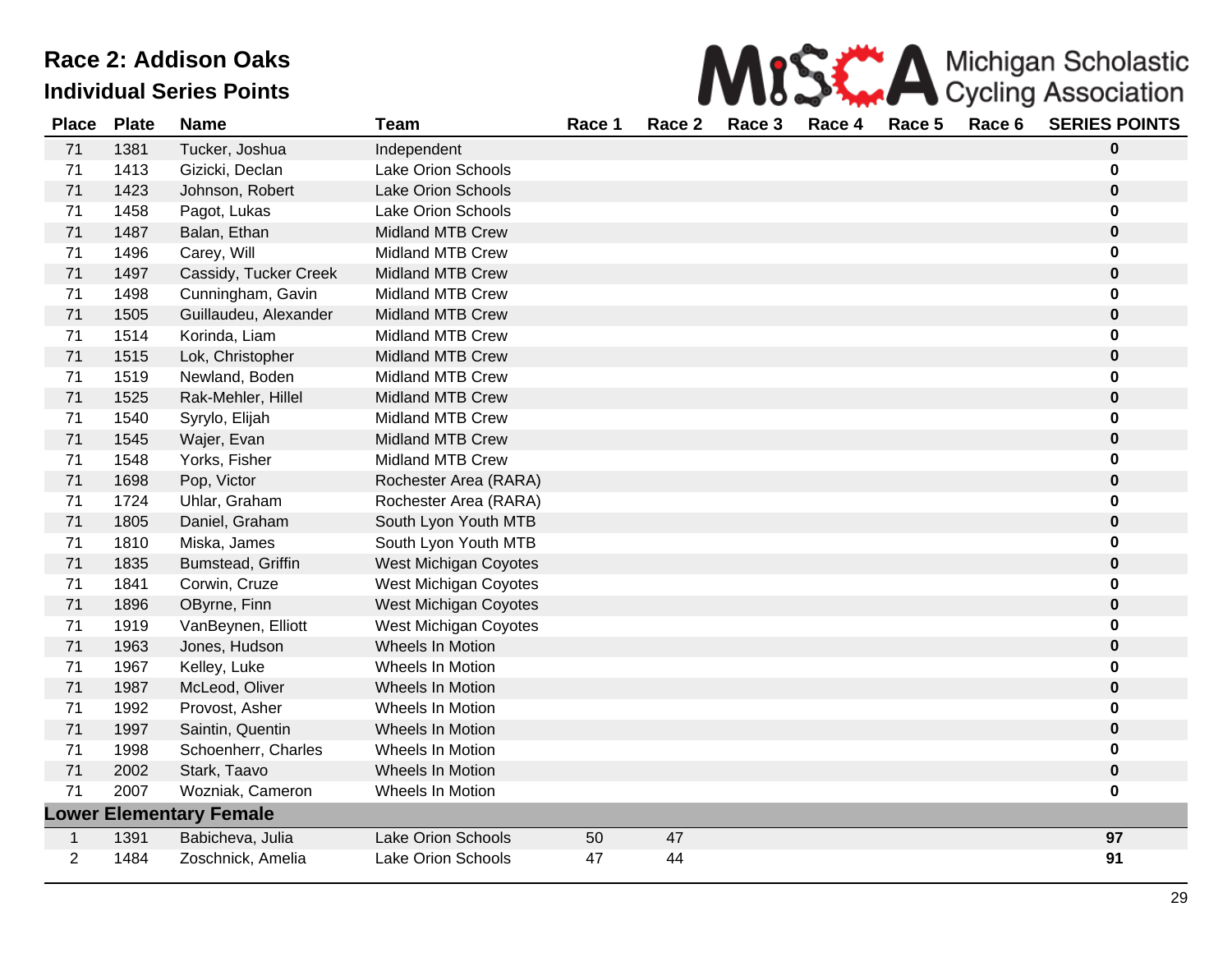| MISS A Michigan Scholastic |
|----------------------------|
|                            |

| <b>Place</b> | <b>Plate</b> | <b>Name</b>                    | <b>Team</b>               | Race 1 | Race 2 | Race 3 | Race 4 | Race 5 | Race 6 | <b>SERIES POINTS</b> |
|--------------|--------------|--------------------------------|---------------------------|--------|--------|--------|--------|--------|--------|----------------------|
| 71           | 1381         | Tucker, Joshua                 | Independent               |        |        |        |        |        |        | $\bf{0}$             |
| 71           | 1413         | Gizicki, Declan                | Lake Orion Schools        |        |        |        |        |        |        | $\bf{0}$             |
| 71           | 1423         | Johnson, Robert                | <b>Lake Orion Schools</b> |        |        |        |        |        |        | $\bf{0}$             |
| 71           | 1458         | Pagot, Lukas                   | <b>Lake Orion Schools</b> |        |        |        |        |        |        | $\bf{0}$             |
| 71           | 1487         | Balan, Ethan                   | <b>Midland MTB Crew</b>   |        |        |        |        |        |        | $\bf{0}$             |
| 71           | 1496         | Carey, Will                    | <b>Midland MTB Crew</b>   |        |        |        |        |        |        | $\bf{0}$             |
| 71           | 1497         | Cassidy, Tucker Creek          | <b>Midland MTB Crew</b>   |        |        |        |        |        |        | $\bf{0}$             |
| 71           | 1498         | Cunningham, Gavin              | <b>Midland MTB Crew</b>   |        |        |        |        |        |        | $\bf{0}$             |
| 71           | 1505         | Guillaudeu, Alexander          | <b>Midland MTB Crew</b>   |        |        |        |        |        |        | $\bf{0}$             |
| 71           | 1514         | Korinda, Liam                  | Midland MTB Crew          |        |        |        |        |        |        | $\bf{0}$             |
| 71           | 1515         | Lok, Christopher               | <b>Midland MTB Crew</b>   |        |        |        |        |        |        | $\mathbf 0$          |
| 71           | 1519         | Newland, Boden                 | <b>Midland MTB Crew</b>   |        |        |        |        |        |        | $\bf{0}$             |
| 71           | 1525         | Rak-Mehler, Hillel             | <b>Midland MTB Crew</b>   |        |        |        |        |        |        | $\pmb{0}$            |
| 71           | 1540         | Syrylo, Elijah                 | Midland MTB Crew          |        |        |        |        |        |        | $\bf{0}$             |
| 71           | 1545         | Wajer, Evan                    | <b>Midland MTB Crew</b>   |        |        |        |        |        |        | $\bf{0}$             |
| 71           | 1548         | Yorks, Fisher                  | <b>Midland MTB Crew</b>   |        |        |        |        |        |        | $\bf{0}$             |
| 71           | 1698         | Pop, Victor                    | Rochester Area (RARA)     |        |        |        |        |        |        | $\bf{0}$             |
| 71           | 1724         | Uhlar, Graham                  | Rochester Area (RARA)     |        |        |        |        |        |        | $\bf{0}$             |
| 71           | 1805         | Daniel, Graham                 | South Lyon Youth MTB      |        |        |        |        |        |        | $\bf{0}$             |
| 71           | 1810         | Miska, James                   | South Lyon Youth MTB      |        |        |        |        |        |        | $\bf{0}$             |
| 71           | 1835         | Bumstead, Griffin              | West Michigan Coyotes     |        |        |        |        |        |        | $\mathbf 0$          |
| 71           | 1841         | Corwin, Cruze                  | West Michigan Coyotes     |        |        |        |        |        |        | 0                    |
| 71           | 1896         | OByrne, Finn                   | West Michigan Coyotes     |        |        |        |        |        |        | $\pmb{0}$            |
| 71           | 1919         | VanBeynen, Elliott             | West Michigan Coyotes     |        |        |        |        |        |        | $\bf{0}$             |
| 71           | 1963         | Jones, Hudson                  | Wheels In Motion          |        |        |        |        |        |        | $\pmb{0}$            |
| 71           | 1967         | Kelley, Luke                   | Wheels In Motion          |        |        |        |        |        |        | $\bf{0}$             |
| 71           | 1987         | McLeod, Oliver                 | Wheels In Motion          |        |        |        |        |        |        | $\pmb{0}$            |
| 71           | 1992         | Provost, Asher                 | Wheels In Motion          |        |        |        |        |        |        | $\bf{0}$             |
| 71           | 1997         | Saintin, Quentin               | Wheels In Motion          |        |        |        |        |        |        | $\bf{0}$             |
| 71           | 1998         | Schoenherr, Charles            | Wheels In Motion          |        |        |        |        |        |        | $\bf{0}$             |
| 71           | 2002         | Stark, Taavo                   | Wheels In Motion          |        |        |        |        |        |        | $\bf{0}$             |
| 71           | 2007         | Wozniak, Cameron               | Wheels In Motion          |        |        |        |        |        |        | $\bf{0}$             |
|              |              | <b>Lower Elementary Female</b> |                           |        |        |        |        |        |        |                      |
| 1            | 1391         | Babicheva, Julia               | <b>Lake Orion Schools</b> | 50     | 47     |        |        |        |        | 97                   |
| 2            | 1484         | Zoschnick, Amelia              | Lake Orion Schools        | 47     | 44     |        |        |        |        | 91                   |
|              |              |                                |                           |        |        |        |        |        |        |                      |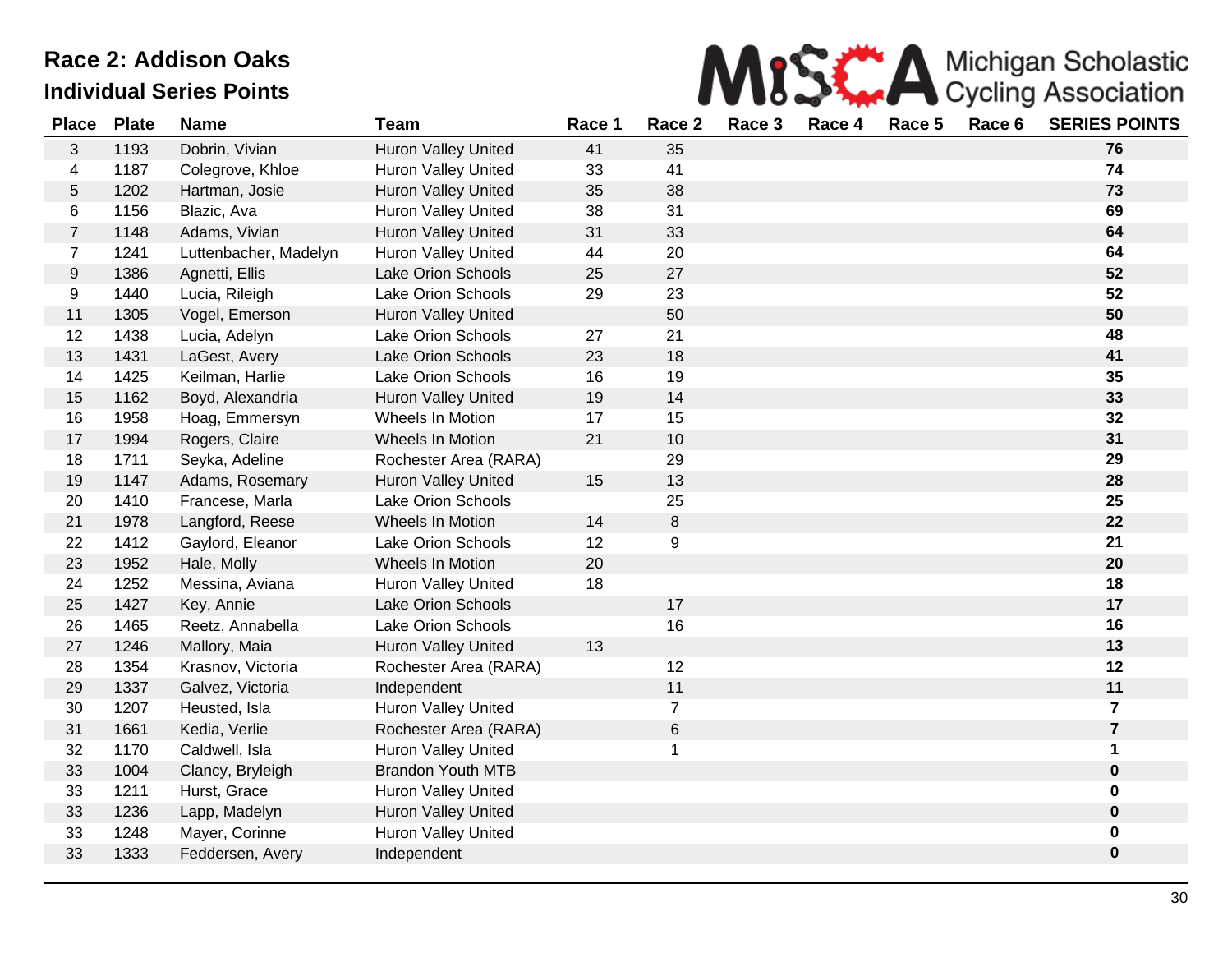

| <b>Place</b>   | <b>Plate</b> | <b>Name</b>           | <b>Team</b>                | Race 1 | Race 2         | Race 3 | Race 4 | Race 5 | Race 6 | <b>SERIES POINTS</b> |
|----------------|--------------|-----------------------|----------------------------|--------|----------------|--------|--------|--------|--------|----------------------|
| 3              | 1193         | Dobrin, Vivian        | Huron Valley United        | 41     | 35             |        |        |        |        | 76                   |
| 4              | 1187         | Colegrove, Khloe      | <b>Huron Valley United</b> | 33     | 41             |        |        |        |        | 74                   |
| $\sqrt{5}$     | 1202         | Hartman, Josie        | <b>Huron Valley United</b> | 35     | 38             |        |        |        |        | 73                   |
| 6              | 1156         | Blazic, Ava           | Huron Valley United        | 38     | 31             |        |        |        |        | 69                   |
| $\overline{7}$ | 1148         | Adams, Vivian         | Huron Valley United        | 31     | 33             |        |        |        |        | 64                   |
| $\overline{7}$ | 1241         | Luttenbacher, Madelyn | Huron Valley United        | 44     | 20             |        |        |        |        | 64                   |
| 9              | 1386         | Agnetti, Ellis        | Lake Orion Schools         | 25     | 27             |        |        |        |        | 52                   |
| 9              | 1440         | Lucia, Rileigh        | <b>Lake Orion Schools</b>  | 29     | 23             |        |        |        |        | 52                   |
| 11             | 1305         | Vogel, Emerson        | Huron Valley United        |        | 50             |        |        |        |        | 50                   |
| 12             | 1438         | Lucia, Adelyn         | <b>Lake Orion Schools</b>  | 27     | 21             |        |        |        |        | 48                   |
| 13             | 1431         | LaGest, Avery         | <b>Lake Orion Schools</b>  | 23     | 18             |        |        |        |        | 41                   |
| 14             | 1425         | Keilman, Harlie       | <b>Lake Orion Schools</b>  | 16     | 19             |        |        |        |        | 35                   |
| 15             | 1162         | Boyd, Alexandria      | Huron Valley United        | 19     | 14             |        |        |        |        | 33                   |
| 16             | 1958         | Hoag, Emmersyn        | Wheels In Motion           | 17     | 15             |        |        |        |        | 32                   |
| 17             | 1994         | Rogers, Claire        | Wheels In Motion           | 21     | 10             |        |        |        |        | 31                   |
| 18             | 1711         | Seyka, Adeline        | Rochester Area (RARA)      |        | 29             |        |        |        |        | 29                   |
| 19             | 1147         | Adams, Rosemary       | <b>Huron Valley United</b> | 15     | 13             |        |        |        |        | 28                   |
| 20             | 1410         | Francese, Marla       | <b>Lake Orion Schools</b>  |        | 25             |        |        |        |        | 25                   |
| 21             | 1978         | Langford, Reese       | Wheels In Motion           | 14     | $\,8\,$        |        |        |        |        | 22                   |
| 22             | 1412         | Gaylord, Eleanor      | Lake Orion Schools         | 12     | 9              |        |        |        |        | 21                   |
| 23             | 1952         | Hale, Molly           | Wheels In Motion           | 20     |                |        |        |        |        | 20                   |
| 24             | 1252         | Messina, Aviana       | <b>Huron Valley United</b> | 18     |                |        |        |        |        | 18                   |
| 25             | 1427         | Key, Annie            | <b>Lake Orion Schools</b>  |        | 17             |        |        |        |        | 17                   |
| 26             | 1465         | Reetz, Annabella      | <b>Lake Orion Schools</b>  |        | 16             |        |        |        |        | 16                   |
| 27             | 1246         | Mallory, Maia         | Huron Valley United        | 13     |                |        |        |        |        | 13                   |
| 28             | 1354         | Krasnov, Victoria     | Rochester Area (RARA)      |        | 12             |        |        |        |        | 12                   |
| 29             | 1337         | Galvez, Victoria      | Independent                |        | 11             |        |        |        |        | 11                   |
| 30             | 1207         | Heusted, Isla         | Huron Valley United        |        | $\overline{7}$ |        |        |        |        | $\overline{7}$       |
| 31             | 1661         | Kedia, Verlie         | Rochester Area (RARA)      |        | 6              |        |        |        |        | $\overline{7}$       |
| 32             | 1170         | Caldwell, Isla        | <b>Huron Valley United</b> |        | 1              |        |        |        |        | $\mathbf 1$          |
| 33             | 1004         | Clancy, Bryleigh      | <b>Brandon Youth MTB</b>   |        |                |        |        |        |        | $\mathbf 0$          |
| 33             | 1211         | Hurst, Grace          | Huron Valley United        |        |                |        |        |        |        | $\mathbf 0$          |
| 33             | 1236         | Lapp, Madelyn         | Huron Valley United        |        |                |        |        |        |        | $\mathbf 0$          |
| 33             | 1248         | Mayer, Corinne        | Huron Valley United        |        |                |        |        |        |        | $\mathbf 0$          |
| 33             | 1333         | Feddersen, Avery      | Independent                |        |                |        |        |        |        | $\mathbf 0$          |
|                |              |                       |                            |        |                |        |        |        |        |                      |